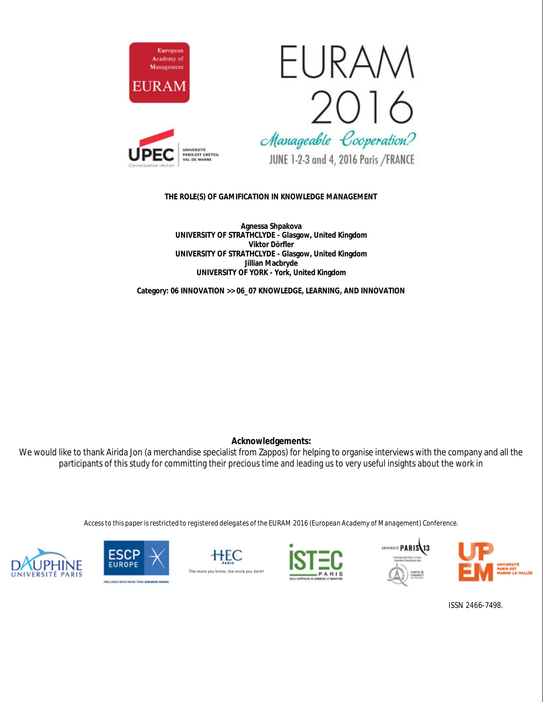

# EURAN 2016 Manageable Cooperation?



JUNE 1-2-3 and 4, 2016 Paris /FRANCE

**THE ROLE(S) OF GAMIFICATION IN KNOWLEDGE MANAGEMENT**

**Agnessa Shpakova UNIVERSITY OF STRATHCLYDE - Glasgow, United Kingdom Viktor Dörfler UNIVERSITY OF STRATHCLYDE - Glasgow, United Kingdom Jillian Macbryde UNIVERSITY OF YORK - York, United Kingdom**

**Category: 06 INNOVATION >> 06\_07 KNOWLEDGE, LEARNING, AND INNOVATION**

**Acknowledgements:**

We would like to thank Airida Jon (a merchandise specialist from Zappos) for helping to organise interviews with the company and all the participants of this study for committing their precious time and leading us to very useful insights about the work in

*Access to this paper is restricted to registered delegates of the EURAM 2016 (European Academy of Management) Conference.*













ISSN 2466-7498.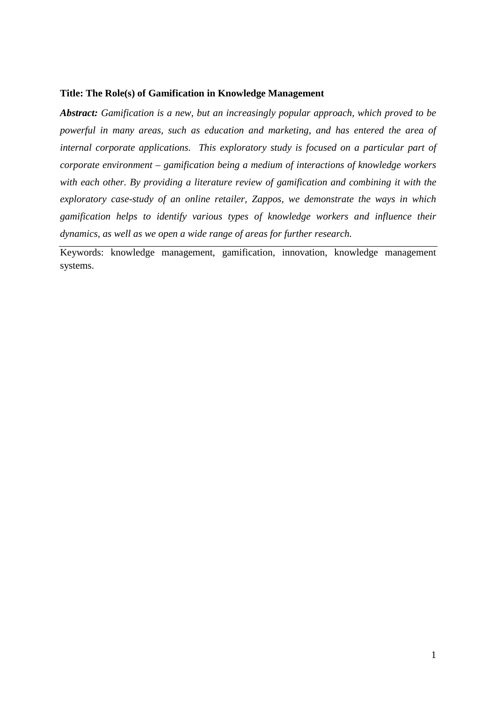#### **Title: The Role(s) of Gamification in Knowledge Management**

*Abstract: Gamification is a new, but an increasingly popular approach, which proved to be powerful in many areas, such as education and marketing, and has entered the area of*  internal corporate applications. This exploratory study is focused on a particular part of *corporate environment – gamification being a medium of interactions of knowledge workers with each other. By providing a literature review of gamification and combining it with the exploratory case-study of an online retailer, Zappos, we demonstrate the ways in which gamification helps to identify various types of knowledge workers and influence their dynamics, as well as we open a wide range of areas for further research.*

Keywords: knowledge management, gamification, innovation, knowledge management systems.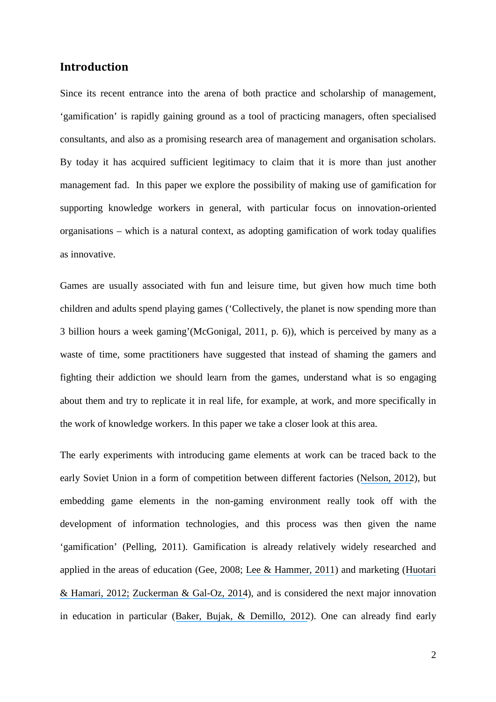# **Introduction**

Since its recent entrance into the arena of both practice and scholarship of management, 'gamification' is rapidly gaining ground as a tool of practicing managers, often specialised consultants, and also as a promising research area of management and organisation scholars. By today it has acquired sufficient legitimacy to claim that it is more than just another management fad. In this paper we explore the possibility of making use of gamification for supporting knowledge workers in general, with particular focus on innovation-oriented organisations – which is a natural context, as adopting gamification of work today qualifies as innovative.

Games are usually associated with fun and leisure time, but given how much time both children and adults spend playing games ('Collectively, the planet is now spending more than 3 billion hours a week gaming'(McGonigal, 2011, p. 6)), which is perceived by many as a waste of time, some practitioners have suggested that instead of shaming the gamers and fighting their addiction we should learn from the games, understand what is so engaging about them and try to replicate it in real life, for example, at work, and more specifically in the work of knowledge workers. In this paper we take a closer look at this area.

The early experiments with introducing game elements at work can be traced back to the early Soviet Union in a form of competition between different factories ([Nelson, 2012](https://www.researchgate.net/publication/244486327_Soviet_and_American_precursors_to_the_gamification_of_work?el=1_x_8&enrichId=rgreq-380b8548-380d-47fa-a847-5da2325a33cf&enrichSource=Y292ZXJQYWdlOzMwMTc5OTM1MDtBUzozNTc2NzI4MDYzMDU3OTNAMTQ2MjI4NzI1MDc4Mw==)), but embedding game elements in the non-gaming environment really took off with the development of information technologies, and this process was then given the name 'gamification' (Pelling, 2011). Gamification is already relatively widely researched and applied in the areas of education (Gee, 2008; [Lee & Hammer, 2011](https://www.researchgate.net/publication/258697764_Gamification_in_Education_What_How_Why_Bother?el=1_x_8&enrichId=rgreq-380b8548-380d-47fa-a847-5da2325a33cf&enrichSource=Y292ZXJQYWdlOzMwMTc5OTM1MDtBUzozNTc2NzI4MDYzMDU3OTNAMTQ2MjI4NzI1MDc4Mw==)) and marketing ([Huotari](https://www.researchgate.net/publication/259841647_Defining_Gamification_-_A_Service_Marketing_Perspective?el=1_x_8&enrichId=rgreq-380b8548-380d-47fa-a847-5da2325a33cf&enrichSource=Y292ZXJQYWdlOzMwMTc5OTM1MDtBUzozNTc2NzI4MDYzMDU3OTNAMTQ2MjI4NzI1MDc4Mw==) [& Hamari, 2012;](https://www.researchgate.net/publication/259841647_Defining_Gamification_-_A_Service_Marketing_Perspective?el=1_x_8&enrichId=rgreq-380b8548-380d-47fa-a847-5da2325a33cf&enrichSource=Y292ZXJQYWdlOzMwMTc5OTM1MDtBUzozNTc2NzI4MDYzMDU3OTNAMTQ2MjI4NzI1MDc4Mw==) [Zuckerman & Gal-Oz, 2014](https://www.researchgate.net/publication/266025077_Deconstructing_gamification_evaluating_the_effectiveness_of_continuous_measurement_virtual_rewards_and_social_comparison_for_promoting_physical_activity?el=1_x_8&enrichId=rgreq-380b8548-380d-47fa-a847-5da2325a33cf&enrichSource=Y292ZXJQYWdlOzMwMTc5OTM1MDtBUzozNTc2NzI4MDYzMDU3OTNAMTQ2MjI4NzI1MDc4Mw==)), and is considered the next major innovation in education in particular ([Baker, Bujak, & Demillo, 2012](https://www.researchgate.net/publication/234891604_The_Evolving_University_Disruptive_Change_and_Institutional_Innovation?el=1_x_8&enrichId=rgreq-380b8548-380d-47fa-a847-5da2325a33cf&enrichSource=Y292ZXJQYWdlOzMwMTc5OTM1MDtBUzozNTc2NzI4MDYzMDU3OTNAMTQ2MjI4NzI1MDc4Mw==)). One can already find early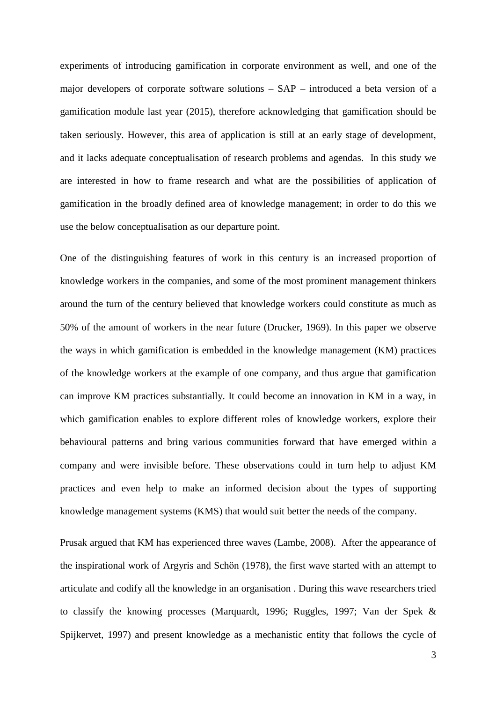experiments of introducing gamification in corporate environment as well, and one of the major developers of corporate software solutions – SAP – introduced a beta version of a gamification module last year (2015), therefore acknowledging that gamification should be taken seriously. However, this area of application is still at an early stage of development, and it lacks adequate conceptualisation of research problems and agendas. In this study we are interested in how to frame research and what are the possibilities of application of gamification in the broadly defined area of knowledge management; in order to do this we use the below conceptualisation as our departure point.

One of the distinguishing features of work in this century is an increased proportion of knowledge workers in the companies, and some of the most prominent management thinkers around the turn of the century believed that knowledge workers could constitute as much as 50% of the amount of workers in the near future (Drucker, 1969). In this paper we observe the ways in which gamification is embedded in the knowledge management (KM) practices of the knowledge workers at the example of one company, and thus argue that gamification can improve KM practices substantially. It could become an innovation in KM in a way, in which gamification enables to explore different roles of knowledge workers, explore their behavioural patterns and bring various communities forward that have emerged within a company and were invisible before. These observations could in turn help to adjust KM practices and even help to make an informed decision about the types of supporting knowledge management systems (KMS) that would suit better the needs of the company.

Prusak argued that KM has experienced three waves (Lambe, 2008). After the appearance of the inspirational work of Argyris and Schӧn (1978), the first wave started with an attempt to articulate and codify all the knowledge in an organisation . During this wave researchers tried to classify the knowing processes (Marquardt, 1996; Ruggles, 1997; Van der Spek & Spijkervet, 1997) and present knowledge as a mechanistic entity that follows the cycle of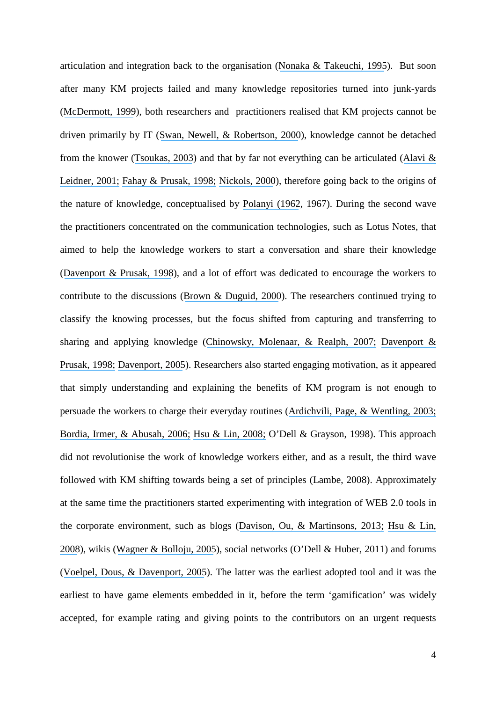articulation and integration back to the organisation ([Nonaka & Takeuchi, 1995](https://www.researchgate.net/publication/216353111_The_Knowledge_Creating_Company_How_Japanese_Companies_Create_The_Dynamics_Of_Innovation?el=1_x_8&enrichId=rgreq-380b8548-380d-47fa-a847-5da2325a33cf&enrichSource=Y292ZXJQYWdlOzMwMTc5OTM1MDtBUzozNTc2NzI4MDYzMDU3OTNAMTQ2MjI4NzI1MDc4Mw==)). But soon after many KM projects failed and many knowledge repositories turned into junk-yards ([McDermott, 1999](https://www.researchgate.net/publication/243534170_Why_Information_Technology_Inspired_But_Cannot_Deliver_Knowledge_Management?el=1_x_8&enrichId=rgreq-380b8548-380d-47fa-a847-5da2325a33cf&enrichSource=Y292ZXJQYWdlOzMwMTc5OTM1MDtBUzozNTc2NzI4MDYzMDU3OTNAMTQ2MjI4NzI1MDc4Mw==)), both researchers and practitioners realised that KM projects cannot be driven primarily by IT ([Swan, Newell, & Robertson, 2000](https://www.researchgate.net/publication/3841404_Limits_of_IT-driven_knowledge_management_initiatives_for_interactive_innovation_processes_Towards_a_community-based_approach?el=1_x_8&enrichId=rgreq-380b8548-380d-47fa-a847-5da2325a33cf&enrichSource=Y292ZXJQYWdlOzMwMTc5OTM1MDtBUzozNTc2NzI4MDYzMDU3OTNAMTQ2MjI4NzI1MDc4Mw==)), knowledge cannot be detached from the knower ([Tsoukas, 2003](https://www.researchgate.net/publication/2528222_Do_We_Really_Understand_Tacit_Knowledge?el=1_x_8&enrichId=rgreq-380b8548-380d-47fa-a847-5da2325a33cf&enrichSource=Y292ZXJQYWdlOzMwMTc5OTM1MDtBUzozNTc2NzI4MDYzMDU3OTNAMTQ2MjI4NzI1MDc4Mw==)) and that by far not everything can be articulated ([Alavi &](https://www.researchgate.net/publication/220260337_Review_Knowledge_Management_and_Knowledge_Management_Systems_Conceptual_Foundations_and_Research_Issues?el=1_x_8&enrichId=rgreq-380b8548-380d-47fa-a847-5da2325a33cf&enrichSource=Y292ZXJQYWdlOzMwMTc5OTM1MDtBUzozNTc2NzI4MDYzMDU3OTNAMTQ2MjI4NzI1MDc4Mw==) [Leidner, 2001;](https://www.researchgate.net/publication/220260337_Review_Knowledge_Management_and_Knowledge_Management_Systems_Conceptual_Foundations_and_Research_Issues?el=1_x_8&enrichId=rgreq-380b8548-380d-47fa-a847-5da2325a33cf&enrichSource=Y292ZXJQYWdlOzMwMTc5OTM1MDtBUzozNTc2NzI4MDYzMDU3OTNAMTQ2MjI4NzI1MDc4Mw==) [Fahay & Prusak, 1998;](https://www.researchgate.net/publication/234021497_The_Eleven_Deadliest_Sins_of_Knowledge_Management?el=1_x_8&enrichId=rgreq-380b8548-380d-47fa-a847-5da2325a33cf&enrichSource=Y292ZXJQYWdlOzMwMTc5OTM1MDtBUzozNTc2NzI4MDYzMDU3OTNAMTQ2MjI4NzI1MDc4Mw==) [Nickols, 2000](https://www.researchgate.net/publication/229101067_The_knowledge_management_yearbook_2000-2001?el=1_x_8&enrichId=rgreq-380b8548-380d-47fa-a847-5da2325a33cf&enrichSource=Y292ZXJQYWdlOzMwMTc5OTM1MDtBUzozNTc2NzI4MDYzMDU3OTNAMTQ2MjI4NzI1MDc4Mw==)), therefore going back to the origins of the nature of knowledge, conceptualised by [Polanyi \(1962](https://www.researchgate.net/publication/224892414_Personal_Knowledge_Towards_A_Post-Critical_Philosophy?el=1_x_8&enrichId=rgreq-380b8548-380d-47fa-a847-5da2325a33cf&enrichSource=Y292ZXJQYWdlOzMwMTc5OTM1MDtBUzozNTc2NzI4MDYzMDU3OTNAMTQ2MjI4NzI1MDc4Mw==), 1967). During the second wave the practitioners concentrated on the communication technologies, such as Lotus Notes, that aimed to help the knowledge workers to start a conversation and share their knowledge ([Davenport & Prusak, 1998](https://www.researchgate.net/publication/229099904_Working_With_Knowledge_How_Organizations_Manage_What_They_Know?el=1_x_8&enrichId=rgreq-380b8548-380d-47fa-a847-5da2325a33cf&enrichSource=Y292ZXJQYWdlOzMwMTc5OTM1MDtBUzozNTc2NzI4MDYzMDU3OTNAMTQ2MjI4NzI1MDc4Mw==)), and a lot of effort was dedicated to encourage the workers to contribute to the discussions ([Brown & Duguid, 2000](https://www.researchgate.net/publication/12147031_Balancing_Act_How_to_Capture_Knowledge_Without_Killing_it?el=1_x_8&enrichId=rgreq-380b8548-380d-47fa-a847-5da2325a33cf&enrichSource=Y292ZXJQYWdlOzMwMTc5OTM1MDtBUzozNTc2NzI4MDYzMDU3OTNAMTQ2MjI4NzI1MDc4Mw==)). The researchers continued trying to classify the knowing processes, but the focus shifted from capturing and transferring to sharing and applying knowledge ([Chinowsky, Molenaar, & Realph, 2007;](https://www.researchgate.net/publication/245298461_Learning_Organizations_in_Construction?el=1_x_8&enrichId=rgreq-380b8548-380d-47fa-a847-5da2325a33cf&enrichSource=Y292ZXJQYWdlOzMwMTc5OTM1MDtBUzozNTc2NzI4MDYzMDU3OTNAMTQ2MjI4NzI1MDc4Mw==) [Davenport &](https://www.researchgate.net/publication/229099904_Working_With_Knowledge_How_Organizations_Manage_What_They_Know?el=1_x_8&enrichId=rgreq-380b8548-380d-47fa-a847-5da2325a33cf&enrichSource=Y292ZXJQYWdlOzMwMTc5OTM1MDtBUzozNTc2NzI4MDYzMDU3OTNAMTQ2MjI4NzI1MDc4Mw==) [Prusak, 1998;](https://www.researchgate.net/publication/229099904_Working_With_Knowledge_How_Organizations_Manage_What_They_Know?el=1_x_8&enrichId=rgreq-380b8548-380d-47fa-a847-5da2325a33cf&enrichSource=Y292ZXJQYWdlOzMwMTc5OTM1MDtBUzozNTc2NzI4MDYzMDU3OTNAMTQ2MjI4NzI1MDc4Mw==) [Davenport, 2005](https://www.researchgate.net/publication/248078273_Thinking_for_A_Living_How_to_Get_Better_Performance_and_Results_from_Knowledge_Workers?el=1_x_8&enrichId=rgreq-380b8548-380d-47fa-a847-5da2325a33cf&enrichSource=Y292ZXJQYWdlOzMwMTc5OTM1MDtBUzozNTc2NzI4MDYzMDU3OTNAMTQ2MjI4NzI1MDc4Mw==)). Researchers also started engaging motivation, as it appeared that simply understanding and explaining the benefits of KM program is not enough to persuade the workers to charge their everyday routines ([Ardichvili, Page, & Wentling, 2003;](https://www.researchgate.net/publication/220363539_Motivation_and_Barriers_to_Participation_in_Virtual_Knowledge-Sharing_Communities_of_Practice?el=1_x_8&enrichId=rgreq-380b8548-380d-47fa-a847-5da2325a33cf&enrichSource=Y292ZXJQYWdlOzMwMTc5OTM1MDtBUzozNTc2NzI4MDYzMDU3OTNAMTQ2MjI4NzI1MDc4Mw==) [Bordia, Irmer, & Abusah, 2006;](https://www.researchgate.net/publication/45502939_Differences_in_Sharing_Knowledge_Interpersonally_and_Via_Database_The_Role_of_Evaluation_Apprehension_and_Perceived_Benefits?el=1_x_8&enrichId=rgreq-380b8548-380d-47fa-a847-5da2325a33cf&enrichSource=Y292ZXJQYWdlOzMwMTc5OTM1MDtBUzozNTc2NzI4MDYzMDU3OTNAMTQ2MjI4NzI1MDc4Mw==) [Hsu & Lin, 2008;](https://www.researchgate.net/publication/222409249_Acceptance_of_blog_usage_the_roles_of_technology_acceptance_social_influence_and_knowledge_sharing_motivation_Inf_Manag?el=1_x_8&enrichId=rgreq-380b8548-380d-47fa-a847-5da2325a33cf&enrichSource=Y292ZXJQYWdlOzMwMTc5OTM1MDtBUzozNTc2NzI4MDYzMDU3OTNAMTQ2MjI4NzI1MDc4Mw==) O'Dell & Grayson, 1998). This approach did not revolutionise the work of knowledge workers either, and as a result, the third wave followed with KM shifting towards being a set of principles (Lambe, 2008). Approximately at the same time the practitioners started experimenting with integration of WEB 2.0 tools in the corporate environment, such as blogs ([Davison, Ou, & Martinsons, 2013;](https://www.researchgate.net/publication/262425791_Information_technology_to_support_informal_knowledge_sharing?el=1_x_8&enrichId=rgreq-380b8548-380d-47fa-a847-5da2325a33cf&enrichSource=Y292ZXJQYWdlOzMwMTc5OTM1MDtBUzozNTc2NzI4MDYzMDU3OTNAMTQ2MjI4NzI1MDc4Mw==) [Hsu & Lin,](https://www.researchgate.net/publication/222409249_Acceptance_of_blog_usage_the_roles_of_technology_acceptance_social_influence_and_knowledge_sharing_motivation_Inf_Manag?el=1_x_8&enrichId=rgreq-380b8548-380d-47fa-a847-5da2325a33cf&enrichSource=Y292ZXJQYWdlOzMwMTc5OTM1MDtBUzozNTc2NzI4MDYzMDU3OTNAMTQ2MjI4NzI1MDc4Mw==) [2008](https://www.researchgate.net/publication/222409249_Acceptance_of_blog_usage_the_roles_of_technology_acceptance_social_influence_and_knowledge_sharing_motivation_Inf_Manag?el=1_x_8&enrichId=rgreq-380b8548-380d-47fa-a847-5da2325a33cf&enrichSource=Y292ZXJQYWdlOzMwMTc5OTM1MDtBUzozNTc2NzI4MDYzMDU3OTNAMTQ2MjI4NzI1MDc4Mw==)), wikis ([Wagner & Bolloju, 2005](https://www.researchgate.net/publication/237386177_Supporting_Knowledge_Management_in_Organizations_with_Conversational_Technologies_Discussion_Forums_Weblogs_and_Wikis?el=1_x_8&enrichId=rgreq-380b8548-380d-47fa-a847-5da2325a33cf&enrichSource=Y292ZXJQYWdlOzMwMTc5OTM1MDtBUzozNTc2NzI4MDYzMDU3OTNAMTQ2MjI4NzI1MDc4Mw==)), social networks (O'Dell & Huber, 2011) and forums ([Voelpel, Dous, & Davenport, 2005](https://www.researchgate.net/publication/289949961_Five_steps_to_creating_a_global_knowledge-sharing_system_Siemens)). The latter was the earliest adopted tool and it was the earliest to have game elements embedded in it, before the term 'gamification' was widely accepted, for example rating and giving points to the contributors on an urgent requests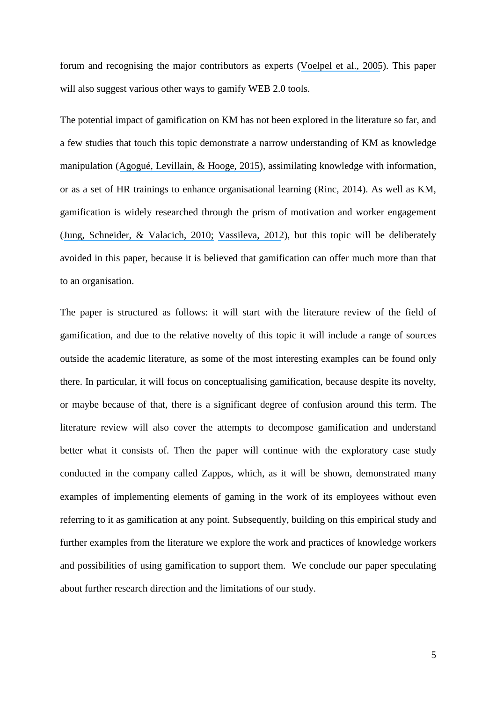forum and recognising the major contributors as experts ([Voelpel et al., 2005](https://www.researchgate.net/publication/289949961_Five_steps_to_creating_a_global_knowledge-sharing_system_Siemens)). This paper will also suggest various other ways to gamify WEB 2.0 tools.

The potential impact of gamification on KM has not been explored in the literature so far, and a few studies that touch this topic demonstrate a narrow understanding of KM as knowledge manipulation ([Agogué, Levillain, & Hooge, 2015\)](https://www.researchgate.net/publication/281059637_Gamification_of_Creativity_Exploring_the_Usefulness_of_Serious_Games_for_Ideation?el=1_x_8&enrichId=rgreq-380b8548-380d-47fa-a847-5da2325a33cf&enrichSource=Y292ZXJQYWdlOzMwMTc5OTM1MDtBUzozNTc2NzI4MDYzMDU3OTNAMTQ2MjI4NzI1MDc4Mw==), assimilating knowledge with information, or as a set of HR trainings to enhance organisational learning (Rinc, 2014). As well as KM, gamification is widely researched through the prism of motivation and worker engagement ([Jung, Schneider, & Valacich, 2010;](https://www.researchgate.net/publication/220534625_Enhancing_the_Motivational_Affordance_of_Information_Systems_The_Effects_of_Real-Time_Performance_Feedback_and_Goal_Setting_in_Group_Collaboration_Environments?el=1_x_8&enrichId=rgreq-380b8548-380d-47fa-a847-5da2325a33cf&enrichSource=Y292ZXJQYWdlOzMwMTc5OTM1MDtBUzozNTc2NzI4MDYzMDU3OTNAMTQ2MjI4NzI1MDc4Mw==) [Vassileva, 2012](https://www.researchgate.net/publication/228517212_Motivating_participation_in_social_computing_applications_A_user_modeling_perspective?el=1_x_8&enrichId=rgreq-380b8548-380d-47fa-a847-5da2325a33cf&enrichSource=Y292ZXJQYWdlOzMwMTc5OTM1MDtBUzozNTc2NzI4MDYzMDU3OTNAMTQ2MjI4NzI1MDc4Mw==)), but this topic will be deliberately avoided in this paper, because it is believed that gamification can offer much more than that to an organisation.

The paper is structured as follows: it will start with the literature review of the field of gamification, and due to the relative novelty of this topic it will include a range of sources outside the academic literature, as some of the most interesting examples can be found only there. In particular, it will focus on conceptualising gamification, because despite its novelty, or maybe because of that, there is a significant degree of confusion around this term. The literature review will also cover the attempts to decompose gamification and understand better what it consists of. Then the paper will continue with the exploratory case study conducted in the company called Zappos, which, as it will be shown, demonstrated many examples of implementing elements of gaming in the work of its employees without even referring to it as gamification at any point. Subsequently, building on this empirical study and further examples from the literature we explore the work and practices of knowledge workers and possibilities of using gamification to support them. We conclude our paper speculating about further research direction and the limitations of our study.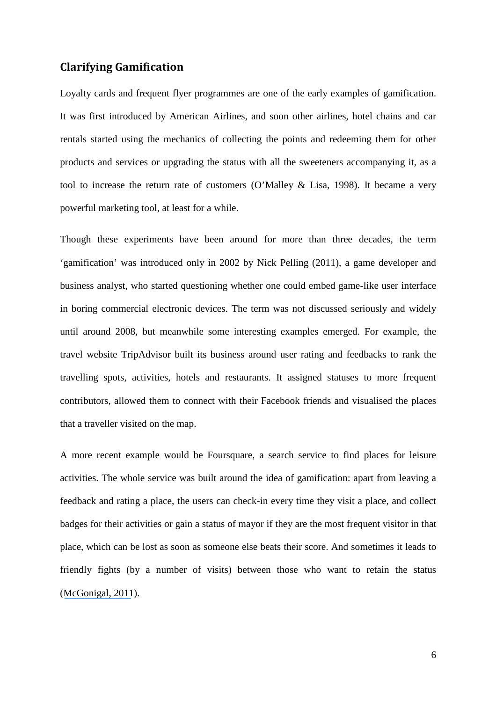# **Clarifying Gamification**

Loyalty cards and frequent flyer programmes are one of the early examples of gamification. It was first introduced by American Airlines, and soon other airlines, hotel chains and car rentals started using the mechanics of collecting the points and redeeming them for other products and services or upgrading the status with all the sweeteners accompanying it, as a tool to increase the return rate of customers (O'Malley & Lisa, 1998). It became a very powerful marketing tool, at least for a while.

Though these experiments have been around for more than three decades, the term 'gamification' was introduced only in 2002 by Nick Pelling (2011), a game developer and business analyst, who started questioning whether one could embed game-like user interface in boring commercial electronic devices. The term was not discussed seriously and widely until around 2008, but meanwhile some interesting examples emerged. For example, the travel website TripAdvisor built its business around user rating and feedbacks to rank the travelling spots, activities, hotels and restaurants. It assigned statuses to more frequent contributors, allowed them to connect with their Facebook friends and visualised the places that a traveller visited on the map.

A more recent example would be Foursquare, a search service to find places for leisure activities. The whole service was built around the idea of gamification: apart from leaving a feedback and rating a place, the users can check-in every time they visit a place, and collect badges for their activities or gain a status of mayor if they are the most frequent visitor in that place, which can be lost as soon as someone else beats their score. And sometimes it leads to friendly fights (by a number of visits) between those who want to retain the status ([McGonigal, 2011](https://www.researchgate.net/publication/244486521_Reality_is_Broken_Why_Games_Make_Us_Better_and_How_They_Can_Change_the_World?el=1_x_8&enrichId=rgreq-380b8548-380d-47fa-a847-5da2325a33cf&enrichSource=Y292ZXJQYWdlOzMwMTc5OTM1MDtBUzozNTc2NzI4MDYzMDU3OTNAMTQ2MjI4NzI1MDc4Mw==)).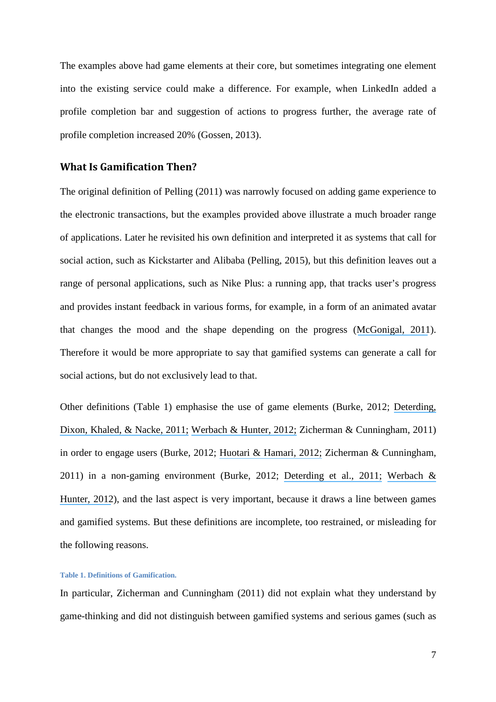The examples above had game elements at their core, but sometimes integrating one element into the existing service could make a difference. For example, when LinkedIn added a profile completion bar and suggestion of actions to progress further, the average rate of profile completion increased 20% (Gossen, 2013).

### **What Is Gamification Then?**

The original definition of Pelling (2011) was narrowly focused on adding game experience to the electronic transactions, but the examples provided above illustrate a much broader range of applications. Later he revisited his own definition and interpreted it as systems that call for social action, such as Kickstarter and Alibaba (Pelling, 2015), but this definition leaves out a range of personal applications, such as Nike Plus: a running app, that tracks user's progress and provides instant feedback in various forms, for example, in a form of an animated avatar that changes the mood and the shape depending on the progress ([McGonigal, 2011](https://www.researchgate.net/publication/244486521_Reality_is_Broken_Why_Games_Make_Us_Better_and_How_They_Can_Change_the_World?el=1_x_8&enrichId=rgreq-380b8548-380d-47fa-a847-5da2325a33cf&enrichSource=Y292ZXJQYWdlOzMwMTc5OTM1MDtBUzozNTc2NzI4MDYzMDU3OTNAMTQ2MjI4NzI1MDc4Mw==)). Therefore it would be more appropriate to say that gamified systems can generate a call for social actions, but do not exclusively lead to that.

Other definitions (Table 1) emphasise the use of game elements (Burke, 2012; [Deterding,](https://www.researchgate.net/publication/230854710_From_Game_Design_Elements_to_Gamefulness_Defining_Gamification?el=1_x_8&enrichId=rgreq-380b8548-380d-47fa-a847-5da2325a33cf&enrichSource=Y292ZXJQYWdlOzMwMTc5OTM1MDtBUzozNTc2NzI4MDYzMDU3OTNAMTQ2MjI4NzI1MDc4Mw==) [Dixon, Khaled, & Nacke, 2011;](https://www.researchgate.net/publication/230854710_From_Game_Design_Elements_to_Gamefulness_Defining_Gamification?el=1_x_8&enrichId=rgreq-380b8548-380d-47fa-a847-5da2325a33cf&enrichSource=Y292ZXJQYWdlOzMwMTc5OTM1MDtBUzozNTc2NzI4MDYzMDU3OTNAMTQ2MjI4NzI1MDc4Mw==) [Werbach & Hunter, 2012;](https://www.researchgate.net/publication/273946893_For_the_Win_How_Game_Thinking_can_Revolutionize_your_Business?el=1_x_8&enrichId=rgreq-380b8548-380d-47fa-a847-5da2325a33cf&enrichSource=Y292ZXJQYWdlOzMwMTc5OTM1MDtBUzozNTc2NzI4MDYzMDU3OTNAMTQ2MjI4NzI1MDc4Mw==) Zicherman & Cunningham, 2011) in order to engage users (Burke, 2012; [Huotari & Hamari, 2012;](https://www.researchgate.net/publication/259841647_Defining_Gamification_-_A_Service_Marketing_Perspective?el=1_x_8&enrichId=rgreq-380b8548-380d-47fa-a847-5da2325a33cf&enrichSource=Y292ZXJQYWdlOzMwMTc5OTM1MDtBUzozNTc2NzI4MDYzMDU3OTNAMTQ2MjI4NzI1MDc4Mw==) Zicherman & Cunningham, 2011) in a non-gaming environment (Burke, 2012; [Deterding et al., 2011;](https://www.researchgate.net/publication/230854710_From_Game_Design_Elements_to_Gamefulness_Defining_Gamification?el=1_x_8&enrichId=rgreq-380b8548-380d-47fa-a847-5da2325a33cf&enrichSource=Y292ZXJQYWdlOzMwMTc5OTM1MDtBUzozNTc2NzI4MDYzMDU3OTNAMTQ2MjI4NzI1MDc4Mw==) [Werbach &](https://www.researchgate.net/publication/273946893_For_the_Win_How_Game_Thinking_can_Revolutionize_your_Business?el=1_x_8&enrichId=rgreq-380b8548-380d-47fa-a847-5da2325a33cf&enrichSource=Y292ZXJQYWdlOzMwMTc5OTM1MDtBUzozNTc2NzI4MDYzMDU3OTNAMTQ2MjI4NzI1MDc4Mw==) [Hunter, 2012](https://www.researchgate.net/publication/273946893_For_the_Win_How_Game_Thinking_can_Revolutionize_your_Business?el=1_x_8&enrichId=rgreq-380b8548-380d-47fa-a847-5da2325a33cf&enrichSource=Y292ZXJQYWdlOzMwMTc5OTM1MDtBUzozNTc2NzI4MDYzMDU3OTNAMTQ2MjI4NzI1MDc4Mw==)), and the last aspect is very important, because it draws a line between games and gamified systems. But these definitions are incomplete, too restrained, or misleading for the following reasons.

#### **Table 1. Definitions of Gamification.**

In particular, Zicherman and Cunningham (2011) did not explain what they understand by game-thinking and did not distinguish between gamified systems and serious games (such as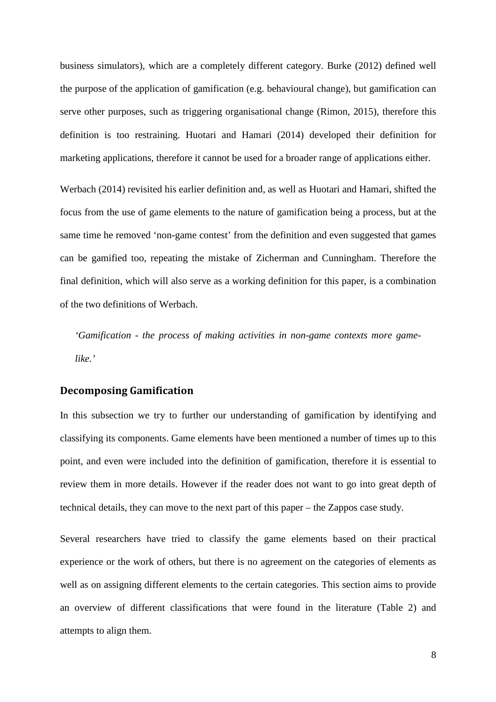business simulators), which are a completely different category. Burke (2012) defined well the purpose of the application of gamification (e.g. behavioural change), but gamification can serve other purposes, such as triggering organisational change (Rimon, 2015), therefore this definition is too restraining. Huotari and Hamari (2014) developed their definition for marketing applications, therefore it cannot be used for a broader range of applications either.

Werbach (2014) revisited his earlier definition and, as well as Huotari and Hamari, shifted the focus from the use of game elements to the nature of gamification being a process, but at the same time he removed 'non-game contest' from the definition and even suggested that games can be gamified too, repeating the mistake of Zicherman and Cunningham. Therefore the final definition, which will also serve as a working definition for this paper, is a combination of the two definitions of Werbach.

*'Gamification - the process of making activities in non-game contexts more gamelike.'* 

#### **Decomposing Gamification**

In this subsection we try to further our understanding of gamification by identifying and classifying its components. Game elements have been mentioned a number of times up to this point, and even were included into the definition of gamification, therefore it is essential to review them in more details. However if the reader does not want to go into great depth of technical details, they can move to the next part of this paper – the Zappos case study.

Several researchers have tried to classify the game elements based on their practical experience or the work of others, but there is no agreement on the categories of elements as well as on assigning different elements to the certain categories. This section aims to provide an overview of different classifications that were found in the literature (Table 2) and attempts to align them.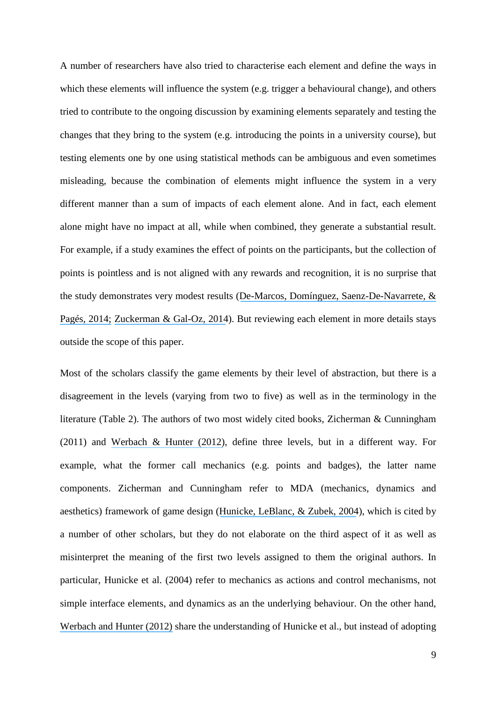A number of researchers have also tried to characterise each element and define the ways in which these elements will influence the system (e.g. trigger a behavioural change), and others tried to contribute to the ongoing discussion by examining elements separately and testing the changes that they bring to the system (e.g. introducing the points in a university course), but testing elements one by one using statistical methods can be ambiguous and even sometimes misleading, because the combination of elements might influence the system in a very different manner than a sum of impacts of each element alone. And in fact, each element alone might have no impact at all, while when combined, they generate a substantial result. For example, if a study examines the effect of points on the participants, but the collection of points is pointless and is not aligned with any rewards and recognition, it is no surprise that the study demonstrates very modest results ([De-Marcos, Domínguez, Saenz-De-Navarrete, &](https://www.researchgate.net/publication/260605745_An_empirical_study_comparing_gamification_and_social_networking_on_e-learning?el=1_x_8&enrichId=rgreq-380b8548-380d-47fa-a847-5da2325a33cf&enrichSource=Y292ZXJQYWdlOzMwMTc5OTM1MDtBUzozNTc2NzI4MDYzMDU3OTNAMTQ2MjI4NzI1MDc4Mw==) [Pagés, 2014;](https://www.researchgate.net/publication/260605745_An_empirical_study_comparing_gamification_and_social_networking_on_e-learning?el=1_x_8&enrichId=rgreq-380b8548-380d-47fa-a847-5da2325a33cf&enrichSource=Y292ZXJQYWdlOzMwMTc5OTM1MDtBUzozNTc2NzI4MDYzMDU3OTNAMTQ2MjI4NzI1MDc4Mw==) [Zuckerman & Gal-Oz, 2014](https://www.researchgate.net/publication/266025077_Deconstructing_gamification_evaluating_the_effectiveness_of_continuous_measurement_virtual_rewards_and_social_comparison_for_promoting_physical_activity?el=1_x_8&enrichId=rgreq-380b8548-380d-47fa-a847-5da2325a33cf&enrichSource=Y292ZXJQYWdlOzMwMTc5OTM1MDtBUzozNTc2NzI4MDYzMDU3OTNAMTQ2MjI4NzI1MDc4Mw==)). But reviewing each element in more details stays outside the scope of this paper.

Most of the scholars classify the game elements by their level of abstraction, but there is a disagreement in the levels (varying from two to five) as well as in the terminology in the literature (Table 2). The authors of two most widely cited books, Zicherman & Cunningham (2011) and [Werbach & Hunter \(2012\)](https://www.researchgate.net/publication/273946893_For_the_Win_How_Game_Thinking_can_Revolutionize_your_Business?el=1_x_8&enrichId=rgreq-380b8548-380d-47fa-a847-5da2325a33cf&enrichSource=Y292ZXJQYWdlOzMwMTc5OTM1MDtBUzozNTc2NzI4MDYzMDU3OTNAMTQ2MjI4NzI1MDc4Mw==), define three levels, but in a different way. For example, what the former call mechanics (e.g. points and badges), the latter name components. Zicherman and Cunningham refer to MDA (mechanics, dynamics and aesthetics) framework of game design ([Hunicke, LeBlanc, & Zubek, 2004](https://www.researchgate.net/publication/228884866_MDA_A_Formal_Approach_to_Game_Design_and_Game_Research?el=1_x_8&enrichId=rgreq-380b8548-380d-47fa-a847-5da2325a33cf&enrichSource=Y292ZXJQYWdlOzMwMTc5OTM1MDtBUzozNTc2NzI4MDYzMDU3OTNAMTQ2MjI4NzI1MDc4Mw==)), which is cited by a number of other scholars, but they do not elaborate on the third aspect of it as well as misinterpret the meaning of the first two levels assigned to them the original authors. In particular, Hunicke et al. (2004) refer to mechanics as actions and control mechanisms, not simple interface elements, and dynamics as an the underlying behaviour. On the other hand, [Werbach and Hunter \(2012\)](https://www.researchgate.net/publication/273946893_For_the_Win_How_Game_Thinking_can_Revolutionize_your_Business?el=1_x_8&enrichId=rgreq-380b8548-380d-47fa-a847-5da2325a33cf&enrichSource=Y292ZXJQYWdlOzMwMTc5OTM1MDtBUzozNTc2NzI4MDYzMDU3OTNAMTQ2MjI4NzI1MDc4Mw==) share the understanding of Hunicke et al., but instead of adopting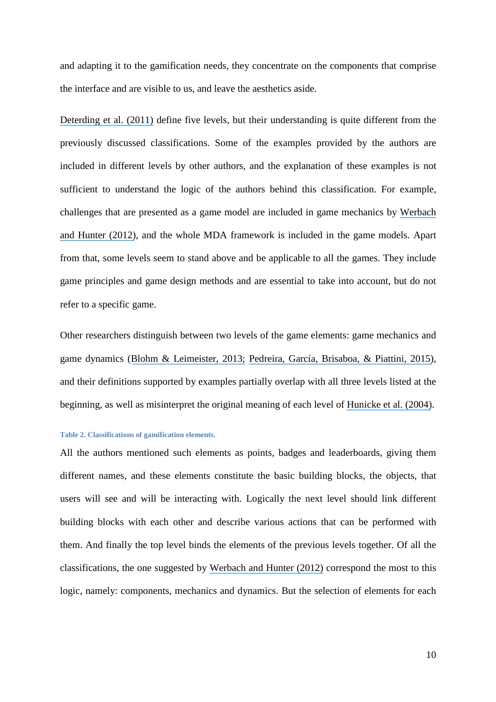and adapting it to the gamification needs, they concentrate on the components that comprise the interface and are visible to us, and leave the aesthetics aside.

[Deterding et al. \(2011\)](https://www.researchgate.net/publication/230854710_From_Game_Design_Elements_to_Gamefulness_Defining_Gamification?el=1_x_8&enrichId=rgreq-380b8548-380d-47fa-a847-5da2325a33cf&enrichSource=Y292ZXJQYWdlOzMwMTc5OTM1MDtBUzozNTc2NzI4MDYzMDU3OTNAMTQ2MjI4NzI1MDc4Mw==) define five levels, but their understanding is quite different from the previously discussed classifications. Some of the examples provided by the authors are included in different levels by other authors, and the explanation of these examples is not sufficient to understand the logic of the authors behind this classification. For example, challenges that are presented as a game model are included in game mechanics by [Werbach](https://www.researchgate.net/publication/273946893_For_the_Win_How_Game_Thinking_can_Revolutionize_your_Business?el=1_x_8&enrichId=rgreq-380b8548-380d-47fa-a847-5da2325a33cf&enrichSource=Y292ZXJQYWdlOzMwMTc5OTM1MDtBUzozNTc2NzI4MDYzMDU3OTNAMTQ2MjI4NzI1MDc4Mw==) [and Hunter \(2012\)](https://www.researchgate.net/publication/273946893_For_the_Win_How_Game_Thinking_can_Revolutionize_your_Business?el=1_x_8&enrichId=rgreq-380b8548-380d-47fa-a847-5da2325a33cf&enrichSource=Y292ZXJQYWdlOzMwMTc5OTM1MDtBUzozNTc2NzI4MDYzMDU3OTNAMTQ2MjI4NzI1MDc4Mw==), and the whole MDA framework is included in the game models. Apart from that, some levels seem to stand above and be applicable to all the games. They include game principles and game design methods and are essential to take into account, but do not refer to a specific game.

Other researchers distinguish between two levels of the game elements: game mechanics and game dynamics ([Blohm & Leimeister, 2013;](https://www.researchgate.net/publication/260988461_Gamification_Design_of_IT-Based_Enhancing_Services_for_Motivational_Support_and_Behavioral_Change?el=1_x_8&enrichId=rgreq-380b8548-380d-47fa-a847-5da2325a33cf&enrichSource=Y292ZXJQYWdlOzMwMTc5OTM1MDtBUzozNTc2NzI4MDYzMDU3OTNAMTQ2MjI4NzI1MDc4Mw==) [Pedreira, García, Brisaboa, & Piattini, 2015\)](https://www.researchgate.net/publication/265852843_Gamification_in_software_engineering_-_A_systematic_mapping?el=1_x_8&enrichId=rgreq-380b8548-380d-47fa-a847-5da2325a33cf&enrichSource=Y292ZXJQYWdlOzMwMTc5OTM1MDtBUzozNTc2NzI4MDYzMDU3OTNAMTQ2MjI4NzI1MDc4Mw==), and their definitions supported by examples partially overlap with all three levels listed at the beginning, as well as misinterpret the original meaning of each level of [Hunicke et al. \(2004\)](https://www.researchgate.net/publication/228884866_MDA_A_Formal_Approach_to_Game_Design_and_Game_Research?el=1_x_8&enrichId=rgreq-380b8548-380d-47fa-a847-5da2325a33cf&enrichSource=Y292ZXJQYWdlOzMwMTc5OTM1MDtBUzozNTc2NzI4MDYzMDU3OTNAMTQ2MjI4NzI1MDc4Mw==).

#### **Table 2. Classifications of gamification elements.**

All the authors mentioned such elements as points, badges and leaderboards, giving them different names, and these elements constitute the basic building blocks, the objects, that users will see and will be interacting with. Logically the next level should link different building blocks with each other and describe various actions that can be performed with them. And finally the top level binds the elements of the previous levels together. Of all the classifications, the one suggested by [Werbach and Hunter \(2012\)](https://www.researchgate.net/publication/273946893_For_the_Win_How_Game_Thinking_can_Revolutionize_your_Business?el=1_x_8&enrichId=rgreq-380b8548-380d-47fa-a847-5da2325a33cf&enrichSource=Y292ZXJQYWdlOzMwMTc5OTM1MDtBUzozNTc2NzI4MDYzMDU3OTNAMTQ2MjI4NzI1MDc4Mw==) correspond the most to this logic, namely: components, mechanics and dynamics. But the selection of elements for each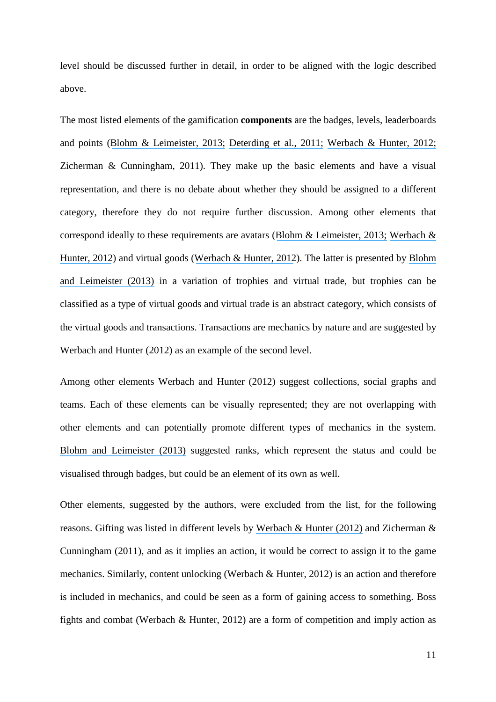level should be discussed further in detail, in order to be aligned with the logic described above.

The most listed elements of the gamification **components** are the badges, levels, leaderboards and points ([Blohm & Leimeister, 2013;](https://www.researchgate.net/publication/260988461_Gamification_Design_of_IT-Based_Enhancing_Services_for_Motivational_Support_and_Behavioral_Change?el=1_x_8&enrichId=rgreq-380b8548-380d-47fa-a847-5da2325a33cf&enrichSource=Y292ZXJQYWdlOzMwMTc5OTM1MDtBUzozNTc2NzI4MDYzMDU3OTNAMTQ2MjI4NzI1MDc4Mw==) [Deterding et al., 2011;](https://www.researchgate.net/publication/230854710_From_Game_Design_Elements_to_Gamefulness_Defining_Gamification?el=1_x_8&enrichId=rgreq-380b8548-380d-47fa-a847-5da2325a33cf&enrichSource=Y292ZXJQYWdlOzMwMTc5OTM1MDtBUzozNTc2NzI4MDYzMDU3OTNAMTQ2MjI4NzI1MDc4Mw==) [Werbach & Hunter, 2012;](https://www.researchgate.net/publication/273946893_For_the_Win_How_Game_Thinking_can_Revolutionize_your_Business?el=1_x_8&enrichId=rgreq-380b8548-380d-47fa-a847-5da2325a33cf&enrichSource=Y292ZXJQYWdlOzMwMTc5OTM1MDtBUzozNTc2NzI4MDYzMDU3OTNAMTQ2MjI4NzI1MDc4Mw==) Zicherman & Cunningham, 2011). They make up the basic elements and have a visual representation, and there is no debate about whether they should be assigned to a different category, therefore they do not require further discussion. Among other elements that correspond ideally to these requirements are avatars ([Blohm & Leimeister, 2013;](https://www.researchgate.net/publication/260988461_Gamification_Design_of_IT-Based_Enhancing_Services_for_Motivational_Support_and_Behavioral_Change?el=1_x_8&enrichId=rgreq-380b8548-380d-47fa-a847-5da2325a33cf&enrichSource=Y292ZXJQYWdlOzMwMTc5OTM1MDtBUzozNTc2NzI4MDYzMDU3OTNAMTQ2MjI4NzI1MDc4Mw==) [Werbach &](https://www.researchgate.net/publication/273946893_For_the_Win_How_Game_Thinking_can_Revolutionize_your_Business?el=1_x_8&enrichId=rgreq-380b8548-380d-47fa-a847-5da2325a33cf&enrichSource=Y292ZXJQYWdlOzMwMTc5OTM1MDtBUzozNTc2NzI4MDYzMDU3OTNAMTQ2MjI4NzI1MDc4Mw==) [Hunter, 2012](https://www.researchgate.net/publication/273946893_For_the_Win_How_Game_Thinking_can_Revolutionize_your_Business?el=1_x_8&enrichId=rgreq-380b8548-380d-47fa-a847-5da2325a33cf&enrichSource=Y292ZXJQYWdlOzMwMTc5OTM1MDtBUzozNTc2NzI4MDYzMDU3OTNAMTQ2MjI4NzI1MDc4Mw==)) and virtual goods ([Werbach & Hunter, 2012](https://www.researchgate.net/publication/273946893_For_the_Win_How_Game_Thinking_can_Revolutionize_your_Business?el=1_x_8&enrichId=rgreq-380b8548-380d-47fa-a847-5da2325a33cf&enrichSource=Y292ZXJQYWdlOzMwMTc5OTM1MDtBUzozNTc2NzI4MDYzMDU3OTNAMTQ2MjI4NzI1MDc4Mw==)). The latter is presented by [Blohm](https://www.researchgate.net/publication/260988461_Gamification_Design_of_IT-Based_Enhancing_Services_for_Motivational_Support_and_Behavioral_Change?el=1_x_8&enrichId=rgreq-380b8548-380d-47fa-a847-5da2325a33cf&enrichSource=Y292ZXJQYWdlOzMwMTc5OTM1MDtBUzozNTc2NzI4MDYzMDU3OTNAMTQ2MjI4NzI1MDc4Mw==) [and Leimeister \(2013\)](https://www.researchgate.net/publication/260988461_Gamification_Design_of_IT-Based_Enhancing_Services_for_Motivational_Support_and_Behavioral_Change?el=1_x_8&enrichId=rgreq-380b8548-380d-47fa-a847-5da2325a33cf&enrichSource=Y292ZXJQYWdlOzMwMTc5OTM1MDtBUzozNTc2NzI4MDYzMDU3OTNAMTQ2MjI4NzI1MDc4Mw==) in a variation of trophies and virtual trade, but trophies can be classified as a type of virtual goods and virtual trade is an abstract category, which consists of the virtual goods and transactions. Transactions are mechanics by nature and are suggested by Werbach and Hunter (2012) as an example of the second level.

Among other elements Werbach and Hunter (2012) suggest collections, social graphs and teams. Each of these elements can be visually represented; they are not overlapping with other elements and can potentially promote different types of mechanics in the system. [Blohm and Leimeister \(2013\)](https://www.researchgate.net/publication/260988461_Gamification_Design_of_IT-Based_Enhancing_Services_for_Motivational_Support_and_Behavioral_Change?el=1_x_8&enrichId=rgreq-380b8548-380d-47fa-a847-5da2325a33cf&enrichSource=Y292ZXJQYWdlOzMwMTc5OTM1MDtBUzozNTc2NzI4MDYzMDU3OTNAMTQ2MjI4NzI1MDc4Mw==) suggested ranks, which represent the status and could be visualised through badges, but could be an element of its own as well.

Other elements, suggested by the authors, were excluded from the list, for the following reasons. Gifting was listed in different levels by [Werbach & Hunter \(2012\)](https://www.researchgate.net/publication/273946893_For_the_Win_How_Game_Thinking_can_Revolutionize_your_Business?el=1_x_8&enrichId=rgreq-380b8548-380d-47fa-a847-5da2325a33cf&enrichSource=Y292ZXJQYWdlOzMwMTc5OTM1MDtBUzozNTc2NzI4MDYzMDU3OTNAMTQ2MjI4NzI1MDc4Mw==) and Zicherman & Cunningham (2011), and as it implies an action, it would be correct to assign it to the game mechanics. Similarly, content unlocking (Werbach & Hunter, 2012) is an action and therefore is included in mechanics, and could be seen as a form of gaining access to something. Boss fights and combat (Werbach & Hunter, 2012) are a form of competition and imply action as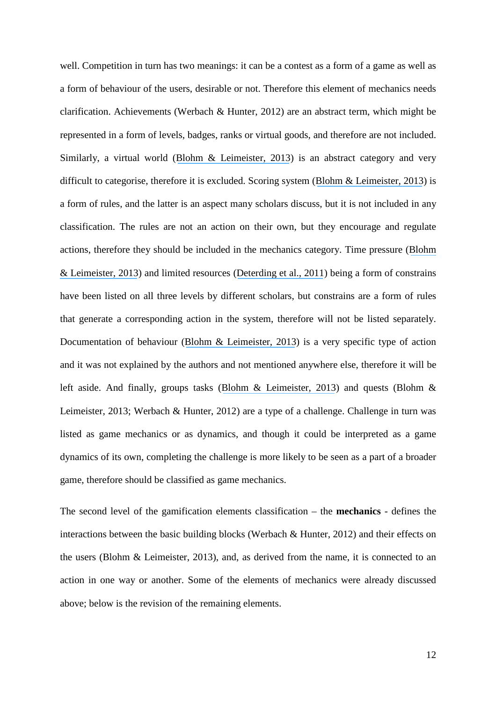well. Competition in turn has two meanings: it can be a contest as a form of a game as well as a form of behaviour of the users, desirable or not. Therefore this element of mechanics needs clarification. Achievements (Werbach & Hunter, 2012) are an abstract term, which might be represented in a form of levels, badges, ranks or virtual goods, and therefore are not included. Similarly, a virtual world ([Blohm & Leimeister, 2013](https://www.researchgate.net/publication/260988461_Gamification_Design_of_IT-Based_Enhancing_Services_for_Motivational_Support_and_Behavioral_Change?el=1_x_8&enrichId=rgreq-380b8548-380d-47fa-a847-5da2325a33cf&enrichSource=Y292ZXJQYWdlOzMwMTc5OTM1MDtBUzozNTc2NzI4MDYzMDU3OTNAMTQ2MjI4NzI1MDc4Mw==)) is an abstract category and very difficult to categorise, therefore it is excluded. Scoring system ([Blohm & Leimeister, 2013](https://www.researchgate.net/publication/260988461_Gamification_Design_of_IT-Based_Enhancing_Services_for_Motivational_Support_and_Behavioral_Change?el=1_x_8&enrichId=rgreq-380b8548-380d-47fa-a847-5da2325a33cf&enrichSource=Y292ZXJQYWdlOzMwMTc5OTM1MDtBUzozNTc2NzI4MDYzMDU3OTNAMTQ2MjI4NzI1MDc4Mw==)) is a form of rules, and the latter is an aspect many scholars discuss, but it is not included in any classification. The rules are not an action on their own, but they encourage and regulate actions, therefore they should be included in the mechanics category. Time pressure ([Blohm](https://www.researchgate.net/publication/260988461_Gamification_Design_of_IT-Based_Enhancing_Services_for_Motivational_Support_and_Behavioral_Change?el=1_x_8&enrichId=rgreq-380b8548-380d-47fa-a847-5da2325a33cf&enrichSource=Y292ZXJQYWdlOzMwMTc5OTM1MDtBUzozNTc2NzI4MDYzMDU3OTNAMTQ2MjI4NzI1MDc4Mw==) [& Leimeister, 2013](https://www.researchgate.net/publication/260988461_Gamification_Design_of_IT-Based_Enhancing_Services_for_Motivational_Support_and_Behavioral_Change?el=1_x_8&enrichId=rgreq-380b8548-380d-47fa-a847-5da2325a33cf&enrichSource=Y292ZXJQYWdlOzMwMTc5OTM1MDtBUzozNTc2NzI4MDYzMDU3OTNAMTQ2MjI4NzI1MDc4Mw==)) and limited resources ([Deterding et al., 2011](https://www.researchgate.net/publication/230854710_From_Game_Design_Elements_to_Gamefulness_Defining_Gamification?el=1_x_8&enrichId=rgreq-380b8548-380d-47fa-a847-5da2325a33cf&enrichSource=Y292ZXJQYWdlOzMwMTc5OTM1MDtBUzozNTc2NzI4MDYzMDU3OTNAMTQ2MjI4NzI1MDc4Mw==)) being a form of constrains have been listed on all three levels by different scholars, but constrains are a form of rules that generate a corresponding action in the system, therefore will not be listed separately. Documentation of behaviour ([Blohm & Leimeister, 2013](https://www.researchgate.net/publication/260988461_Gamification_Design_of_IT-Based_Enhancing_Services_for_Motivational_Support_and_Behavioral_Change?el=1_x_8&enrichId=rgreq-380b8548-380d-47fa-a847-5da2325a33cf&enrichSource=Y292ZXJQYWdlOzMwMTc5OTM1MDtBUzozNTc2NzI4MDYzMDU3OTNAMTQ2MjI4NzI1MDc4Mw==)) is a very specific type of action and it was not explained by the authors and not mentioned anywhere else, therefore it will be left aside. And finally, groups tasks ([Blohm & Leimeister, 2013](https://www.researchgate.net/publication/260988461_Gamification_Design_of_IT-Based_Enhancing_Services_for_Motivational_Support_and_Behavioral_Change?el=1_x_8&enrichId=rgreq-380b8548-380d-47fa-a847-5da2325a33cf&enrichSource=Y292ZXJQYWdlOzMwMTc5OTM1MDtBUzozNTc2NzI4MDYzMDU3OTNAMTQ2MjI4NzI1MDc4Mw==)) and quests (Blohm & Leimeister, 2013; Werbach & Hunter, 2012) are a type of a challenge. Challenge in turn was listed as game mechanics or as dynamics, and though it could be interpreted as a game dynamics of its own, completing the challenge is more likely to be seen as a part of a broader game, therefore should be classified as game mechanics.

The second level of the gamification elements classification – the **mechanics** - defines the interactions between the basic building blocks (Werbach & Hunter, 2012) and their effects on the users (Blohm & Leimeister, 2013), and, as derived from the name, it is connected to an action in one way or another. Some of the elements of mechanics were already discussed above; below is the revision of the remaining elements.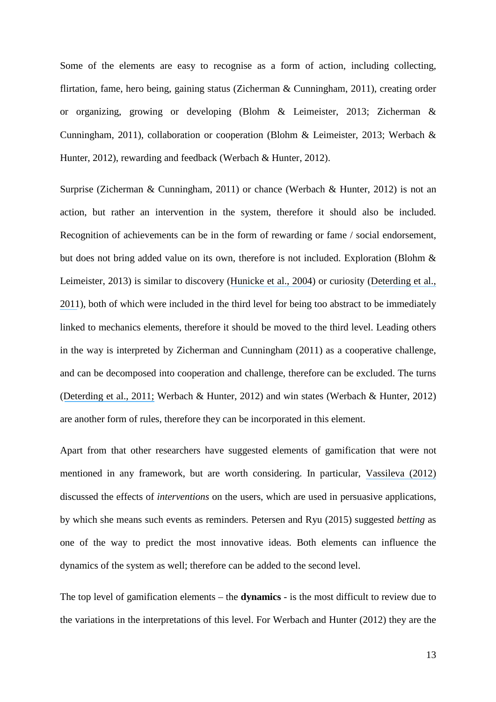Some of the elements are easy to recognise as a form of action, including collecting, flirtation, fame, hero being, gaining status (Zicherman & Cunningham, 2011), creating order or organizing, growing or developing (Blohm & Leimeister, 2013; Zicherman & Cunningham, 2011), collaboration or cooperation (Blohm & Leimeister, 2013; Werbach & Hunter, 2012), rewarding and feedback (Werbach & Hunter, 2012).

Surprise (Zicherman & Cunningham, 2011) or chance (Werbach & Hunter, 2012) is not an action, but rather an intervention in the system, therefore it should also be included. Recognition of achievements can be in the form of rewarding or fame / social endorsement, but does not bring added value on its own, therefore is not included. Exploration (Blohm & Leimeister, 2013) is similar to discovery ([Hunicke et al., 2004](https://www.researchgate.net/publication/228884866_MDA_A_Formal_Approach_to_Game_Design_and_Game_Research?el=1_x_8&enrichId=rgreq-380b8548-380d-47fa-a847-5da2325a33cf&enrichSource=Y292ZXJQYWdlOzMwMTc5OTM1MDtBUzozNTc2NzI4MDYzMDU3OTNAMTQ2MjI4NzI1MDc4Mw==)) or curiosity ([Deterding et al.,](https://www.researchgate.net/publication/230854710_From_Game_Design_Elements_to_Gamefulness_Defining_Gamification?el=1_x_8&enrichId=rgreq-380b8548-380d-47fa-a847-5da2325a33cf&enrichSource=Y292ZXJQYWdlOzMwMTc5OTM1MDtBUzozNTc2NzI4MDYzMDU3OTNAMTQ2MjI4NzI1MDc4Mw==) [2011](https://www.researchgate.net/publication/230854710_From_Game_Design_Elements_to_Gamefulness_Defining_Gamification?el=1_x_8&enrichId=rgreq-380b8548-380d-47fa-a847-5da2325a33cf&enrichSource=Y292ZXJQYWdlOzMwMTc5OTM1MDtBUzozNTc2NzI4MDYzMDU3OTNAMTQ2MjI4NzI1MDc4Mw==)), both of which were included in the third level for being too abstract to be immediately linked to mechanics elements, therefore it should be moved to the third level. Leading others in the way is interpreted by Zicherman and Cunningham (2011) as a cooperative challenge, and can be decomposed into cooperation and challenge, therefore can be excluded. The turns ([Deterding et al., 2011;](https://www.researchgate.net/publication/230854710_From_Game_Design_Elements_to_Gamefulness_Defining_Gamification?el=1_x_8&enrichId=rgreq-380b8548-380d-47fa-a847-5da2325a33cf&enrichSource=Y292ZXJQYWdlOzMwMTc5OTM1MDtBUzozNTc2NzI4MDYzMDU3OTNAMTQ2MjI4NzI1MDc4Mw==) Werbach & Hunter, 2012) and win states (Werbach & Hunter, 2012) are another form of rules, therefore they can be incorporated in this element.

Apart from that other researchers have suggested elements of gamification that were not mentioned in any framework, but are worth considering. In particular, [Vassileva \(2012\)](https://www.researchgate.net/publication/228517212_Motivating_participation_in_social_computing_applications_A_user_modeling_perspective?el=1_x_8&enrichId=rgreq-380b8548-380d-47fa-a847-5da2325a33cf&enrichSource=Y292ZXJQYWdlOzMwMTc5OTM1MDtBUzozNTc2NzI4MDYzMDU3OTNAMTQ2MjI4NzI1MDc4Mw==) discussed the effects of *interventions* on the users, which are used in persuasive applications, by which she means such events as reminders. Petersen and Ryu (2015) suggested *betting* as one of the way to predict the most innovative ideas. Both elements can influence the dynamics of the system as well; therefore can be added to the second level.

The top level of gamification elements – the **dynamics** - is the most difficult to review due to the variations in the interpretations of this level. For Werbach and Hunter (2012) they are the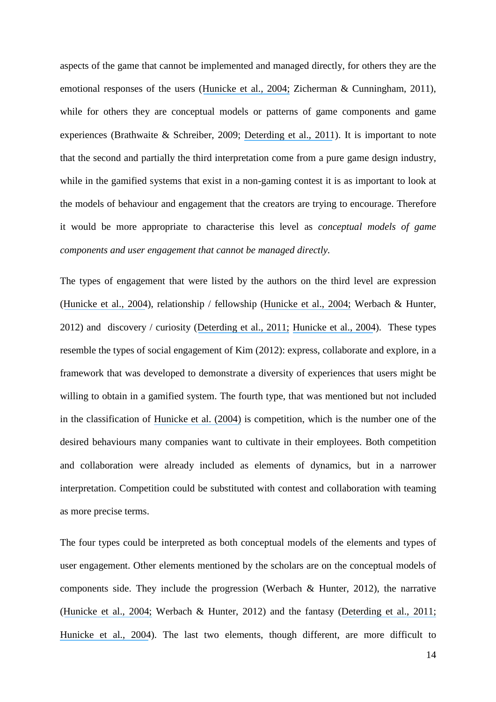aspects of the game that cannot be implemented and managed directly, for others they are the emotional responses of the users ([Hunicke et al., 2004;](https://www.researchgate.net/publication/228884866_MDA_A_Formal_Approach_to_Game_Design_and_Game_Research?el=1_x_8&enrichId=rgreq-380b8548-380d-47fa-a847-5da2325a33cf&enrichSource=Y292ZXJQYWdlOzMwMTc5OTM1MDtBUzozNTc2NzI4MDYzMDU3OTNAMTQ2MjI4NzI1MDc4Mw==) Zicherman & Cunningham, 2011), while for others they are conceptual models or patterns of game components and game experiences (Brathwaite & Schreiber, 2009; [Deterding et al., 2011](https://www.researchgate.net/publication/230854710_From_Game_Design_Elements_to_Gamefulness_Defining_Gamification?el=1_x_8&enrichId=rgreq-380b8548-380d-47fa-a847-5da2325a33cf&enrichSource=Y292ZXJQYWdlOzMwMTc5OTM1MDtBUzozNTc2NzI4MDYzMDU3OTNAMTQ2MjI4NzI1MDc4Mw==)). It is important to note that the second and partially the third interpretation come from a pure game design industry, while in the gamified systems that exist in a non-gaming contest it is as important to look at the models of behaviour and engagement that the creators are trying to encourage. Therefore it would be more appropriate to characterise this level as *conceptual models of game components and user engagement that cannot be managed directly.* 

The types of engagement that were listed by the authors on the third level are expression ([Hunicke et al., 2004](https://www.researchgate.net/publication/228884866_MDA_A_Formal_Approach_to_Game_Design_and_Game_Research?el=1_x_8&enrichId=rgreq-380b8548-380d-47fa-a847-5da2325a33cf&enrichSource=Y292ZXJQYWdlOzMwMTc5OTM1MDtBUzozNTc2NzI4MDYzMDU3OTNAMTQ2MjI4NzI1MDc4Mw==)), relationship / fellowship ([Hunicke et al., 2004;](https://www.researchgate.net/publication/228884866_MDA_A_Formal_Approach_to_Game_Design_and_Game_Research?el=1_x_8&enrichId=rgreq-380b8548-380d-47fa-a847-5da2325a33cf&enrichSource=Y292ZXJQYWdlOzMwMTc5OTM1MDtBUzozNTc2NzI4MDYzMDU3OTNAMTQ2MjI4NzI1MDc4Mw==) Werbach & Hunter, 2012) and discovery / curiosity ([Deterding et al., 2011;](https://www.researchgate.net/publication/230854710_From_Game_Design_Elements_to_Gamefulness_Defining_Gamification?el=1_x_8&enrichId=rgreq-380b8548-380d-47fa-a847-5da2325a33cf&enrichSource=Y292ZXJQYWdlOzMwMTc5OTM1MDtBUzozNTc2NzI4MDYzMDU3OTNAMTQ2MjI4NzI1MDc4Mw==) [Hunicke et al., 2004](https://www.researchgate.net/publication/228884866_MDA_A_Formal_Approach_to_Game_Design_and_Game_Research?el=1_x_8&enrichId=rgreq-380b8548-380d-47fa-a847-5da2325a33cf&enrichSource=Y292ZXJQYWdlOzMwMTc5OTM1MDtBUzozNTc2NzI4MDYzMDU3OTNAMTQ2MjI4NzI1MDc4Mw==)). These types resemble the types of social engagement of Kim (2012): express, collaborate and explore, in a framework that was developed to demonstrate a diversity of experiences that users might be willing to obtain in a gamified system. The fourth type, that was mentioned but not included in the classification of [Hunicke et al. \(2004\)](https://www.researchgate.net/publication/228884866_MDA_A_Formal_Approach_to_Game_Design_and_Game_Research?el=1_x_8&enrichId=rgreq-380b8548-380d-47fa-a847-5da2325a33cf&enrichSource=Y292ZXJQYWdlOzMwMTc5OTM1MDtBUzozNTc2NzI4MDYzMDU3OTNAMTQ2MjI4NzI1MDc4Mw==) is competition, which is the number one of the desired behaviours many companies want to cultivate in their employees. Both competition and collaboration were already included as elements of dynamics, but in a narrower interpretation. Competition could be substituted with contest and collaboration with teaming as more precise terms.

The four types could be interpreted as both conceptual models of the elements and types of user engagement. Other elements mentioned by the scholars are on the conceptual models of components side. They include the progression (Werbach & Hunter, 2012), the narrative ([Hunicke et al., 2004;](https://www.researchgate.net/publication/228884866_MDA_A_Formal_Approach_to_Game_Design_and_Game_Research?el=1_x_8&enrichId=rgreq-380b8548-380d-47fa-a847-5da2325a33cf&enrichSource=Y292ZXJQYWdlOzMwMTc5OTM1MDtBUzozNTc2NzI4MDYzMDU3OTNAMTQ2MjI4NzI1MDc4Mw==) Werbach & Hunter, 2012) and the fantasy ([Deterding et al., 2011;](https://www.researchgate.net/publication/230854710_From_Game_Design_Elements_to_Gamefulness_Defining_Gamification?el=1_x_8&enrichId=rgreq-380b8548-380d-47fa-a847-5da2325a33cf&enrichSource=Y292ZXJQYWdlOzMwMTc5OTM1MDtBUzozNTc2NzI4MDYzMDU3OTNAMTQ2MjI4NzI1MDc4Mw==) [Hunicke et al., 2004](https://www.researchgate.net/publication/228884866_MDA_A_Formal_Approach_to_Game_Design_and_Game_Research?el=1_x_8&enrichId=rgreq-380b8548-380d-47fa-a847-5da2325a33cf&enrichSource=Y292ZXJQYWdlOzMwMTc5OTM1MDtBUzozNTc2NzI4MDYzMDU3OTNAMTQ2MjI4NzI1MDc4Mw==)). The last two elements, though different, are more difficult to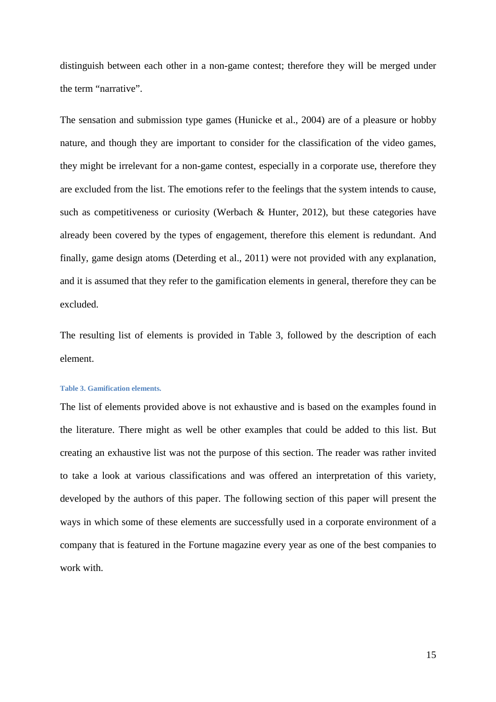distinguish between each other in a non-game contest; therefore they will be merged under the term "narrative".

The sensation and submission type games (Hunicke et al., 2004) are of a pleasure or hobby nature, and though they are important to consider for the classification of the video games, they might be irrelevant for a non-game contest, especially in a corporate use, therefore they are excluded from the list. The emotions refer to the feelings that the system intends to cause, such as competitiveness or curiosity (Werbach & Hunter, 2012), but these categories have already been covered by the types of engagement, therefore this element is redundant. And finally, game design atoms (Deterding et al., 2011) were not provided with any explanation, and it is assumed that they refer to the gamification elements in general, therefore they can be excluded.

The resulting list of elements is provided in Table 3, followed by the description of each element.

#### **Table 3. Gamification elements.**

The list of elements provided above is not exhaustive and is based on the examples found in the literature. There might as well be other examples that could be added to this list. But creating an exhaustive list was not the purpose of this section. The reader was rather invited to take a look at various classifications and was offered an interpretation of this variety, developed by the authors of this paper. The following section of this paper will present the ways in which some of these elements are successfully used in a corporate environment of a company that is featured in the Fortune magazine every year as one of the best companies to work with.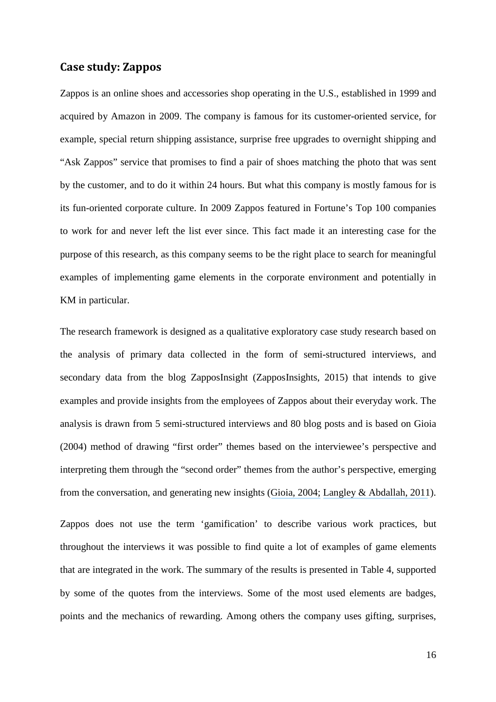## **Case study: Zappos**

Zappos is an online shoes and accessories shop operating in the U.S., established in 1999 and acquired by Amazon in 2009. The company is famous for its customer-oriented service, for example, special return shipping assistance, surprise free upgrades to overnight shipping and "Ask Zappos" service that promises to find a pair of shoes matching the photo that was sent by the customer, and to do it within 24 hours. But what this company is mostly famous for is its fun-oriented corporate culture. In 2009 Zappos featured in Fortune's Top 100 companies to work for and never left the list ever since. This fact made it an interesting case for the purpose of this research, as this company seems to be the right place to search for meaningful examples of implementing game elements in the corporate environment and potentially in KM in particular.

The research framework is designed as a qualitative exploratory case study research based on the analysis of primary data collected in the form of semi-structured interviews, and secondary data from the blog ZapposInsight (ZapposInsights, 2015) that intends to give examples and provide insights from the employees of Zappos about their everyday work. The analysis is drawn from 5 semi-structured interviews and 80 blog posts and is based on Gioia (2004) method of drawing "first order" themes based on the interviewee's perspective and interpreting them through the "second order" themes from the author's perspective, emerging from the conversation, and generating new insights ([Gioia, 2004;](https://www.researchgate.net/publication/284933613_A_renaissance_self_Prompting_personal_and_professional_revitalization?el=1_x_8&enrichId=rgreq-380b8548-380d-47fa-a847-5da2325a33cf&enrichSource=Y292ZXJQYWdlOzMwMTc5OTM1MDtBUzozNTc2NzI4MDYzMDU3OTNAMTQ2MjI4NzI1MDc4Mw==) [Langley & Abdallah, 2011](https://www.researchgate.net/publication/255702775_Templates_and_Turns_in_Qualitative_Studies_of_Strategy_and_Management?el=1_x_8&enrichId=rgreq-380b8548-380d-47fa-a847-5da2325a33cf&enrichSource=Y292ZXJQYWdlOzMwMTc5OTM1MDtBUzozNTc2NzI4MDYzMDU3OTNAMTQ2MjI4NzI1MDc4Mw==)).

Zappos does not use the term 'gamification' to describe various work practices, but throughout the interviews it was possible to find quite a lot of examples of game elements that are integrated in the work. The summary of the results is presented in Table 4, supported by some of the quotes from the interviews. Some of the most used elements are badges, points and the mechanics of rewarding. Among others the company uses gifting, surprises,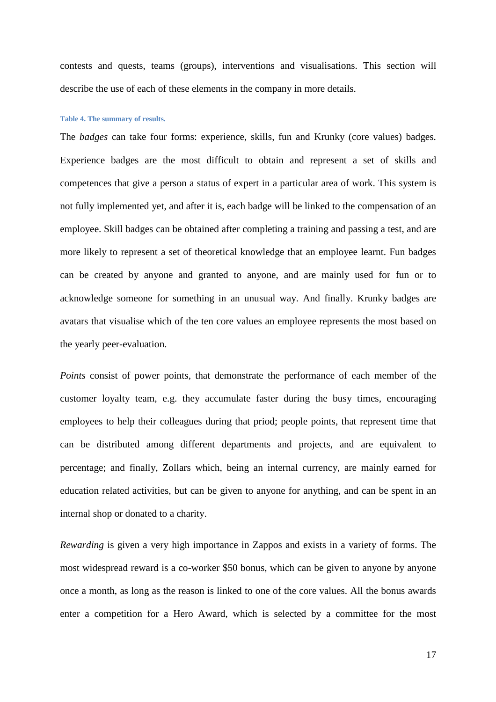contests and quests, teams (groups), interventions and visualisations. This section will describe the use of each of these elements in the company in more details.

#### **Table 4. The summary of results.**

The *badges* can take four forms: experience, skills, fun and Krunky (core values) badges. Experience badges are the most difficult to obtain and represent a set of skills and competences that give a person a status of expert in a particular area of work. This system is not fully implemented yet, and after it is, each badge will be linked to the compensation of an employee. Skill badges can be obtained after completing a training and passing a test, and are more likely to represent a set of theoretical knowledge that an employee learnt. Fun badges can be created by anyone and granted to anyone, and are mainly used for fun or to acknowledge someone for something in an unusual way. And finally. Krunky badges are avatars that visualise which of the ten core values an employee represents the most based on the yearly peer-evaluation.

*Points* consist of power points, that demonstrate the performance of each member of the customer loyalty team, e.g. they accumulate faster during the busy times, encouraging employees to help their colleagues during that priod; people points, that represent time that can be distributed among different departments and projects, and are equivalent to percentage; and finally, Zollars which, being an internal currency, are mainly earned for education related activities, but can be given to anyone for anything, and can be spent in an internal shop or donated to a charity.

*Rewarding* is given a very high importance in Zappos and exists in a variety of forms. The most widespread reward is a co-worker \$50 bonus, which can be given to anyone by anyone once a month, as long as the reason is linked to one of the core values. All the bonus awards enter a competition for a Hero Award, which is selected by a committee for the most

17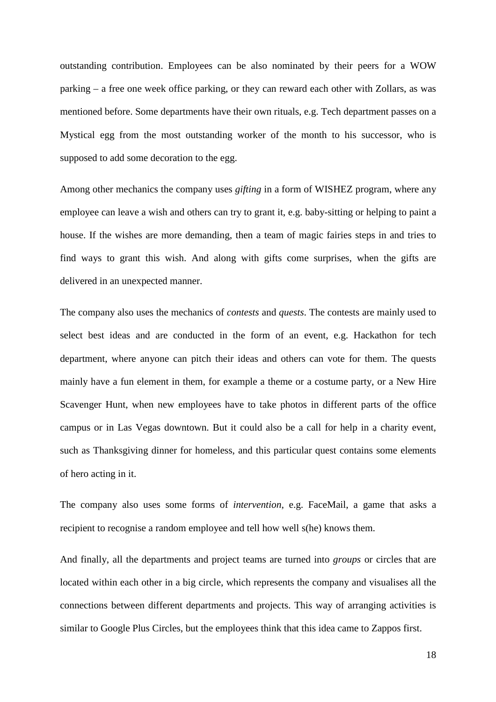outstanding contribution. Employees can be also nominated by their peers for a WOW parking – a free one week office parking, or they can reward each other with Zollars, as was mentioned before. Some departments have their own rituals, e.g. Tech department passes on a Mystical egg from the most outstanding worker of the month to his successor, who is supposed to add some decoration to the egg.

Among other mechanics the company uses *gifting* in a form of WISHEZ program, where any employee can leave a wish and others can try to grant it, e.g. baby-sitting or helping to paint a house. If the wishes are more demanding, then a team of magic fairies steps in and tries to find ways to grant this wish. And along with gifts come surprises, when the gifts are delivered in an unexpected manner.

The company also uses the mechanics of *contests* and *quests*. The contests are mainly used to select best ideas and are conducted in the form of an event, e.g. Hackathon for tech department, where anyone can pitch their ideas and others can vote for them. The quests mainly have a fun element in them, for example a theme or a costume party, or a New Hire Scavenger Hunt, when new employees have to take photos in different parts of the office campus or in Las Vegas downtown. But it could also be a call for help in a charity event, such as Thanksgiving dinner for homeless, and this particular quest contains some elements of hero acting in it.

The company also uses some forms of *intervention*, e.g. FaceMail, a game that asks a recipient to recognise a random employee and tell how well s(he) knows them.

And finally, all the departments and project teams are turned into *groups* or circles that are located within each other in a big circle, which represents the company and visualises all the connections between different departments and projects. This way of arranging activities is similar to Google Plus Circles, but the employees think that this idea came to Zappos first.

18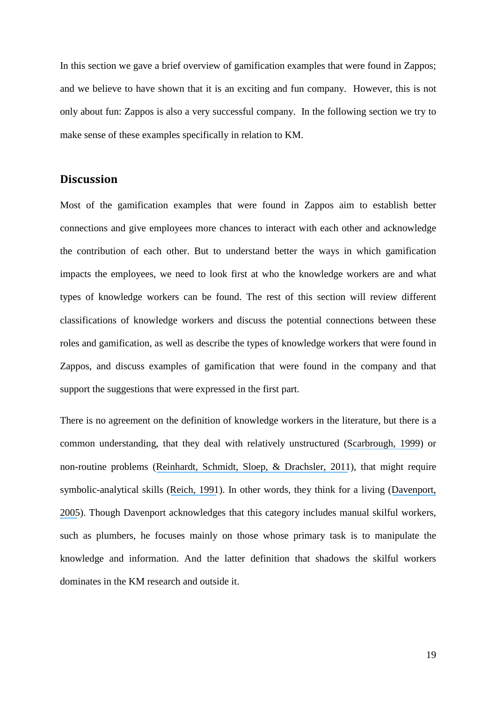In this section we gave a brief overview of gamification examples that were found in Zappos; and we believe to have shown that it is an exciting and fun company. However, this is not only about fun: Zappos is also a very successful company. In the following section we try to make sense of these examples specifically in relation to KM.

## **Discussion**

Most of the gamification examples that were found in Zappos aim to establish better connections and give employees more chances to interact with each other and acknowledge the contribution of each other. But to understand better the ways in which gamification impacts the employees, we need to look first at who the knowledge workers are and what types of knowledge workers can be found. The rest of this section will review different classifications of knowledge workers and discuss the potential connections between these roles and gamification, as well as describe the types of knowledge workers that were found in Zappos, and discuss examples of gamification that were found in the company and that support the suggestions that were expressed in the first part.

There is no agreement on the definition of knowledge workers in the literature, but there is a common understanding, that they deal with relatively unstructured ([Scarbrough, 1999](https://www.researchgate.net/publication/247497411_Knowledge_as_Work_Conflicts_in_the_Management_of_Knowledge_Workers?el=1_x_8&enrichId=rgreq-380b8548-380d-47fa-a847-5da2325a33cf&enrichSource=Y292ZXJQYWdlOzMwMTc5OTM1MDtBUzozNTc2NzI4MDYzMDU3OTNAMTQ2MjI4NzI1MDc4Mw==)) or non-routine problems ([Reinhardt, Schmidt, Sloep, & Drachsler, 2011](https://www.researchgate.net/publication/216015967_Knowledge_Worker_Roles_and_Actions-Results_of_Two_Empirical_Studies?el=1_x_8&enrichId=rgreq-380b8548-380d-47fa-a847-5da2325a33cf&enrichSource=Y292ZXJQYWdlOzMwMTc5OTM1MDtBUzozNTc2NzI4MDYzMDU3OTNAMTQ2MjI4NzI1MDc4Mw==)), that might require symbolic-analytical skills ([Reich, 1991](https://www.researchgate.net/publication/238678654_The_Work_of_Nations_Preparing_Ourselves_For_21st_Century_Capitalism?el=1_x_8&enrichId=rgreq-380b8548-380d-47fa-a847-5da2325a33cf&enrichSource=Y292ZXJQYWdlOzMwMTc5OTM1MDtBUzozNTc2NzI4MDYzMDU3OTNAMTQ2MjI4NzI1MDc4Mw==)). In other words, they think for a living ([Davenport,](https://www.researchgate.net/publication/248078273_Thinking_for_A_Living_How_to_Get_Better_Performance_and_Results_from_Knowledge_Workers?el=1_x_8&enrichId=rgreq-380b8548-380d-47fa-a847-5da2325a33cf&enrichSource=Y292ZXJQYWdlOzMwMTc5OTM1MDtBUzozNTc2NzI4MDYzMDU3OTNAMTQ2MjI4NzI1MDc4Mw==) [2005](https://www.researchgate.net/publication/248078273_Thinking_for_A_Living_How_to_Get_Better_Performance_and_Results_from_Knowledge_Workers?el=1_x_8&enrichId=rgreq-380b8548-380d-47fa-a847-5da2325a33cf&enrichSource=Y292ZXJQYWdlOzMwMTc5OTM1MDtBUzozNTc2NzI4MDYzMDU3OTNAMTQ2MjI4NzI1MDc4Mw==)). Though Davenport acknowledges that this category includes manual skilful workers, such as plumbers, he focuses mainly on those whose primary task is to manipulate the knowledge and information. And the latter definition that shadows the skilful workers dominates in the KM research and outside it.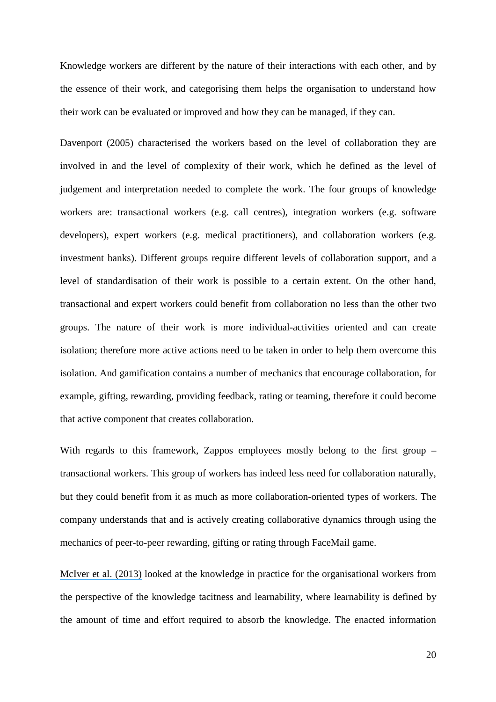Knowledge workers are different by the nature of their interactions with each other, and by the essence of their work, and categorising them helps the organisation to understand how their work can be evaluated or improved and how they can be managed, if they can.

Davenport (2005) characterised the workers based on the level of collaboration they are involved in and the level of complexity of their work, which he defined as the level of judgement and interpretation needed to complete the work. The four groups of knowledge workers are: transactional workers (e.g. call centres), integration workers (e.g. software developers), expert workers (e.g. medical practitioners), and collaboration workers (e.g. investment banks). Different groups require different levels of collaboration support, and a level of standardisation of their work is possible to a certain extent. On the other hand, transactional and expert workers could benefit from collaboration no less than the other two groups. The nature of their work is more individual-activities oriented and can create isolation; therefore more active actions need to be taken in order to help them overcome this isolation. And gamification contains a number of mechanics that encourage collaboration, for example, gifting, rewarding, providing feedback, rating or teaming, therefore it could become that active component that creates collaboration.

With regards to this framework, Zappos employees mostly belong to the first group – transactional workers. This group of workers has indeed less need for collaboration naturally, but they could benefit from it as much as more collaboration-oriented types of workers. The company understands that and is actively creating collaborative dynamics through using the mechanics of peer-to-peer rewarding, gifting or rating through FaceMail game.

[McIver et al. \(2013\)](https://www.researchgate.net/publication/259571321_Understanding_Work_and_Knowledge_Management_from_a_Knowledge-in-Practice_Perspective?el=1_x_8&enrichId=rgreq-380b8548-380d-47fa-a847-5da2325a33cf&enrichSource=Y292ZXJQYWdlOzMwMTc5OTM1MDtBUzozNTc2NzI4MDYzMDU3OTNAMTQ2MjI4NzI1MDc4Mw==) looked at the knowledge in practice for the organisational workers from the perspective of the knowledge tacitness and learnability, where learnability is defined by the amount of time and effort required to absorb the knowledge. The enacted information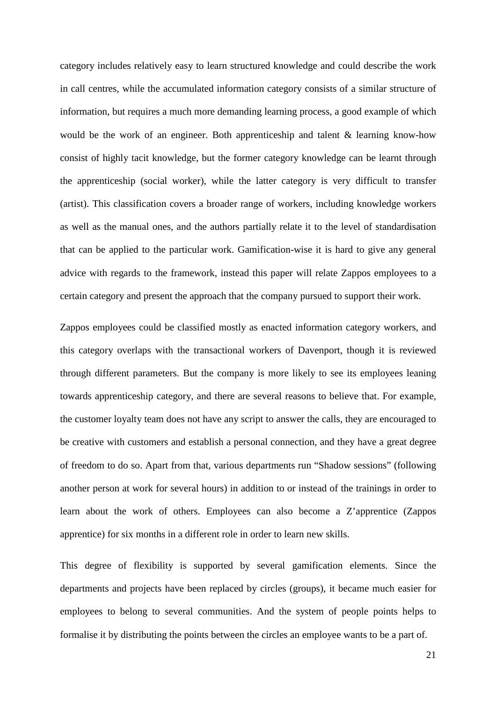category includes relatively easy to learn structured knowledge and could describe the work in call centres, while the accumulated information category consists of a similar structure of information, but requires a much more demanding learning process, a good example of which would be the work of an engineer. Both apprenticeship and talent & learning know-how consist of highly tacit knowledge, but the former category knowledge can be learnt through the apprenticeship (social worker), while the latter category is very difficult to transfer (artist). This classification covers a broader range of workers, including knowledge workers as well as the manual ones, and the authors partially relate it to the level of standardisation that can be applied to the particular work. Gamification-wise it is hard to give any general advice with regards to the framework, instead this paper will relate Zappos employees to a certain category and present the approach that the company pursued to support their work.

Zappos employees could be classified mostly as enacted information category workers, and this category overlaps with the transactional workers of Davenport, though it is reviewed through different parameters. But the company is more likely to see its employees leaning towards apprenticeship category, and there are several reasons to believe that. For example, the customer loyalty team does not have any script to answer the calls, they are encouraged to be creative with customers and establish a personal connection, and they have a great degree of freedom to do so. Apart from that, various departments run "Shadow sessions" (following another person at work for several hours) in addition to or instead of the trainings in order to learn about the work of others. Employees can also become a Z'apprentice (Zappos apprentice) for six months in a different role in order to learn new skills.

This degree of flexibility is supported by several gamification elements. Since the departments and projects have been replaced by circles (groups), it became much easier for employees to belong to several communities. And the system of people points helps to formalise it by distributing the points between the circles an employee wants to be a part of.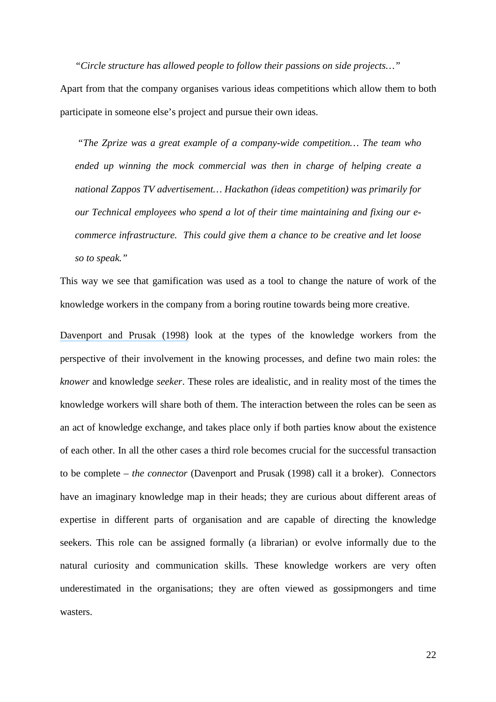*"Circle structure has allowed people to follow their passions on side projects…"* 

Apart from that the company organises various ideas competitions which allow them to both participate in someone else's project and pursue their own ideas.

 *"The Zprize was a great example of a company-wide competition… The team who ended up winning the mock commercial was then in charge of helping create a national Zappos TV advertisement… Hackathon (ideas competition) was primarily for our Technical employees who spend a lot of their time maintaining and fixing our ecommerce infrastructure. This could give them a chance to be creative and let loose so to speak."* 

This way we see that gamification was used as a tool to change the nature of work of the knowledge workers in the company from a boring routine towards being more creative.

[Davenport and Prusak \(1998\)](https://www.researchgate.net/publication/229099904_Working_With_Knowledge_How_Organizations_Manage_What_They_Know?el=1_x_8&enrichId=rgreq-380b8548-380d-47fa-a847-5da2325a33cf&enrichSource=Y292ZXJQYWdlOzMwMTc5OTM1MDtBUzozNTc2NzI4MDYzMDU3OTNAMTQ2MjI4NzI1MDc4Mw==) look at the types of the knowledge workers from the perspective of their involvement in the knowing processes, and define two main roles: the *knower* and knowledge *seeker*. These roles are idealistic, and in reality most of the times the knowledge workers will share both of them. The interaction between the roles can be seen as an act of knowledge exchange, and takes place only if both parties know about the existence of each other. In all the other cases a third role becomes crucial for the successful transaction to be complete – *the connector* (Davenport and Prusak (1998) call it a broker). Connectors have an imaginary knowledge map in their heads; they are curious about different areas of expertise in different parts of organisation and are capable of directing the knowledge seekers. This role can be assigned formally (a librarian) or evolve informally due to the natural curiosity and communication skills. These knowledge workers are very often underestimated in the organisations; they are often viewed as gossipmongers and time wasters.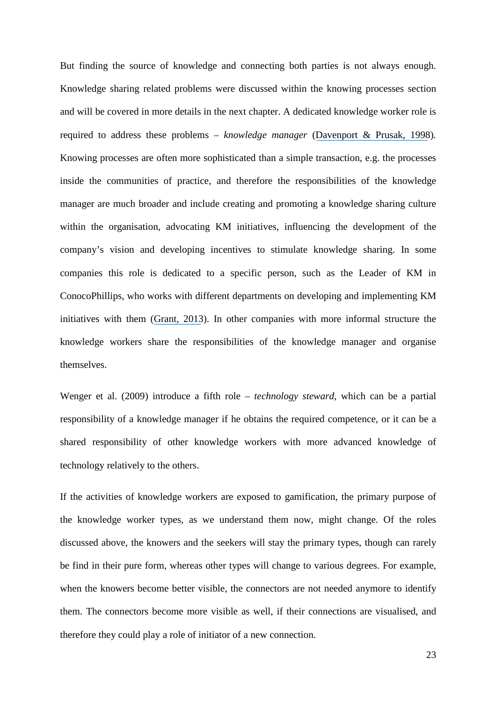But finding the source of knowledge and connecting both parties is not always enough. Knowledge sharing related problems were discussed within the knowing processes section and will be covered in more details in the next chapter. A dedicated knowledge worker role is required to address these problems – *knowledge manager* ([Davenport & Prusak, 1998](https://www.researchgate.net/publication/229099904_Working_With_Knowledge_How_Organizations_Manage_What_They_Know?el=1_x_8&enrichId=rgreq-380b8548-380d-47fa-a847-5da2325a33cf&enrichSource=Y292ZXJQYWdlOzMwMTc5OTM1MDtBUzozNTc2NzI4MDYzMDU3OTNAMTQ2MjI4NzI1MDc4Mw==))*.*  Knowing processes are often more sophisticated than a simple transaction, e.g. the processes inside the communities of practice, and therefore the responsibilities of the knowledge manager are much broader and include creating and promoting a knowledge sharing culture within the organisation, advocating KM initiatives, influencing the development of the company's vision and developing incentives to stimulate knowledge sharing. In some companies this role is dedicated to a specific person, such as the Leader of KM in ConocoPhillips, who works with different departments on developing and implementing KM initiatives with them ([Grant, 2013](https://www.researchgate.net/publication/282189754_The_development_of_knowledge_management_in_the_oil_and_gas_industry?el=1_x_8&enrichId=rgreq-380b8548-380d-47fa-a847-5da2325a33cf&enrichSource=Y292ZXJQYWdlOzMwMTc5OTM1MDtBUzozNTc2NzI4MDYzMDU3OTNAMTQ2MjI4NzI1MDc4Mw==)). In other companies with more informal structure the knowledge workers share the responsibilities of the knowledge manager and organise themselves.

Wenger et al. (2009) introduce a fifth role – *technology steward*, which can be a partial responsibility of a knowledge manager if he obtains the required competence, or it can be a shared responsibility of other knowledge workers with more advanced knowledge of technology relatively to the others.

If the activities of knowledge workers are exposed to gamification, the primary purpose of the knowledge worker types, as we understand them now, might change. Of the roles discussed above, the knowers and the seekers will stay the primary types, though can rarely be find in their pure form, whereas other types will change to various degrees. For example, when the knowers become better visible, the connectors are not needed anymore to identify them. The connectors become more visible as well, if their connections are visualised, and therefore they could play a role of initiator of a new connection.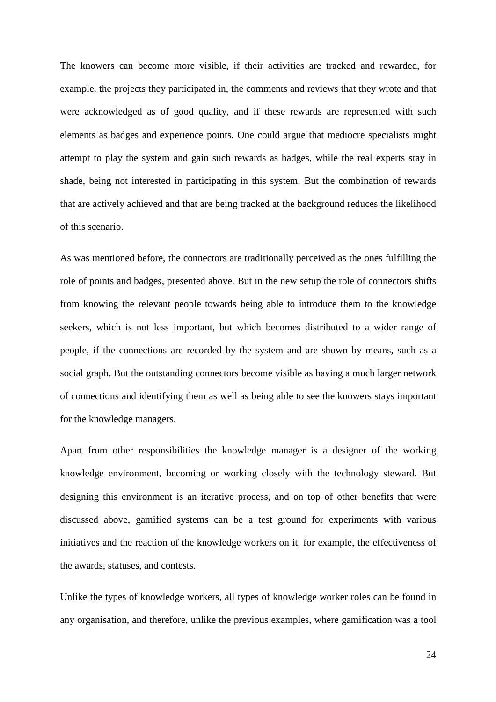The knowers can become more visible, if their activities are tracked and rewarded, for example, the projects they participated in, the comments and reviews that they wrote and that were acknowledged as of good quality, and if these rewards are represented with such elements as badges and experience points. One could argue that mediocre specialists might attempt to play the system and gain such rewards as badges, while the real experts stay in shade, being not interested in participating in this system. But the combination of rewards that are actively achieved and that are being tracked at the background reduces the likelihood of this scenario.

As was mentioned before, the connectors are traditionally perceived as the ones fulfilling the role of points and badges, presented above. But in the new setup the role of connectors shifts from knowing the relevant people towards being able to introduce them to the knowledge seekers, which is not less important, but which becomes distributed to a wider range of people, if the connections are recorded by the system and are shown by means, such as a social graph. But the outstanding connectors become visible as having a much larger network of connections and identifying them as well as being able to see the knowers stays important for the knowledge managers.

Apart from other responsibilities the knowledge manager is a designer of the working knowledge environment, becoming or working closely with the technology steward. But designing this environment is an iterative process, and on top of other benefits that were discussed above, gamified systems can be a test ground for experiments with various initiatives and the reaction of the knowledge workers on it, for example, the effectiveness of the awards, statuses, and contests.

Unlike the types of knowledge workers, all types of knowledge worker roles can be found in any organisation, and therefore, unlike the previous examples, where gamification was a tool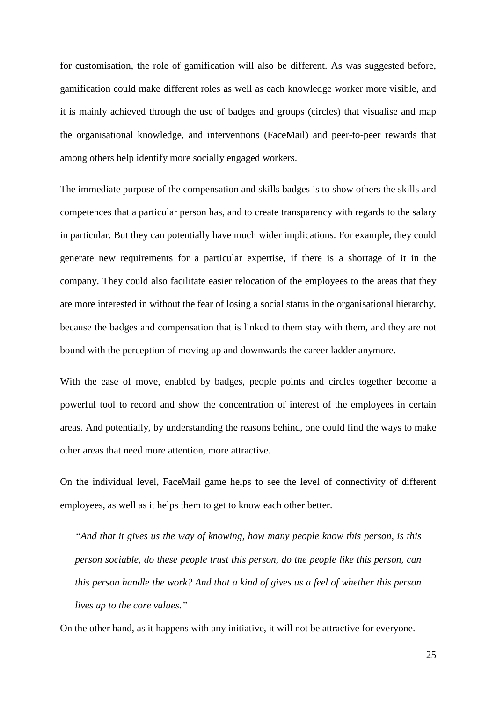for customisation, the role of gamification will also be different. As was suggested before, gamification could make different roles as well as each knowledge worker more visible, and it is mainly achieved through the use of badges and groups (circles) that visualise and map the organisational knowledge, and interventions (FaceMail) and peer-to-peer rewards that among others help identify more socially engaged workers.

The immediate purpose of the compensation and skills badges is to show others the skills and competences that a particular person has, and to create transparency with regards to the salary in particular. But they can potentially have much wider implications. For example, they could generate new requirements for a particular expertise, if there is a shortage of it in the company. They could also facilitate easier relocation of the employees to the areas that they are more interested in without the fear of losing a social status in the organisational hierarchy, because the badges and compensation that is linked to them stay with them, and they are not bound with the perception of moving up and downwards the career ladder anymore.

With the ease of move, enabled by badges, people points and circles together become a powerful tool to record and show the concentration of interest of the employees in certain areas. And potentially, by understanding the reasons behind, one could find the ways to make other areas that need more attention, more attractive.

On the individual level, FaceMail game helps to see the level of connectivity of different employees, as well as it helps them to get to know each other better.

*"And that it gives us the way of knowing, how many people know this person, is this person sociable, do these people trust this person, do the people like this person, can this person handle the work? And that a kind of gives us a feel of whether this person lives up to the core values."* 

On the other hand, as it happens with any initiative, it will not be attractive for everyone.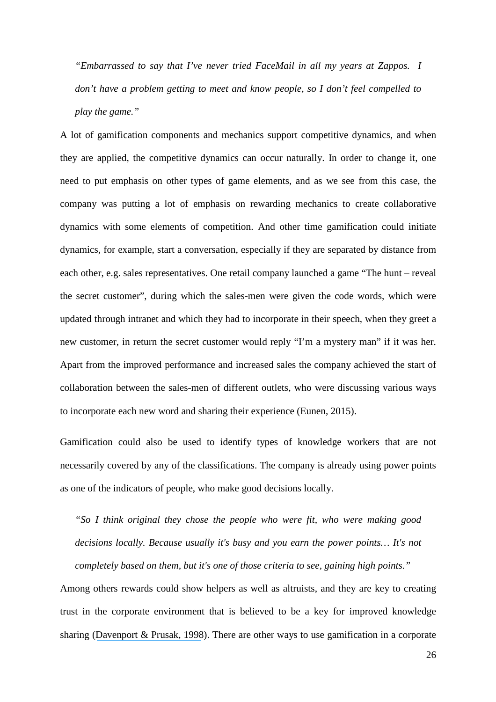*"Embarrassed to say that I've never tried FaceMail in all my years at Zappos. I don't have a problem getting to meet and know people, so I don't feel compelled to play the game."* 

A lot of gamification components and mechanics support competitive dynamics, and when they are applied, the competitive dynamics can occur naturally. In order to change it, one need to put emphasis on other types of game elements, and as we see from this case, the company was putting a lot of emphasis on rewarding mechanics to create collaborative dynamics with some elements of competition. And other time gamification could initiate dynamics, for example, start a conversation, especially if they are separated by distance from each other, e.g. sales representatives. One retail company launched a game "The hunt – reveal the secret customer", during which the sales-men were given the code words, which were updated through intranet and which they had to incorporate in their speech, when they greet a new customer, in return the secret customer would reply "I'm a mystery man" if it was her. Apart from the improved performance and increased sales the company achieved the start of collaboration between the sales-men of different outlets, who were discussing various ways to incorporate each new word and sharing their experience (Eunen, 2015).

Gamification could also be used to identify types of knowledge workers that are not necessarily covered by any of the classifications. The company is already using power points as one of the indicators of people, who make good decisions locally.

*"So I think original they chose the people who were fit, who were making good decisions locally. Because usually it's busy and you earn the power points… It's not completely based on them, but it's one of those criteria to see, gaining high points."* 

Among others rewards could show helpers as well as altruists, and they are key to creating trust in the corporate environment that is believed to be a key for improved knowledge sharing ([Davenport & Prusak, 1998](https://www.researchgate.net/publication/229099904_Working_With_Knowledge_How_Organizations_Manage_What_They_Know?el=1_x_8&enrichId=rgreq-380b8548-380d-47fa-a847-5da2325a33cf&enrichSource=Y292ZXJQYWdlOzMwMTc5OTM1MDtBUzozNTc2NzI4MDYzMDU3OTNAMTQ2MjI4NzI1MDc4Mw==)). There are other ways to use gamification in a corporate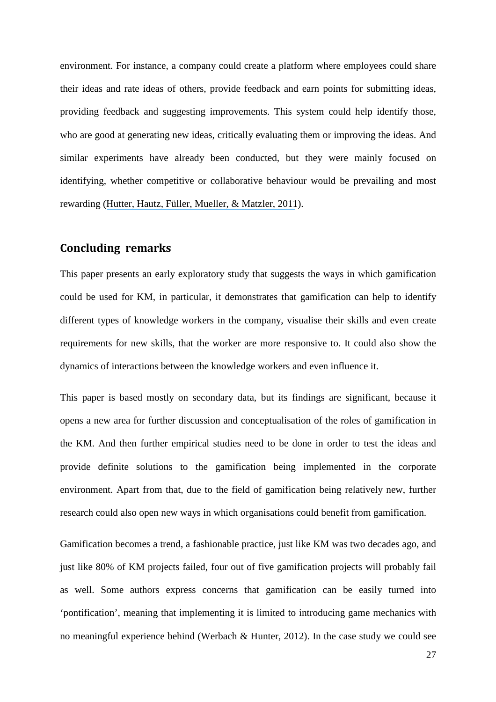environment. For instance, a company could create a platform where employees could share their ideas and rate ideas of others, provide feedback and earn points for submitting ideas, providing feedback and suggesting improvements. This system could help identify those, who are good at generating new ideas, critically evaluating them or improving the ideas. And similar experiments have already been conducted, but they were mainly focused on identifying, whether competitive or collaborative behaviour would be prevailing and most rewarding ([Hutter, Hautz, Füller, Mueller, & Matzler, 2011](https://www.researchgate.net/publication/216417591_Communitition_The_Tension_Between_Competition_and_Collaboration_in_Community_Based_Design_Contests?el=1_x_8&enrichId=rgreq-380b8548-380d-47fa-a847-5da2325a33cf&enrichSource=Y292ZXJQYWdlOzMwMTc5OTM1MDtBUzozNTc2NzI4MDYzMDU3OTNAMTQ2MjI4NzI1MDc4Mw==)).

## **Concluding remarks**

This paper presents an early exploratory study that suggests the ways in which gamification could be used for KM, in particular, it demonstrates that gamification can help to identify different types of knowledge workers in the company, visualise their skills and even create requirements for new skills, that the worker are more responsive to. It could also show the dynamics of interactions between the knowledge workers and even influence it.

This paper is based mostly on secondary data, but its findings are significant, because it opens a new area for further discussion and conceptualisation of the roles of gamification in the KM. And then further empirical studies need to be done in order to test the ideas and provide definite solutions to the gamification being implemented in the corporate environment. Apart from that, due to the field of gamification being relatively new, further research could also open new ways in which organisations could benefit from gamification.

Gamification becomes a trend, a fashionable practice, just like KM was two decades ago, and just like 80% of KM projects failed, four out of five gamification projects will probably fail as well. Some authors express concerns that gamification can be easily turned into 'pontification', meaning that implementing it is limited to introducing game mechanics with no meaningful experience behind (Werbach & Hunter, 2012). In the case study we could see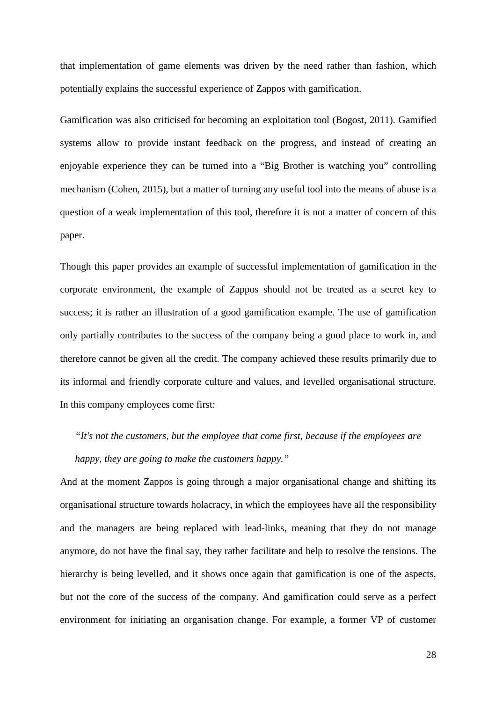that implementation of game elements was driven by the need rather than fashion, which potentially explains the successful experience of Zappos with gamification.

Gamification was also criticised for becoming an exploitation tool (Bogost, 2011). Gamified systems allow to provide instant feedback on the progress, and instead of creating an enjoyable experience they can be turned into a "Big Brother is watching you" controlling mechanism (Cohen, 2015), but a matter of turning any useful tool into the means of abuse is a question of a weak implementation of this tool, therefore it is not a matter of concern of this paper.

Though this paper provides an example of successful implementation of gamification in the corporate environment, the example of Zappos should not be treated as a secret key to success; it is rather an illustration of a good gamification example. The use of gamification only partially contributes to the success of the company being a good place to work in, and therefore cannot be given all the credit. The company achieved these results primarily due to its informal and friendly corporate culture and values, and levelled organisational structure. In this company employees come first:

*"It's not the customers, but the employee that come first, because if the employees are happy, they are going to make the customers happy."* 

And at the moment Zappos is going through a major organisational change and shifting its organisational structure towards holacracy, in which the employees have all the responsibility and the managers are being replaced with lead-links, meaning that they do not manage anymore, do not have the final say, they rather facilitate and help to resolve the tensions. The hierarchy is being levelled, and it shows once again that gamification is one of the aspects, but not the core of the success of the company. And gamification could serve as a perfect environment for initiating an organisation change. For example, a former VP of customer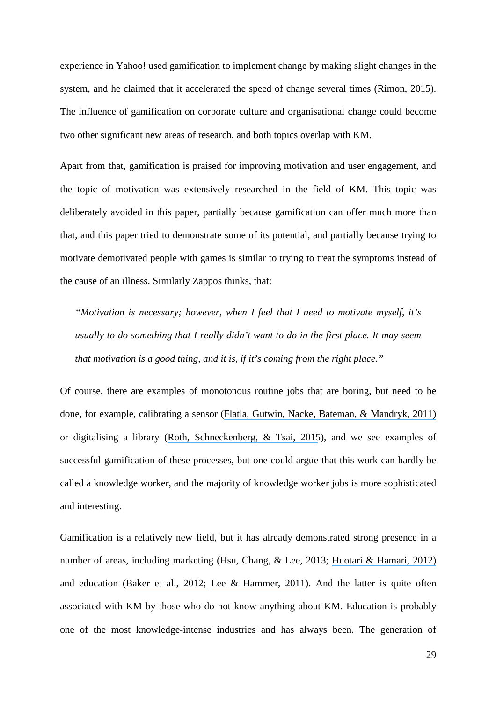experience in Yahoo! used gamification to implement change by making slight changes in the system, and he claimed that it accelerated the speed of change several times (Rimon, 2015). The influence of gamification on corporate culture and organisational change could become two other significant new areas of research, and both topics overlap with KM.

Apart from that, gamification is praised for improving motivation and user engagement, and the topic of motivation was extensively researched in the field of KM. This topic was deliberately avoided in this paper, partially because gamification can offer much more than that, and this paper tried to demonstrate some of its potential, and partially because trying to motivate demotivated people with games is similar to trying to treat the symptoms instead of the cause of an illness. Similarly Zappos thinks, that:

*"Motivation is necessary; however, when I feel that I need to motivate myself, it's usually to do something that I really didn't want to do in the first place. It may seem that motivation is a good thing, and it is, if it's coming from the right place."* 

Of course, there are examples of monotonous routine jobs that are boring, but need to be done, for example, calibrating a sensor ([Flatla, Gutwin, Nacke, Bateman, & Mandryk, 2011\)](https://www.researchgate.net/publication/220877091_Calibration_Games_Making_Calibration_Tasks_Enjoyable_by_Adding_Motivating_Game_Elements?el=1_x_8&enrichId=rgreq-380b8548-380d-47fa-a847-5da2325a33cf&enrichSource=Y292ZXJQYWdlOzMwMTc5OTM1MDtBUzozNTc2NzI4MDYzMDU3OTNAMTQ2MjI4NzI1MDc4Mw==) or digitalising a library ([Roth, Schneckenberg, & Tsai, 2015](https://www.researchgate.net/publication/276150809_The_Ludic_Drive_as_Innovation_Driver_Introduction_to_the_Gamification_of_Innovation_The_Ludic_Drive_as_Innovation_Driver?el=1_x_8&enrichId=rgreq-380b8548-380d-47fa-a847-5da2325a33cf&enrichSource=Y292ZXJQYWdlOzMwMTc5OTM1MDtBUzozNTc2NzI4MDYzMDU3OTNAMTQ2MjI4NzI1MDc4Mw==)), and we see examples of successful gamification of these processes, but one could argue that this work can hardly be called a knowledge worker, and the majority of knowledge worker jobs is more sophisticated and interesting.

Gamification is a relatively new field, but it has already demonstrated strong presence in a number of areas, including marketing (Hsu, Chang, & Lee, 2013; [Huotari & Hamari, 2012\)](https://www.researchgate.net/publication/259841647_Defining_Gamification_-_A_Service_Marketing_Perspective?el=1_x_8&enrichId=rgreq-380b8548-380d-47fa-a847-5da2325a33cf&enrichSource=Y292ZXJQYWdlOzMwMTc5OTM1MDtBUzozNTc2NzI4MDYzMDU3OTNAMTQ2MjI4NzI1MDc4Mw==) and education ([Baker et al., 2012;](https://www.researchgate.net/publication/234891604_The_Evolving_University_Disruptive_Change_and_Institutional_Innovation?el=1_x_8&enrichId=rgreq-380b8548-380d-47fa-a847-5da2325a33cf&enrichSource=Y292ZXJQYWdlOzMwMTc5OTM1MDtBUzozNTc2NzI4MDYzMDU3OTNAMTQ2MjI4NzI1MDc4Mw==) [Lee & Hammer, 2011](https://www.researchgate.net/publication/258697764_Gamification_in_Education_What_How_Why_Bother?el=1_x_8&enrichId=rgreq-380b8548-380d-47fa-a847-5da2325a33cf&enrichSource=Y292ZXJQYWdlOzMwMTc5OTM1MDtBUzozNTc2NzI4MDYzMDU3OTNAMTQ2MjI4NzI1MDc4Mw==)). And the latter is quite often associated with KM by those who do not know anything about KM. Education is probably one of the most knowledge-intense industries and has always been. The generation of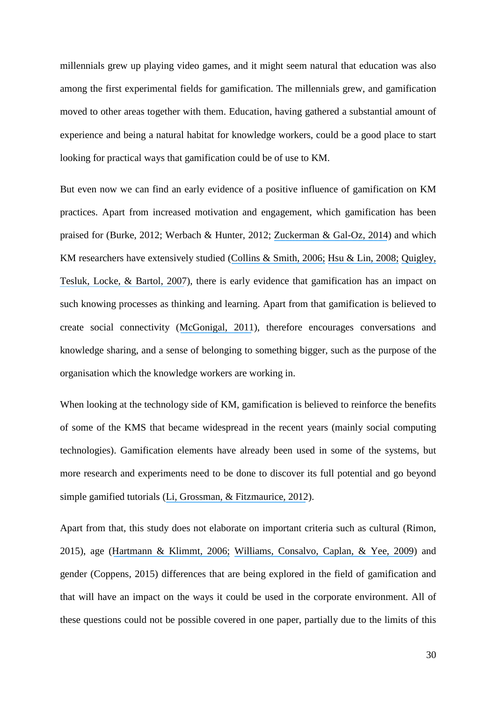millennials grew up playing video games, and it might seem natural that education was also among the first experimental fields for gamification. The millennials grew, and gamification moved to other areas together with them. Education, having gathered a substantial amount of experience and being a natural habitat for knowledge workers, could be a good place to start looking for practical ways that gamification could be of use to KM.

But even now we can find an early evidence of a positive influence of gamification on KM practices. Apart from increased motivation and engagement, which gamification has been praised for (Burke, 2012; Werbach & Hunter, 2012; [Zuckerman & Gal-Oz, 2014](https://www.researchgate.net/publication/266025077_Deconstructing_gamification_evaluating_the_effectiveness_of_continuous_measurement_virtual_rewards_and_social_comparison_for_promoting_physical_activity?el=1_x_8&enrichId=rgreq-380b8548-380d-47fa-a847-5da2325a33cf&enrichSource=Y292ZXJQYWdlOzMwMTc5OTM1MDtBUzozNTc2NzI4MDYzMDU3OTNAMTQ2MjI4NzI1MDc4Mw==)) and which KM researchers have extensively studied ([Collins & Smith, 2006;](https://www.researchgate.net/publication/234021442_Knowledge_Exchange_and_Combination_The_Role_of_Human_Resource_Practices_in_the_Performance_of_High-Technology_Firms?el=1_x_8&enrichId=rgreq-380b8548-380d-47fa-a847-5da2325a33cf&enrichSource=Y292ZXJQYWdlOzMwMTc5OTM1MDtBUzozNTc2NzI4MDYzMDU3OTNAMTQ2MjI4NzI1MDc4Mw==) [Hsu & Lin, 2008;](https://www.researchgate.net/publication/222409249_Acceptance_of_blog_usage_the_roles_of_technology_acceptance_social_influence_and_knowledge_sharing_motivation_Inf_Manag?el=1_x_8&enrichId=rgreq-380b8548-380d-47fa-a847-5da2325a33cf&enrichSource=Y292ZXJQYWdlOzMwMTc5OTM1MDtBUzozNTc2NzI4MDYzMDU3OTNAMTQ2MjI4NzI1MDc4Mw==) [Quigley,](https://www.researchgate.net/publication/234021833_A_Multilevel_Investigation_of_the_Motivational_Mechanisms_Underlying_Knowledge_Sharing_Performance?el=1_x_8&enrichId=rgreq-380b8548-380d-47fa-a847-5da2325a33cf&enrichSource=Y292ZXJQYWdlOzMwMTc5OTM1MDtBUzozNTc2NzI4MDYzMDU3OTNAMTQ2MjI4NzI1MDc4Mw==) [Tesluk, Locke, & Bartol, 2007](https://www.researchgate.net/publication/234021833_A_Multilevel_Investigation_of_the_Motivational_Mechanisms_Underlying_Knowledge_Sharing_Performance?el=1_x_8&enrichId=rgreq-380b8548-380d-47fa-a847-5da2325a33cf&enrichSource=Y292ZXJQYWdlOzMwMTc5OTM1MDtBUzozNTc2NzI4MDYzMDU3OTNAMTQ2MjI4NzI1MDc4Mw==)), there is early evidence that gamification has an impact on such knowing processes as thinking and learning. Apart from that gamification is believed to create social connectivity ([McGonigal, 2011](https://www.researchgate.net/publication/244486521_Reality_is_Broken_Why_Games_Make_Us_Better_and_How_They_Can_Change_the_World?el=1_x_8&enrichId=rgreq-380b8548-380d-47fa-a847-5da2325a33cf&enrichSource=Y292ZXJQYWdlOzMwMTc5OTM1MDtBUzozNTc2NzI4MDYzMDU3OTNAMTQ2MjI4NzI1MDc4Mw==)), therefore encourages conversations and knowledge sharing, and a sense of belonging to something bigger, such as the purpose of the organisation which the knowledge workers are working in.

When looking at the technology side of KM, gamification is believed to reinforce the benefits of some of the KMS that became widespread in the recent years (mainly social computing technologies). Gamification elements have already been used in some of the systems, but more research and experiments need to be done to discover its full potential and go beyond simple gamified tutorials ([Li, Grossman, & Fitzmaurice, 2012](https://www.researchgate.net/publication/262333846_GamiCAD_A_gamified_tutorial_system_for_first_time_AutoCAD_users?el=1_x_8&enrichId=rgreq-380b8548-380d-47fa-a847-5da2325a33cf&enrichSource=Y292ZXJQYWdlOzMwMTc5OTM1MDtBUzozNTc2NzI4MDYzMDU3OTNAMTQ2MjI4NzI1MDc4Mw==)).

Apart from that, this study does not elaborate on important criteria such as cultural (Rimon, 2015), age ([Hartmann & Klimmt, 2006;](https://www.researchgate.net/publication/220438048_Gender_and_Computer_Games_Exploring_Females) [Williams, Consalvo, Caplan, & Yee, 2009](https://www.researchgate.net/publication/227509913_Looking_for_Gender_Gender_Roles_and_Behaviors_Among_Online_Gamers?el=1_x_8&enrichId=rgreq-380b8548-380d-47fa-a847-5da2325a33cf&enrichSource=Y292ZXJQYWdlOzMwMTc5OTM1MDtBUzozNTc2NzI4MDYzMDU3OTNAMTQ2MjI4NzI1MDc4Mw==)) and gender (Coppens, 2015) differences that are being explored in the field of gamification and that will have an impact on the ways it could be used in the corporate environment. All of these questions could not be possible covered in one paper, partially due to the limits of this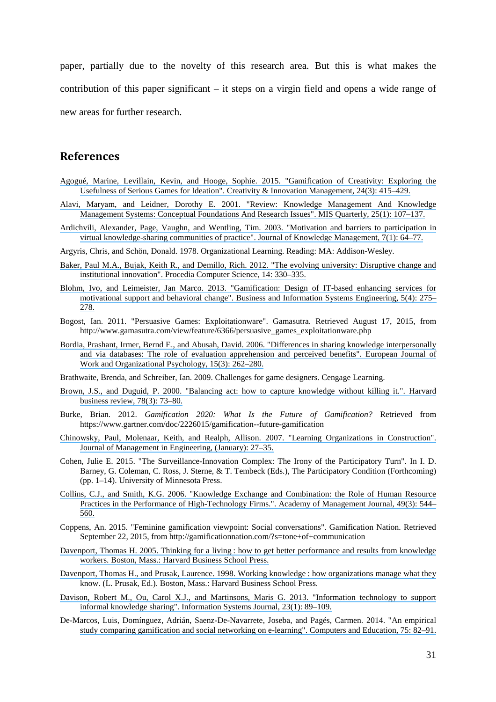paper, partially due to the novelty of this research area. But this is what makes the contribution of this paper significant – it steps on a virgin field and opens a wide range of new areas for further research.

## **References**

- [Agogué, Marine, Levillain, Kevin, and Hooge, Sophie. 2015. "Gamification of Creativity: Exploring the](https://www.researchgate.net/publication/281059637_Gamification_of_Creativity_Exploring_the_Usefulness_of_Serious_Games_for_Ideation?el=1_x_8&enrichId=rgreq-380b8548-380d-47fa-a847-5da2325a33cf&enrichSource=Y292ZXJQYWdlOzMwMTc5OTM1MDtBUzozNTc2NzI4MDYzMDU3OTNAMTQ2MjI4NzI1MDc4Mw==) [Usefulness of Serious Games for Ideation". Creativity & Innovation Management, 24\(3\): 415–429.](https://www.researchgate.net/publication/281059637_Gamification_of_Creativity_Exploring_the_Usefulness_of_Serious_Games_for_Ideation?el=1_x_8&enrichId=rgreq-380b8548-380d-47fa-a847-5da2325a33cf&enrichSource=Y292ZXJQYWdlOzMwMTc5OTM1MDtBUzozNTc2NzI4MDYzMDU3OTNAMTQ2MjI4NzI1MDc4Mw==)
- [Alavi, Maryam, and Leidner, Dorothy E. 2001. "Review: Knowledge Management And Knowledge](https://www.researchgate.net/publication/220260337_Review_Knowledge_Management_and_Knowledge_Management_Systems_Conceptual_Foundations_and_Research_Issues?el=1_x_8&enrichId=rgreq-380b8548-380d-47fa-a847-5da2325a33cf&enrichSource=Y292ZXJQYWdlOzMwMTc5OTM1MDtBUzozNTc2NzI4MDYzMDU3OTNAMTQ2MjI4NzI1MDc4Mw==) [Management Systems: Conceptual Foundations And Research Issues". MIS Quarterly, 25\(1\): 107–137.](https://www.researchgate.net/publication/220260337_Review_Knowledge_Management_and_Knowledge_Management_Systems_Conceptual_Foundations_and_Research_Issues?el=1_x_8&enrichId=rgreq-380b8548-380d-47fa-a847-5da2325a33cf&enrichSource=Y292ZXJQYWdlOzMwMTc5OTM1MDtBUzozNTc2NzI4MDYzMDU3OTNAMTQ2MjI4NzI1MDc4Mw==)
- [Ardichvili, Alexander, Page, Vaughn, and Wentling, Tim. 2003. "Motivation and barriers to participation in](https://www.researchgate.net/publication/220363539_Motivation_and_Barriers_to_Participation_in_Virtual_Knowledge-Sharing_Communities_of_Practice?el=1_x_8&enrichId=rgreq-380b8548-380d-47fa-a847-5da2325a33cf&enrichSource=Y292ZXJQYWdlOzMwMTc5OTM1MDtBUzozNTc2NzI4MDYzMDU3OTNAMTQ2MjI4NzI1MDc4Mw==) [virtual knowledge-sharing communities of practice". Journal of Knowledge Management, 7\(1\): 64–77.](https://www.researchgate.net/publication/220363539_Motivation_and_Barriers_to_Participation_in_Virtual_Knowledge-Sharing_Communities_of_Practice?el=1_x_8&enrichId=rgreq-380b8548-380d-47fa-a847-5da2325a33cf&enrichSource=Y292ZXJQYWdlOzMwMTc5OTM1MDtBUzozNTc2NzI4MDYzMDU3OTNAMTQ2MjI4NzI1MDc4Mw==)
- Argyris, Chris, and Schön, Donald. 1978. Organizational Learning. Reading: MA: Addison-Wesley.
- [Baker, Paul M.A., Bujak, Keith R., and Demillo, Rich. 2012. "The evolving university: Disruptive change and](https://www.researchgate.net/publication/234891604_The_Evolving_University_Disruptive_Change_and_Institutional_Innovation?el=1_x_8&enrichId=rgreq-380b8548-380d-47fa-a847-5da2325a33cf&enrichSource=Y292ZXJQYWdlOzMwMTc5OTM1MDtBUzozNTc2NzI4MDYzMDU3OTNAMTQ2MjI4NzI1MDc4Mw==) [institutional innovation". Procedia Computer Science, 14: 330–335.](https://www.researchgate.net/publication/234891604_The_Evolving_University_Disruptive_Change_and_Institutional_Innovation?el=1_x_8&enrichId=rgreq-380b8548-380d-47fa-a847-5da2325a33cf&enrichSource=Y292ZXJQYWdlOzMwMTc5OTM1MDtBUzozNTc2NzI4MDYzMDU3OTNAMTQ2MjI4NzI1MDc4Mw==)
- [Blohm, Ivo, and Leimeister, Jan Marco. 2013. "Gamification: Design of IT-based enhancing services for](https://www.researchgate.net/publication/260988461_Gamification_Design_of_IT-Based_Enhancing_Services_for_Motivational_Support_and_Behavioral_Change?el=1_x_8&enrichId=rgreq-380b8548-380d-47fa-a847-5da2325a33cf&enrichSource=Y292ZXJQYWdlOzMwMTc5OTM1MDtBUzozNTc2NzI4MDYzMDU3OTNAMTQ2MjI4NzI1MDc4Mw==) [motivational support and behavioral change". Business and Information Systems Engineering, 5\(4\): 275–](https://www.researchgate.net/publication/260988461_Gamification_Design_of_IT-Based_Enhancing_Services_for_Motivational_Support_and_Behavioral_Change?el=1_x_8&enrichId=rgreq-380b8548-380d-47fa-a847-5da2325a33cf&enrichSource=Y292ZXJQYWdlOzMwMTc5OTM1MDtBUzozNTc2NzI4MDYzMDU3OTNAMTQ2MjI4NzI1MDc4Mw==) [278.](https://www.researchgate.net/publication/260988461_Gamification_Design_of_IT-Based_Enhancing_Services_for_Motivational_Support_and_Behavioral_Change?el=1_x_8&enrichId=rgreq-380b8548-380d-47fa-a847-5da2325a33cf&enrichSource=Y292ZXJQYWdlOzMwMTc5OTM1MDtBUzozNTc2NzI4MDYzMDU3OTNAMTQ2MjI4NzI1MDc4Mw==)
- Bogost, Ian. 2011. "Persuasive Games: Exploitationware". Gamasutra. Retrieved August 17, 2015, from http://www.gamasutra.com/view/feature/6366/persuasive\_games\_exploitationware.php
- [Bordia, Prashant, Irmer, Bernd E., and Abusah, David. 2006. "Differences in sharing knowledge interpersonally](https://www.researchgate.net/publication/45502939_Differences_in_Sharing_Knowledge_Interpersonally_and_Via_Database_The_Role_of_Evaluation_Apprehension_and_Perceived_Benefits?el=1_x_8&enrichId=rgreq-380b8548-380d-47fa-a847-5da2325a33cf&enrichSource=Y292ZXJQYWdlOzMwMTc5OTM1MDtBUzozNTc2NzI4MDYzMDU3OTNAMTQ2MjI4NzI1MDc4Mw==) [and via databases: The role of evaluation apprehension and perceived benefits". European Journal of](https://www.researchgate.net/publication/45502939_Differences_in_Sharing_Knowledge_Interpersonally_and_Via_Database_The_Role_of_Evaluation_Apprehension_and_Perceived_Benefits?el=1_x_8&enrichId=rgreq-380b8548-380d-47fa-a847-5da2325a33cf&enrichSource=Y292ZXJQYWdlOzMwMTc5OTM1MDtBUzozNTc2NzI4MDYzMDU3OTNAMTQ2MjI4NzI1MDc4Mw==) [Work and Organizational Psychology, 15\(3\): 262–280.](https://www.researchgate.net/publication/45502939_Differences_in_Sharing_Knowledge_Interpersonally_and_Via_Database_The_Role_of_Evaluation_Apprehension_and_Perceived_Benefits?el=1_x_8&enrichId=rgreq-380b8548-380d-47fa-a847-5da2325a33cf&enrichSource=Y292ZXJQYWdlOzMwMTc5OTM1MDtBUzozNTc2NzI4MDYzMDU3OTNAMTQ2MjI4NzI1MDc4Mw==)
- Brathwaite, Brenda, and Schreiber, Ian. 2009. Challenges for game designers. Cengage Learning.
- [Brown, J.S., and Duguid, P. 2000. "Balancing act: how to capture knowledge without killing it.". Harvard](https://www.researchgate.net/publication/12147031_Balancing_Act_How_to_Capture_Knowledge_Without_Killing_it?el=1_x_8&enrichId=rgreq-380b8548-380d-47fa-a847-5da2325a33cf&enrichSource=Y292ZXJQYWdlOzMwMTc5OTM1MDtBUzozNTc2NzI4MDYzMDU3OTNAMTQ2MjI4NzI1MDc4Mw==) [business review, 78\(3\): 73–80.](https://www.researchgate.net/publication/12147031_Balancing_Act_How_to_Capture_Knowledge_Without_Killing_it?el=1_x_8&enrichId=rgreq-380b8548-380d-47fa-a847-5da2325a33cf&enrichSource=Y292ZXJQYWdlOzMwMTc5OTM1MDtBUzozNTc2NzI4MDYzMDU3OTNAMTQ2MjI4NzI1MDc4Mw==)
- Burke, Brian. 2012. *Gamification 2020: What Is the Future of Gamification?* Retrieved from https://www.gartner.com/doc/2226015/gamification--future-gamification
- [Chinowsky, Paul, Molenaar, Keith, and Realph, Allison. 2007. "Learning Organizations in Construction".](https://www.researchgate.net/publication/245298461_Learning_Organizations_in_Construction?el=1_x_8&enrichId=rgreq-380b8548-380d-47fa-a847-5da2325a33cf&enrichSource=Y292ZXJQYWdlOzMwMTc5OTM1MDtBUzozNTc2NzI4MDYzMDU3OTNAMTQ2MjI4NzI1MDc4Mw==) [Journal of Management in Engineering, \(January\): 27–35.](https://www.researchgate.net/publication/245298461_Learning_Organizations_in_Construction?el=1_x_8&enrichId=rgreq-380b8548-380d-47fa-a847-5da2325a33cf&enrichSource=Y292ZXJQYWdlOzMwMTc5OTM1MDtBUzozNTc2NzI4MDYzMDU3OTNAMTQ2MjI4NzI1MDc4Mw==)
- Cohen, Julie E. 2015. "The Surveillance-Innovation Complex: The Irony of the Participatory Turn". In I. D. Barney, G. Coleman, C. Ross, J. Sterne, & T. Tembeck (Eds.), The Participatory Condition (Forthcoming) (pp. 1–14). University of Minnesota Press.
- [Collins, C.J., and Smith, K.G. 2006. "Knowledge Exchange and Combination: the Role of Human Resource](https://www.researchgate.net/publication/234021442_Knowledge_Exchange_and_Combination_The_Role_of_Human_Resource_Practices_in_the_Performance_of_High-Technology_Firms?el=1_x_8&enrichId=rgreq-380b8548-380d-47fa-a847-5da2325a33cf&enrichSource=Y292ZXJQYWdlOzMwMTc5OTM1MDtBUzozNTc2NzI4MDYzMDU3OTNAMTQ2MjI4NzI1MDc4Mw==) [Practices in the Performance of High-Technology Firms.". Academy of Management Journal, 49\(3\): 544–](https://www.researchgate.net/publication/234021442_Knowledge_Exchange_and_Combination_The_Role_of_Human_Resource_Practices_in_the_Performance_of_High-Technology_Firms?el=1_x_8&enrichId=rgreq-380b8548-380d-47fa-a847-5da2325a33cf&enrichSource=Y292ZXJQYWdlOzMwMTc5OTM1MDtBUzozNTc2NzI4MDYzMDU3OTNAMTQ2MjI4NzI1MDc4Mw==) [560.](https://www.researchgate.net/publication/234021442_Knowledge_Exchange_and_Combination_The_Role_of_Human_Resource_Practices_in_the_Performance_of_High-Technology_Firms?el=1_x_8&enrichId=rgreq-380b8548-380d-47fa-a847-5da2325a33cf&enrichSource=Y292ZXJQYWdlOzMwMTc5OTM1MDtBUzozNTc2NzI4MDYzMDU3OTNAMTQ2MjI4NzI1MDc4Mw==)
- Coppens, An. 2015. "Feminine gamification viewpoint: Social conversations". Gamification Nation. Retrieved September 22, 2015, from http://gamificationnation.com/?s=tone+of+communication
- Davenport, Thomas H. 2005. Thinking for a living [: how to get better performance and results from knowledge](https://www.researchgate.net/publication/248078273_Thinking_for_A_Living_How_to_Get_Better_Performance_and_Results_from_Knowledge_Workers?el=1_x_8&enrichId=rgreq-380b8548-380d-47fa-a847-5da2325a33cf&enrichSource=Y292ZXJQYWdlOzMwMTc5OTM1MDtBUzozNTc2NzI4MDYzMDU3OTNAMTQ2MjI4NzI1MDc4Mw==) [workers. Boston, Mass.: Harvard Business School Press.](https://www.researchgate.net/publication/248078273_Thinking_for_A_Living_How_to_Get_Better_Performance_and_Results_from_Knowledge_Workers?el=1_x_8&enrichId=rgreq-380b8548-380d-47fa-a847-5da2325a33cf&enrichSource=Y292ZXJQYWdlOzMwMTc5OTM1MDtBUzozNTc2NzI4MDYzMDU3OTNAMTQ2MjI4NzI1MDc4Mw==)
- [Davenport, Thomas H., and Prusak, Laurence. 1998. Working knowledge](https://www.researchgate.net/publication/229099904_Working_With_Knowledge_How_Organizations_Manage_What_They_Know?el=1_x_8&enrichId=rgreq-380b8548-380d-47fa-a847-5da2325a33cf&enrichSource=Y292ZXJQYWdlOzMwMTc5OTM1MDtBUzozNTc2NzI4MDYzMDU3OTNAMTQ2MjI4NzI1MDc4Mw==) : how organizations manage what they [know. \(L. Prusak, Ed.\). Boston, Mass.: Harvard Business School Press.](https://www.researchgate.net/publication/229099904_Working_With_Knowledge_How_Organizations_Manage_What_They_Know?el=1_x_8&enrichId=rgreq-380b8548-380d-47fa-a847-5da2325a33cf&enrichSource=Y292ZXJQYWdlOzMwMTc5OTM1MDtBUzozNTc2NzI4MDYzMDU3OTNAMTQ2MjI4NzI1MDc4Mw==)
- [Davison, Robert M., Ou, Carol X.J., and Martinsons, Maris G. 2013. "Information technology to support](https://www.researchgate.net/publication/262425791_Information_technology_to_support_informal_knowledge_sharing?el=1_x_8&enrichId=rgreq-380b8548-380d-47fa-a847-5da2325a33cf&enrichSource=Y292ZXJQYWdlOzMwMTc5OTM1MDtBUzozNTc2NzI4MDYzMDU3OTNAMTQ2MjI4NzI1MDc4Mw==) [informal knowledge sharing". Information Systems Journal, 23\(1\): 89–109.](https://www.researchgate.net/publication/262425791_Information_technology_to_support_informal_knowledge_sharing?el=1_x_8&enrichId=rgreq-380b8548-380d-47fa-a847-5da2325a33cf&enrichSource=Y292ZXJQYWdlOzMwMTc5OTM1MDtBUzozNTc2NzI4MDYzMDU3OTNAMTQ2MjI4NzI1MDc4Mw==)
- [De-Marcos, Luis, Domínguez, Adrián, Saenz-De-Navarrete, Joseba, and Pagés, Carmen. 2014. "An empirical](https://www.researchgate.net/publication/260605745_An_empirical_study_comparing_gamification_and_social_networking_on_e-learning?el=1_x_8&enrichId=rgreq-380b8548-380d-47fa-a847-5da2325a33cf&enrichSource=Y292ZXJQYWdlOzMwMTc5OTM1MDtBUzozNTc2NzI4MDYzMDU3OTNAMTQ2MjI4NzI1MDc4Mw==) [study comparing gamification and social networking on e-learning". Computers and Education, 75: 82–91.](https://www.researchgate.net/publication/260605745_An_empirical_study_comparing_gamification_and_social_networking_on_e-learning?el=1_x_8&enrichId=rgreq-380b8548-380d-47fa-a847-5da2325a33cf&enrichSource=Y292ZXJQYWdlOzMwMTc5OTM1MDtBUzozNTc2NzI4MDYzMDU3OTNAMTQ2MjI4NzI1MDc4Mw==)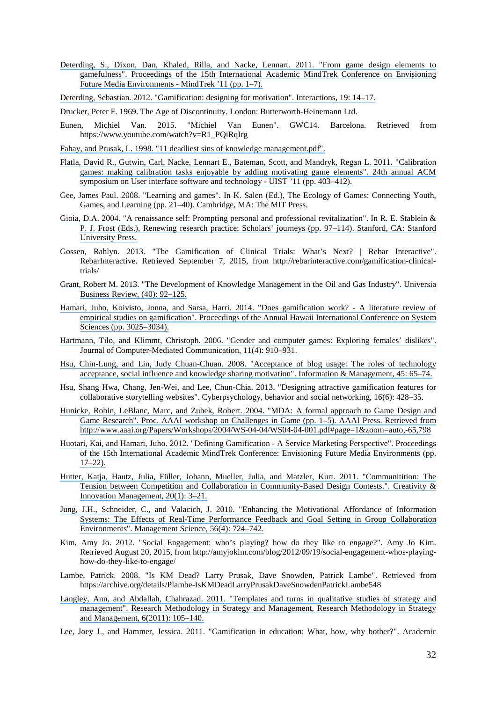- [Deterding, S., Dixon, Dan, Khaled, Rilla, and Nacke, Lennart. 2011. "From game design elements to](https://www.researchgate.net/publication/230854710_From_Game_Design_Elements_to_Gamefulness_Defining_Gamification?el=1_x_8&enrichId=rgreq-380b8548-380d-47fa-a847-5da2325a33cf&enrichSource=Y292ZXJQYWdlOzMwMTc5OTM1MDtBUzozNTc2NzI4MDYzMDU3OTNAMTQ2MjI4NzI1MDc4Mw==) [gamefulness". Proceedings of the 15th International Academic MindTrek Conference on Envisioning](https://www.researchgate.net/publication/230854710_From_Game_Design_Elements_to_Gamefulness_Defining_Gamification?el=1_x_8&enrichId=rgreq-380b8548-380d-47fa-a847-5da2325a33cf&enrichSource=Y292ZXJQYWdlOzMwMTc5OTM1MDtBUzozNTc2NzI4MDYzMDU3OTNAMTQ2MjI4NzI1MDc4Mw==) [Future Media Environments - MindTrek '11 \(pp. 1–7\).](https://www.researchgate.net/publication/230854710_From_Game_Design_Elements_to_Gamefulness_Defining_Gamification?el=1_x_8&enrichId=rgreq-380b8548-380d-47fa-a847-5da2325a33cf&enrichSource=Y292ZXJQYWdlOzMwMTc5OTM1MDtBUzozNTc2NzI4MDYzMDU3OTNAMTQ2MjI4NzI1MDc4Mw==)
- [Deterding, Sebastian. 2012. "Gamification: designing for motivation". Interactions, 19: 14–17.](https://www.researchgate.net/publication/244486331_Gamification_Designing_for_motivation?el=1_x_8&enrichId=rgreq-380b8548-380d-47fa-a847-5da2325a33cf&enrichSource=Y292ZXJQYWdlOzMwMTc5OTM1MDtBUzozNTc2NzI4MDYzMDU3OTNAMTQ2MjI4NzI1MDc4Mw==)

Drucker, Peter F. 1969. The Age of Discontinuity. London: Butterworth-Heinemann Ltd.

- Eunen, Michiel Van. 2015. "Michiel Van Eunen". GWC14. Barcelona. Retrieved from https://www.youtube.com/watch?v=R1\_PQiRqIrg
- [Fahay, and Prusak, L. 1998. "11 deadliest sins of knowledge management.pdf".](https://www.researchgate.net/publication/234021497_The_Eleven_Deadliest_Sins_of_Knowledge_Management?el=1_x_8&enrichId=rgreq-380b8548-380d-47fa-a847-5da2325a33cf&enrichSource=Y292ZXJQYWdlOzMwMTc5OTM1MDtBUzozNTc2NzI4MDYzMDU3OTNAMTQ2MjI4NzI1MDc4Mw==)
- [Flatla, David R., Gutwin, Carl, Nacke, Lennart E., Bateman, Scott, and Mandryk, Regan L. 2011. "Calibration](https://www.researchgate.net/publication/220877091_Calibration_Games_Making_Calibration_Tasks_Enjoyable_by_Adding_Motivating_Game_Elements?el=1_x_8&enrichId=rgreq-380b8548-380d-47fa-a847-5da2325a33cf&enrichSource=Y292ZXJQYWdlOzMwMTc5OTM1MDtBUzozNTc2NzI4MDYzMDU3OTNAMTQ2MjI4NzI1MDc4Mw==) [games: making calibration tasks enjoyable by adding motivating game elements". 24th annual ACM](https://www.researchgate.net/publication/220877091_Calibration_Games_Making_Calibration_Tasks_Enjoyable_by_Adding_Motivating_Game_Elements?el=1_x_8&enrichId=rgreq-380b8548-380d-47fa-a847-5da2325a33cf&enrichSource=Y292ZXJQYWdlOzMwMTc5OTM1MDtBUzozNTc2NzI4MDYzMDU3OTNAMTQ2MjI4NzI1MDc4Mw==) [symposium on User interface software and technology - UIST '11 \(pp. 403–412\).](https://www.researchgate.net/publication/220877091_Calibration_Games_Making_Calibration_Tasks_Enjoyable_by_Adding_Motivating_Game_Elements?el=1_x_8&enrichId=rgreq-380b8548-380d-47fa-a847-5da2325a33cf&enrichSource=Y292ZXJQYWdlOzMwMTc5OTM1MDtBUzozNTc2NzI4MDYzMDU3OTNAMTQ2MjI4NzI1MDc4Mw==)
- Gee, James Paul. 2008. "Learning and games". In K. Salen (Ed.), The Ecology of Games: Connecting Youth, Games, and Learning (pp. 21–40). Cambridge, MA: The MIT Press.
- [Gioia, D.A. 2004. "A renaissance self: Prompting personal and professional revitalization". In R. E. Stablein &](https://www.researchgate.net/publication/284933613_A_renaissance_self_Prompting_personal_and_professional_revitalization?el=1_x_8&enrichId=rgreq-380b8548-380d-47fa-a847-5da2325a33cf&enrichSource=Y292ZXJQYWdlOzMwMTc5OTM1MDtBUzozNTc2NzI4MDYzMDU3OTNAMTQ2MjI4NzI1MDc4Mw==) [P. J. Frost \(Eds.\), Renewing research practice: Scholars' journeys \(pp. 97–114\). Stanford, CA: Stanford](https://www.researchgate.net/publication/284933613_A_renaissance_self_Prompting_personal_and_professional_revitalization?el=1_x_8&enrichId=rgreq-380b8548-380d-47fa-a847-5da2325a33cf&enrichSource=Y292ZXJQYWdlOzMwMTc5OTM1MDtBUzozNTc2NzI4MDYzMDU3OTNAMTQ2MjI4NzI1MDc4Mw==) [University Press.](https://www.researchgate.net/publication/284933613_A_renaissance_self_Prompting_personal_and_professional_revitalization?el=1_x_8&enrichId=rgreq-380b8548-380d-47fa-a847-5da2325a33cf&enrichSource=Y292ZXJQYWdlOzMwMTc5OTM1MDtBUzozNTc2NzI4MDYzMDU3OTNAMTQ2MjI4NzI1MDc4Mw==)
- Gossen, Rahlyn. 2013. "The Gamification of Clinical Trials: What's Next? | Rebar Interactive". RebarInteractive. Retrieved September 7, 2015, from http://rebarinteractive.com/gamification-clinicaltrials/
- [Grant, Robert M. 2013. "The Development of Knowledge Management in the Oil and Gas Industry". Universia](https://www.researchgate.net/publication/282189754_The_development_of_knowledge_management_in_the_oil_and_gas_industry?el=1_x_8&enrichId=rgreq-380b8548-380d-47fa-a847-5da2325a33cf&enrichSource=Y292ZXJQYWdlOzMwMTc5OTM1MDtBUzozNTc2NzI4MDYzMDU3OTNAMTQ2MjI4NzI1MDc4Mw==) [Business Review, \(40\): 92–125.](https://www.researchgate.net/publication/282189754_The_development_of_knowledge_management_in_the_oil_and_gas_industry?el=1_x_8&enrichId=rgreq-380b8548-380d-47fa-a847-5da2325a33cf&enrichSource=Y292ZXJQYWdlOzMwMTc5OTM1MDtBUzozNTc2NzI4MDYzMDU3OTNAMTQ2MjI4NzI1MDc4Mw==)
- [Hamari, Juho, Koivisto, Jonna, and Sarsa, Harri. 2014. "Does gamification work? A literature review of](https://www.researchgate.net/publication/256743509_Does_Gamification_Work_-_A_Literature_Review_of_Empirical_Studies_on_Gamification?el=1_x_8&enrichId=rgreq-380b8548-380d-47fa-a847-5da2325a33cf&enrichSource=Y292ZXJQYWdlOzMwMTc5OTM1MDtBUzozNTc2NzI4MDYzMDU3OTNAMTQ2MjI4NzI1MDc4Mw==) [empirical studies on gamification". Proceedings of the Annual Hawaii International Conference on System](https://www.researchgate.net/publication/256743509_Does_Gamification_Work_-_A_Literature_Review_of_Empirical_Studies_on_Gamification?el=1_x_8&enrichId=rgreq-380b8548-380d-47fa-a847-5da2325a33cf&enrichSource=Y292ZXJQYWdlOzMwMTc5OTM1MDtBUzozNTc2NzI4MDYzMDU3OTNAMTQ2MjI4NzI1MDc4Mw==) [Sciences \(pp. 3025–3034\).](https://www.researchgate.net/publication/256743509_Does_Gamification_Work_-_A_Literature_Review_of_Empirical_Studies_on_Gamification?el=1_x_8&enrichId=rgreq-380b8548-380d-47fa-a847-5da2325a33cf&enrichSource=Y292ZXJQYWdlOzMwMTc5OTM1MDtBUzozNTc2NzI4MDYzMDU3OTNAMTQ2MjI4NzI1MDc4Mw==)
- [Hartmann, Tilo, and Klimmt, Christoph. 2006. "Gender and computer games: Exploring females' dislikes".](https://www.researchgate.net/publication/220438048_Gender_and_Computer_Games_Exploring_Females) [Journal of Computer-Mediated Communication, 11\(4\): 910–931.](https://www.researchgate.net/publication/220438048_Gender_and_Computer_Games_Exploring_Females)
- [Hsu, Chin-Lung, and Lin, Judy Chuan-Chuan. 2008. "Acceptance of blog usage: The roles of technology](https://www.researchgate.net/publication/222409249_Acceptance_of_blog_usage_the_roles_of_technology_acceptance_social_influence_and_knowledge_sharing_motivation_Inf_Manag?el=1_x_8&enrichId=rgreq-380b8548-380d-47fa-a847-5da2325a33cf&enrichSource=Y292ZXJQYWdlOzMwMTc5OTM1MDtBUzozNTc2NzI4MDYzMDU3OTNAMTQ2MjI4NzI1MDc4Mw==) [acceptance, social influence and knowledge sharing motivation". Information & Management, 45: 65–74.](https://www.researchgate.net/publication/222409249_Acceptance_of_blog_usage_the_roles_of_technology_acceptance_social_influence_and_knowledge_sharing_motivation_Inf_Manag?el=1_x_8&enrichId=rgreq-380b8548-380d-47fa-a847-5da2325a33cf&enrichSource=Y292ZXJQYWdlOzMwMTc5OTM1MDtBUzozNTc2NzI4MDYzMDU3OTNAMTQ2MjI4NzI1MDc4Mw==)
- Hsu, Shang Hwa, Chang, Jen-Wei, and Lee, Chun-Chia. 2013. "Designing attractive gamification features for collaborative storytelling websites". Cyberpsychology, behavior and social networking, 16(6): 428–35.
- [Hunicke, Robin, LeBlanc, Marc, and Zubek, Robert. 2004. "MDA: A formal approach to Game Design and](https://www.researchgate.net/publication/228884866_MDA_A_Formal_Approach_to_Game_Design_and_Game_Research?el=1_x_8&enrichId=rgreq-380b8548-380d-47fa-a847-5da2325a33cf&enrichSource=Y292ZXJQYWdlOzMwMTc5OTM1MDtBUzozNTc2NzI4MDYzMDU3OTNAMTQ2MjI4NzI1MDc4Mw==) [Game Research". Proc. AAAI workshop on Challenges in Game \(pp. 1–5\). AAAI Press. Retrieved from](https://www.researchgate.net/publication/228884866_MDA_A_Formal_Approach_to_Game_Design_and_Game_Research?el=1_x_8&enrichId=rgreq-380b8548-380d-47fa-a847-5da2325a33cf&enrichSource=Y292ZXJQYWdlOzMwMTc5OTM1MDtBUzozNTc2NzI4MDYzMDU3OTNAMTQ2MjI4NzI1MDc4Mw==) [http://www.aaai.org/Papers/Workshops/2004/WS-04-04/WS04-04-001.pdf#page=1&zoom=auto,-65,798](https://www.researchgate.net/publication/228884866_MDA_A_Formal_Approach_to_Game_Design_and_Game_Research?el=1_x_8&enrichId=rgreq-380b8548-380d-47fa-a847-5da2325a33cf&enrichSource=Y292ZXJQYWdlOzMwMTc5OTM1MDtBUzozNTc2NzI4MDYzMDU3OTNAMTQ2MjI4NzI1MDc4Mw==)
- [Huotari, Kai, and Hamari, Juho. 2012. "Defining Gamification A Service Marketing Perspective". Proceedings](https://www.researchgate.net/publication/259841647_Defining_Gamification_-_A_Service_Marketing_Perspective?el=1_x_8&enrichId=rgreq-380b8548-380d-47fa-a847-5da2325a33cf&enrichSource=Y292ZXJQYWdlOzMwMTc5OTM1MDtBUzozNTc2NzI4MDYzMDU3OTNAMTQ2MjI4NzI1MDc4Mw==) [of the 15th International Academic MindTrek Conference: Envisioning Future Media Environments \(pp.](https://www.researchgate.net/publication/259841647_Defining_Gamification_-_A_Service_Marketing_Perspective?el=1_x_8&enrichId=rgreq-380b8548-380d-47fa-a847-5da2325a33cf&enrichSource=Y292ZXJQYWdlOzMwMTc5OTM1MDtBUzozNTc2NzI4MDYzMDU3OTNAMTQ2MjI4NzI1MDc4Mw==) [17–22\).](https://www.researchgate.net/publication/259841647_Defining_Gamification_-_A_Service_Marketing_Perspective?el=1_x_8&enrichId=rgreq-380b8548-380d-47fa-a847-5da2325a33cf&enrichSource=Y292ZXJQYWdlOzMwMTc5OTM1MDtBUzozNTc2NzI4MDYzMDU3OTNAMTQ2MjI4NzI1MDc4Mw==)
- [Hutter, Katja, Hautz, Julia, Füller, Johann, Mueller, Julia, and Matzler, Kurt. 2011. "Communitition: The](https://www.researchgate.net/publication/216417591_Communitition_The_Tension_Between_Competition_and_Collaboration_in_Community_Based_Design_Contests?el=1_x_8&enrichId=rgreq-380b8548-380d-47fa-a847-5da2325a33cf&enrichSource=Y292ZXJQYWdlOzMwMTc5OTM1MDtBUzozNTc2NzI4MDYzMDU3OTNAMTQ2MjI4NzI1MDc4Mw==) [Tension between Competition and Collaboration in Community-Based Design Contests.". Creativity &](https://www.researchgate.net/publication/216417591_Communitition_The_Tension_Between_Competition_and_Collaboration_in_Community_Based_Design_Contests?el=1_x_8&enrichId=rgreq-380b8548-380d-47fa-a847-5da2325a33cf&enrichSource=Y292ZXJQYWdlOzMwMTc5OTM1MDtBUzozNTc2NzI4MDYzMDU3OTNAMTQ2MjI4NzI1MDc4Mw==) [Innovation Management, 20\(1\): 3–21.](https://www.researchgate.net/publication/216417591_Communitition_The_Tension_Between_Competition_and_Collaboration_in_Community_Based_Design_Contests?el=1_x_8&enrichId=rgreq-380b8548-380d-47fa-a847-5da2325a33cf&enrichSource=Y292ZXJQYWdlOzMwMTc5OTM1MDtBUzozNTc2NzI4MDYzMDU3OTNAMTQ2MjI4NzI1MDc4Mw==)
- [Jung, J.H., Schneider, C., and Valacich, J. 2010. "Enhancing the Motivational Affordance of Information](https://www.researchgate.net/publication/220534625_Enhancing_the_Motivational_Affordance_of_Information_Systems_The_Effects_of_Real-Time_Performance_Feedback_and_Goal_Setting_in_Group_Collaboration_Environments?el=1_x_8&enrichId=rgreq-380b8548-380d-47fa-a847-5da2325a33cf&enrichSource=Y292ZXJQYWdlOzMwMTc5OTM1MDtBUzozNTc2NzI4MDYzMDU3OTNAMTQ2MjI4NzI1MDc4Mw==) [Systems: The Effects of Real-Time Performance Feedback and Goal Setting in Group Collaboration](https://www.researchgate.net/publication/220534625_Enhancing_the_Motivational_Affordance_of_Information_Systems_The_Effects_of_Real-Time_Performance_Feedback_and_Goal_Setting_in_Group_Collaboration_Environments?el=1_x_8&enrichId=rgreq-380b8548-380d-47fa-a847-5da2325a33cf&enrichSource=Y292ZXJQYWdlOzMwMTc5OTM1MDtBUzozNTc2NzI4MDYzMDU3OTNAMTQ2MjI4NzI1MDc4Mw==) [Environments". Management Science, 56\(4\): 724–742.](https://www.researchgate.net/publication/220534625_Enhancing_the_Motivational_Affordance_of_Information_Systems_The_Effects_of_Real-Time_Performance_Feedback_and_Goal_Setting_in_Group_Collaboration_Environments?el=1_x_8&enrichId=rgreq-380b8548-380d-47fa-a847-5da2325a33cf&enrichSource=Y292ZXJQYWdlOzMwMTc5OTM1MDtBUzozNTc2NzI4MDYzMDU3OTNAMTQ2MjI4NzI1MDc4Mw==)
- Kim, Amy Jo. 2012. "Social Engagement: who's playing? how do they like to engage?". Amy Jo Kim. Retrieved August 20, 2015, from http://amyjokim.com/blog/2012/09/19/social-engagement-whos-playinghow-do-they-like-to-engage/
- Lambe, Patrick. 2008. "Is KM Dead? Larry Prusak, Dave Snowden, Patrick Lambe". Retrieved from https://archive.org/details/Plambe-IsKMDeadLarryPrusakDaveSnowdenPatrickLambe548
- [Langley, Ann, and Abdallah, Chahrazad. 2011. "Templates and turns in qualitative studies of strategy and](https://www.researchgate.net/publication/255702775_Templates_and_Turns_in_Qualitative_Studies_of_Strategy_and_Management?el=1_x_8&enrichId=rgreq-380b8548-380d-47fa-a847-5da2325a33cf&enrichSource=Y292ZXJQYWdlOzMwMTc5OTM1MDtBUzozNTc2NzI4MDYzMDU3OTNAMTQ2MjI4NzI1MDc4Mw==) [management". Research Methodology in Strategy and Management, Research Methodology in Strategy](https://www.researchgate.net/publication/255702775_Templates_and_Turns_in_Qualitative_Studies_of_Strategy_and_Management?el=1_x_8&enrichId=rgreq-380b8548-380d-47fa-a847-5da2325a33cf&enrichSource=Y292ZXJQYWdlOzMwMTc5OTM1MDtBUzozNTc2NzI4MDYzMDU3OTNAMTQ2MjI4NzI1MDc4Mw==) [and Management, 6\(2011\): 105–140.](https://www.researchgate.net/publication/255702775_Templates_and_Turns_in_Qualitative_Studies_of_Strategy_and_Management?el=1_x_8&enrichId=rgreq-380b8548-380d-47fa-a847-5da2325a33cf&enrichSource=Y292ZXJQYWdlOzMwMTc5OTM1MDtBUzozNTc2NzI4MDYzMDU3OTNAMTQ2MjI4NzI1MDc4Mw==)
- Lee, Joey J., and Hammer, Jessica. 2011. "Gamification in education: What, how, why bother?". Academic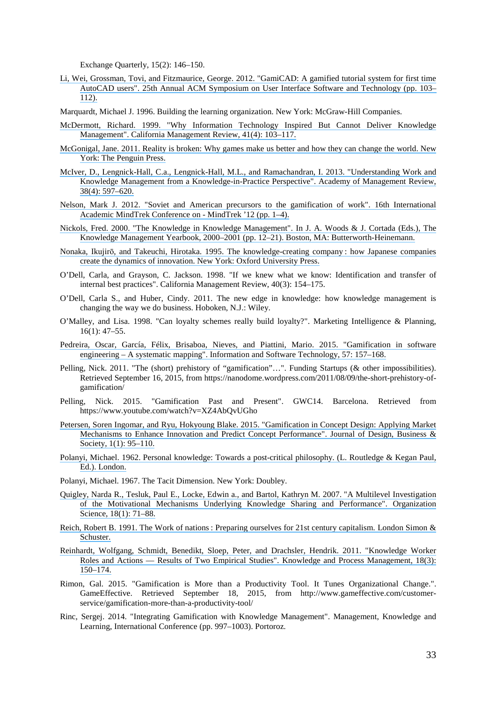Exchange Quarterly, 15(2): 146–150.

- [Li, Wei, Grossman, Tovi, and Fitzmaurice, George. 2012. "GamiCAD: A gamified tutorial system for first time](https://www.researchgate.net/publication/262333846_GamiCAD_A_gamified_tutorial_system_for_first_time_AutoCAD_users?el=1_x_8&enrichId=rgreq-380b8548-380d-47fa-a847-5da2325a33cf&enrichSource=Y292ZXJQYWdlOzMwMTc5OTM1MDtBUzozNTc2NzI4MDYzMDU3OTNAMTQ2MjI4NzI1MDc4Mw==) [AutoCAD users". 25th Annual ACM Symposium on User Interface Software and Technology \(pp. 103–](https://www.researchgate.net/publication/262333846_GamiCAD_A_gamified_tutorial_system_for_first_time_AutoCAD_users?el=1_x_8&enrichId=rgreq-380b8548-380d-47fa-a847-5da2325a33cf&enrichSource=Y292ZXJQYWdlOzMwMTc5OTM1MDtBUzozNTc2NzI4MDYzMDU3OTNAMTQ2MjI4NzI1MDc4Mw==) [112\).](https://www.researchgate.net/publication/262333846_GamiCAD_A_gamified_tutorial_system_for_first_time_AutoCAD_users?el=1_x_8&enrichId=rgreq-380b8548-380d-47fa-a847-5da2325a33cf&enrichSource=Y292ZXJQYWdlOzMwMTc5OTM1MDtBUzozNTc2NzI4MDYzMDU3OTNAMTQ2MjI4NzI1MDc4Mw==)
- Marquardt, Michael J. 1996. Building the learning organization. New York: McGraw-Hill Companies.
- [McDermott, Richard. 1999. "Why Information Technology Inspired But Cannot Deliver Knowledge](https://www.researchgate.net/publication/243534170_Why_Information_Technology_Inspired_But_Cannot_Deliver_Knowledge_Management?el=1_x_8&enrichId=rgreq-380b8548-380d-47fa-a847-5da2325a33cf&enrichSource=Y292ZXJQYWdlOzMwMTc5OTM1MDtBUzozNTc2NzI4MDYzMDU3OTNAMTQ2MjI4NzI1MDc4Mw==) [Management". California Management Review, 41\(4\): 103–117.](https://www.researchgate.net/publication/243534170_Why_Information_Technology_Inspired_But_Cannot_Deliver_Knowledge_Management?el=1_x_8&enrichId=rgreq-380b8548-380d-47fa-a847-5da2325a33cf&enrichSource=Y292ZXJQYWdlOzMwMTc5OTM1MDtBUzozNTc2NzI4MDYzMDU3OTNAMTQ2MjI4NzI1MDc4Mw==)
- [McGonigal, Jane. 2011. Reality is broken: Why games make us better and how they can change the world. New](https://www.researchgate.net/publication/244486521_Reality_is_Broken_Why_Games_Make_Us_Better_and_How_They_Can_Change_the_World?el=1_x_8&enrichId=rgreq-380b8548-380d-47fa-a847-5da2325a33cf&enrichSource=Y292ZXJQYWdlOzMwMTc5OTM1MDtBUzozNTc2NzI4MDYzMDU3OTNAMTQ2MjI4NzI1MDc4Mw==) [York: The Penguin Press.](https://www.researchgate.net/publication/244486521_Reality_is_Broken_Why_Games_Make_Us_Better_and_How_They_Can_Change_the_World?el=1_x_8&enrichId=rgreq-380b8548-380d-47fa-a847-5da2325a33cf&enrichSource=Y292ZXJQYWdlOzMwMTc5OTM1MDtBUzozNTc2NzI4MDYzMDU3OTNAMTQ2MjI4NzI1MDc4Mw==)
- [McIver, D., Lengnick-Hall, C.a., Lengnick-Hall, M.L., and Ramachandran, I. 2013. "Understanding Work and](https://www.researchgate.net/publication/259571321_Understanding_Work_and_Knowledge_Management_from_a_Knowledge-in-Practice_Perspective?el=1_x_8&enrichId=rgreq-380b8548-380d-47fa-a847-5da2325a33cf&enrichSource=Y292ZXJQYWdlOzMwMTc5OTM1MDtBUzozNTc2NzI4MDYzMDU3OTNAMTQ2MjI4NzI1MDc4Mw==) [Knowledge Management from a Knowledge-in-Practice Perspective". Academy of Management Review,](https://www.researchgate.net/publication/259571321_Understanding_Work_and_Knowledge_Management_from_a_Knowledge-in-Practice_Perspective?el=1_x_8&enrichId=rgreq-380b8548-380d-47fa-a847-5da2325a33cf&enrichSource=Y292ZXJQYWdlOzMwMTc5OTM1MDtBUzozNTc2NzI4MDYzMDU3OTNAMTQ2MjI4NzI1MDc4Mw==) [38\(4\): 597–620.](https://www.researchgate.net/publication/259571321_Understanding_Work_and_Knowledge_Management_from_a_Knowledge-in-Practice_Perspective?el=1_x_8&enrichId=rgreq-380b8548-380d-47fa-a847-5da2325a33cf&enrichSource=Y292ZXJQYWdlOzMwMTc5OTM1MDtBUzozNTc2NzI4MDYzMDU3OTNAMTQ2MjI4NzI1MDc4Mw==)
- [Nelson, Mark J. 2012. "Soviet and American precursors to the gamification of work". 16th International](https://www.researchgate.net/publication/244486327_Soviet_and_American_precursors_to_the_gamification_of_work?el=1_x_8&enrichId=rgreq-380b8548-380d-47fa-a847-5da2325a33cf&enrichSource=Y292ZXJQYWdlOzMwMTc5OTM1MDtBUzozNTc2NzI4MDYzMDU3OTNAMTQ2MjI4NzI1MDc4Mw==) [Academic MindTrek Conference on - MindTrek '12 \(pp. 1–4\).](https://www.researchgate.net/publication/244486327_Soviet_and_American_precursors_to_the_gamification_of_work?el=1_x_8&enrichId=rgreq-380b8548-380d-47fa-a847-5da2325a33cf&enrichSource=Y292ZXJQYWdlOzMwMTc5OTM1MDtBUzozNTc2NzI4MDYzMDU3OTNAMTQ2MjI4NzI1MDc4Mw==)
- [Nickols, Fred. 2000. "The Knowledge in Knowledge Management". In J. A. Woods & J. Cortada \(Eds.\), The](https://www.researchgate.net/publication/229101067_The_knowledge_management_yearbook_2000-2001?el=1_x_8&enrichId=rgreq-380b8548-380d-47fa-a847-5da2325a33cf&enrichSource=Y292ZXJQYWdlOzMwMTc5OTM1MDtBUzozNTc2NzI4MDYzMDU3OTNAMTQ2MjI4NzI1MDc4Mw==) [Knowledge Management Yearbook, 2000–2001 \(pp. 12–21\). Boston, MA: Butterworth-Heinemann.](https://www.researchgate.net/publication/229101067_The_knowledge_management_yearbook_2000-2001?el=1_x_8&enrichId=rgreq-380b8548-380d-47fa-a847-5da2325a33cf&enrichSource=Y292ZXJQYWdlOzMwMTc5OTM1MDtBUzozNTc2NzI4MDYzMDU3OTNAMTQ2MjI4NzI1MDc4Mw==)
- Nonaka, Ikujirō[, and Takeuchi, Hirotaka. 1995. The knowledge-creating company](https://www.researchgate.net/publication/216353111_The_Knowledge_Creating_Company_How_Japanese_Companies_Create_The_Dynamics_Of_Innovation?el=1_x_8&enrichId=rgreq-380b8548-380d-47fa-a847-5da2325a33cf&enrichSource=Y292ZXJQYWdlOzMwMTc5OTM1MDtBUzozNTc2NzI4MDYzMDU3OTNAMTQ2MjI4NzI1MDc4Mw==) : how Japanese companies [create the dynamics of innovation. New York: Oxford University Press.](https://www.researchgate.net/publication/216353111_The_Knowledge_Creating_Company_How_Japanese_Companies_Create_The_Dynamics_Of_Innovation?el=1_x_8&enrichId=rgreq-380b8548-380d-47fa-a847-5da2325a33cf&enrichSource=Y292ZXJQYWdlOzMwMTc5OTM1MDtBUzozNTc2NzI4MDYzMDU3OTNAMTQ2MjI4NzI1MDc4Mw==)
- O'Dell, Carla, and Grayson, C. Jackson. 1998. "If we knew what we know: Identification and transfer of internal best practices". California Management Review, 40(3): 154–175.
- O'Dell, Carla S., and Huber, Cindy. 2011. The new edge in knowledge: how knowledge management is changing the way we do business. Hoboken, N.J.: Wiley.
- O'Malley, and Lisa. 1998. "Can loyalty schemes really build loyalty?". Marketing Intelligence & Planning, 16(1): 47–55.
- [Pedreira, Oscar, García, Félix, Brisaboa, Nieves, and Piattini, Mario. 2015. "Gamification in software](https://www.researchgate.net/publication/265852843_Gamification_in_software_engineering_-_A_systematic_mapping?el=1_x_8&enrichId=rgreq-380b8548-380d-47fa-a847-5da2325a33cf&enrichSource=Y292ZXJQYWdlOzMwMTc5OTM1MDtBUzozNTc2NzI4MDYzMDU3OTNAMTQ2MjI4NzI1MDc4Mw==) [engineering – A systematic mapping". Information and Software Technology, 57: 157–168.](https://www.researchgate.net/publication/265852843_Gamification_in_software_engineering_-_A_systematic_mapping?el=1_x_8&enrichId=rgreq-380b8548-380d-47fa-a847-5da2325a33cf&enrichSource=Y292ZXJQYWdlOzMwMTc5OTM1MDtBUzozNTc2NzI4MDYzMDU3OTNAMTQ2MjI4NzI1MDc4Mw==)
- Pelling, Nick. 2011. "The (short) prehistory of "gamification"…". Funding Startups (& other impossibilities). Retrieved September 16, 2015, from https://nanodome.wordpress.com/2011/08/09/the-short-prehistory-ofgamification/
- Pelling, Nick. 2015. "Gamification Past and Present". GWC14. Barcelona. Retrieved from https://www.youtube.com/watch?v=XZ4AbQvUGho
- [Petersen, Soren Ingomar, and Ryu, Hokyoung Blake. 2015. "Gamification in Concept Design: Applying Market](https://www.researchgate.net/publication/276170356_Gamification_in_Concept_Design_Applying_Market_Mechanisms_to_Enhance_Innovation_and_Predict_Concept_Performance?el=1_x_8&enrichId=rgreq-380b8548-380d-47fa-a847-5da2325a33cf&enrichSource=Y292ZXJQYWdlOzMwMTc5OTM1MDtBUzozNTc2NzI4MDYzMDU3OTNAMTQ2MjI4NzI1MDc4Mw==) [Mechanisms to Enhance Innovation and Predict Concept Performance". Journal of Design, Business &](https://www.researchgate.net/publication/276170356_Gamification_in_Concept_Design_Applying_Market_Mechanisms_to_Enhance_Innovation_and_Predict_Concept_Performance?el=1_x_8&enrichId=rgreq-380b8548-380d-47fa-a847-5da2325a33cf&enrichSource=Y292ZXJQYWdlOzMwMTc5OTM1MDtBUzozNTc2NzI4MDYzMDU3OTNAMTQ2MjI4NzI1MDc4Mw==) Society, 1(1): 95-110.
- [Polanyi, Michael. 1962. Personal knowledge: Towards a post-critical philosophy. \(L. Routledge & Kegan Paul,](https://www.researchgate.net/publication/224892414_Personal_Knowledge_Towards_A_Post-Critical_Philosophy?el=1_x_8&enrichId=rgreq-380b8548-380d-47fa-a847-5da2325a33cf&enrichSource=Y292ZXJQYWdlOzMwMTc5OTM1MDtBUzozNTc2NzI4MDYzMDU3OTNAMTQ2MjI4NzI1MDc4Mw==) [Ed.\). London.](https://www.researchgate.net/publication/224892414_Personal_Knowledge_Towards_A_Post-Critical_Philosophy?el=1_x_8&enrichId=rgreq-380b8548-380d-47fa-a847-5da2325a33cf&enrichSource=Y292ZXJQYWdlOzMwMTc5OTM1MDtBUzozNTc2NzI4MDYzMDU3OTNAMTQ2MjI4NzI1MDc4Mw==)
- Polanyi, Michael. 1967. The Tacit Dimension. New York: Doubley.
- [Quigley, Narda R., Tesluk, Paul E., Locke, Edwin a., and Bartol, Kathryn M. 2007. "A Multilevel Investigation](https://www.researchgate.net/publication/234021833_A_Multilevel_Investigation_of_the_Motivational_Mechanisms_Underlying_Knowledge_Sharing_Performance?el=1_x_8&enrichId=rgreq-380b8548-380d-47fa-a847-5da2325a33cf&enrichSource=Y292ZXJQYWdlOzMwMTc5OTM1MDtBUzozNTc2NzI4MDYzMDU3OTNAMTQ2MjI4NzI1MDc4Mw==) [of the Motivational Mechanisms Underlying Knowledge Sharing and Performance". Organization](https://www.researchgate.net/publication/234021833_A_Multilevel_Investigation_of_the_Motivational_Mechanisms_Underlying_Knowledge_Sharing_Performance?el=1_x_8&enrichId=rgreq-380b8548-380d-47fa-a847-5da2325a33cf&enrichSource=Y292ZXJQYWdlOzMwMTc5OTM1MDtBUzozNTc2NzI4MDYzMDU3OTNAMTQ2MjI4NzI1MDc4Mw==) [Science, 18\(1\): 71–88.](https://www.researchgate.net/publication/234021833_A_Multilevel_Investigation_of_the_Motivational_Mechanisms_Underlying_Knowledge_Sharing_Performance?el=1_x_8&enrichId=rgreq-380b8548-380d-47fa-a847-5da2325a33cf&enrichSource=Y292ZXJQYWdlOzMwMTc5OTM1MDtBUzozNTc2NzI4MDYzMDU3OTNAMTQ2MjI4NzI1MDc4Mw==)
- Reich, Robert B. 1991. The Work of nations [: Preparing ourselves for 21st century capitalism. London Simon &](https://www.researchgate.net/publication/238678654_The_Work_of_Nations_Preparing_Ourselves_For_21st_Century_Capitalism?el=1_x_8&enrichId=rgreq-380b8548-380d-47fa-a847-5da2325a33cf&enrichSource=Y292ZXJQYWdlOzMwMTc5OTM1MDtBUzozNTc2NzI4MDYzMDU3OTNAMTQ2MjI4NzI1MDc4Mw==) [Schuster.](https://www.researchgate.net/publication/238678654_The_Work_of_Nations_Preparing_Ourselves_For_21st_Century_Capitalism?el=1_x_8&enrichId=rgreq-380b8548-380d-47fa-a847-5da2325a33cf&enrichSource=Y292ZXJQYWdlOzMwMTc5OTM1MDtBUzozNTc2NzI4MDYzMDU3OTNAMTQ2MjI4NzI1MDc4Mw==)
- [Reinhardt, Wolfgang, Schmidt, Benedikt, Sloep, Peter, and Drachsler, Hendrik. 2011. "Knowledge Worker](https://www.researchgate.net/publication/216015967_Knowledge_Worker_Roles_and_Actions-Results_of_Two_Empirical_Studies?el=1_x_8&enrichId=rgreq-380b8548-380d-47fa-a847-5da2325a33cf&enrichSource=Y292ZXJQYWdlOzMwMTc5OTM1MDtBUzozNTc2NzI4MDYzMDU3OTNAMTQ2MjI4NzI1MDc4Mw==) [Roles and Actions — Results of Two Empirical Studies". Knowledge and Process Management, 18\(3\):](https://www.researchgate.net/publication/216015967_Knowledge_Worker_Roles_and_Actions-Results_of_Two_Empirical_Studies?el=1_x_8&enrichId=rgreq-380b8548-380d-47fa-a847-5da2325a33cf&enrichSource=Y292ZXJQYWdlOzMwMTc5OTM1MDtBUzozNTc2NzI4MDYzMDU3OTNAMTQ2MjI4NzI1MDc4Mw==) [150–174.](https://www.researchgate.net/publication/216015967_Knowledge_Worker_Roles_and_Actions-Results_of_Two_Empirical_Studies?el=1_x_8&enrichId=rgreq-380b8548-380d-47fa-a847-5da2325a33cf&enrichSource=Y292ZXJQYWdlOzMwMTc5OTM1MDtBUzozNTc2NzI4MDYzMDU3OTNAMTQ2MjI4NzI1MDc4Mw==)
- Rimon, Gal. 2015. "Gamification is More than a Productivity Tool. It Tunes Organizational Change.". GameEffective. Retrieved September 18, 2015, from http://www.gameffective.com/customerservice/gamification-more-than-a-productivity-tool/
- Rinc, Sergej. 2014. "Integrating Gamification with Knowledge Management". Management, Knowledge and Learning, International Conference (pp. 997–1003). Portoroz.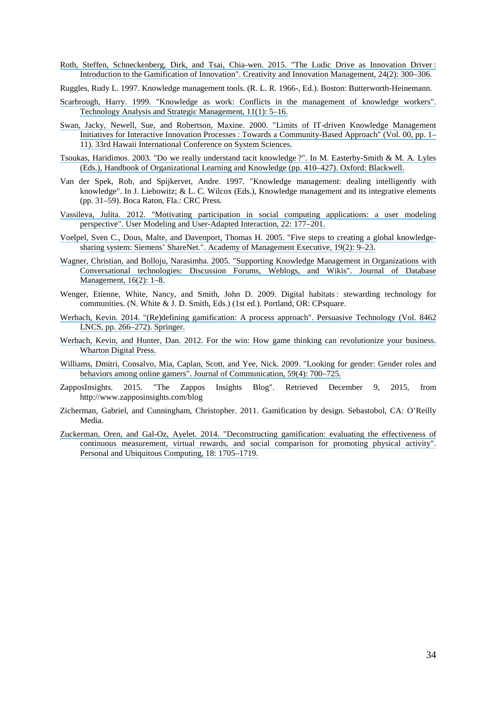[Roth, Steffen, Schneckenberg, Dirk, and Tsai, Chia-wen. 2015. "The Ludic Drive as Innovation Driver](https://www.researchgate.net/publication/276150809_The_Ludic_Drive_as_Innovation_Driver_Introduction_to_the_Gamification_of_Innovation_The_Ludic_Drive_as_Innovation_Driver?el=1_x_8&enrichId=rgreq-380b8548-380d-47fa-a847-5da2325a33cf&enrichSource=Y292ZXJQYWdlOzMwMTc5OTM1MDtBUzozNTc2NzI4MDYzMDU3OTNAMTQ2MjI4NzI1MDc4Mw==) : [Introduction to the Gamification of Innovation". Creativity and Innovation Management, 24\(2\): 300–306.](https://www.researchgate.net/publication/276150809_The_Ludic_Drive_as_Innovation_Driver_Introduction_to_the_Gamification_of_Innovation_The_Ludic_Drive_as_Innovation_Driver?el=1_x_8&enrichId=rgreq-380b8548-380d-47fa-a847-5da2325a33cf&enrichSource=Y292ZXJQYWdlOzMwMTc5OTM1MDtBUzozNTc2NzI4MDYzMDU3OTNAMTQ2MjI4NzI1MDc4Mw==)

Ruggles, Rudy L. 1997. Knowledge management tools. (R. L. R. 1966-, Ed.). Boston: Butterworth-Heinemann.

- [Scarbrough, Harry. 1999. "Knowledge as work: Conflicts in the management of knowledge workers".](https://www.researchgate.net/publication/247497411_Knowledge_as_Work_Conflicts_in_the_Management_of_Knowledge_Workers?el=1_x_8&enrichId=rgreq-380b8548-380d-47fa-a847-5da2325a33cf&enrichSource=Y292ZXJQYWdlOzMwMTc5OTM1MDtBUzozNTc2NzI4MDYzMDU3OTNAMTQ2MjI4NzI1MDc4Mw==) [Technology Analysis and Strategic Management, 11\(1\): 5–16.](https://www.researchgate.net/publication/247497411_Knowledge_as_Work_Conflicts_in_the_Management_of_Knowledge_Workers?el=1_x_8&enrichId=rgreq-380b8548-380d-47fa-a847-5da2325a33cf&enrichSource=Y292ZXJQYWdlOzMwMTc5OTM1MDtBUzozNTc2NzI4MDYzMDU3OTNAMTQ2MjI4NzI1MDc4Mw==)
- [Swan, Jacky, Newell, Sue, and Robertson, Maxine. 2000. "Limits of IT-driven Knowledge Management](https://www.researchgate.net/publication/3841404_Limits_of_IT-driven_knowledge_management_initiatives_for_interactive_innovation_processes_Towards_a_community-based_approach?el=1_x_8&enrichId=rgreq-380b8548-380d-47fa-a847-5da2325a33cf&enrichSource=Y292ZXJQYWdlOzMwMTc5OTM1MDtBUzozNTc2NzI4MDYzMDU3OTNAMTQ2MjI4NzI1MDc4Mw==) Initiatives for Interactive Innovation Processes [: Towards a Community-Based Approach" \(Vol. 00, pp. 1–](https://www.researchgate.net/publication/3841404_Limits_of_IT-driven_knowledge_management_initiatives_for_interactive_innovation_processes_Towards_a_community-based_approach?el=1_x_8&enrichId=rgreq-380b8548-380d-47fa-a847-5da2325a33cf&enrichSource=Y292ZXJQYWdlOzMwMTc5OTM1MDtBUzozNTc2NzI4MDYzMDU3OTNAMTQ2MjI4NzI1MDc4Mw==) [11\). 33rd Hawaii International Conference on System Sciences.](https://www.researchgate.net/publication/3841404_Limits_of_IT-driven_knowledge_management_initiatives_for_interactive_innovation_processes_Towards_a_community-based_approach?el=1_x_8&enrichId=rgreq-380b8548-380d-47fa-a847-5da2325a33cf&enrichSource=Y292ZXJQYWdlOzMwMTc5OTM1MDtBUzozNTc2NzI4MDYzMDU3OTNAMTQ2MjI4NzI1MDc4Mw==)
- [Tsoukas, Haridimos. 2003. "Do we really understand tacit knowledge](https://www.researchgate.net/publication/2528222_Do_We_Really_Understand_Tacit_Knowledge?el=1_x_8&enrichId=rgreq-380b8548-380d-47fa-a847-5da2325a33cf&enrichSource=Y292ZXJQYWdlOzMwMTc5OTM1MDtBUzozNTc2NzI4MDYzMDU3OTNAMTQ2MjI4NzI1MDc4Mw==) ?". In M. Easterby-Smith & M. A. Lyles [\(Eds.\), Handbook of Organizational Learning and Knowledge \(pp. 410–427\). Oxford: Blackwell.](https://www.researchgate.net/publication/2528222_Do_We_Really_Understand_Tacit_Knowledge?el=1_x_8&enrichId=rgreq-380b8548-380d-47fa-a847-5da2325a33cf&enrichSource=Y292ZXJQYWdlOzMwMTc5OTM1MDtBUzozNTc2NzI4MDYzMDU3OTNAMTQ2MjI4NzI1MDc4Mw==)
- Van der Spek, Rob, and Spijkervet, Andre. 1997. "Knowledge management: dealing intelligently with knowledge". In J. Liebowitz; & L. C. Wilcox (Eds.), Knowledge management and its integrative elements (pp. 31–59). Boca Raton, Fla.: CRC Press.
- [Vassileva, Julita. 2012. "Motivating participation in social computing applications: a user modeling](https://www.researchgate.net/publication/228517212_Motivating_participation_in_social_computing_applications_A_user_modeling_perspective?el=1_x_8&enrichId=rgreq-380b8548-380d-47fa-a847-5da2325a33cf&enrichSource=Y292ZXJQYWdlOzMwMTc5OTM1MDtBUzozNTc2NzI4MDYzMDU3OTNAMTQ2MjI4NzI1MDc4Mw==) [perspective". User Modeling and User-Adapted Interaction, 22: 177–201.](https://www.researchgate.net/publication/228517212_Motivating_participation_in_social_computing_applications_A_user_modeling_perspective?el=1_x_8&enrichId=rgreq-380b8548-380d-47fa-a847-5da2325a33cf&enrichSource=Y292ZXJQYWdlOzMwMTc5OTM1MDtBUzozNTc2NzI4MDYzMDU3OTNAMTQ2MjI4NzI1MDc4Mw==)
- [Voelpel, Sven C., Dous, Malte, and Davenport, Thomas H. 2005. "Five steps to creating a global knowledge](https://www.researchgate.net/publication/289949961_Five_steps_to_creating_a_global_knowledge-sharing_system_Siemens)sharing system: Siemens' ShareNet.". Academy of Management Executive, 19(2): 9-23.
- [Wagner, Christian, and Bolloju, Narasimha. 2005. "Supporting Knowledge Management in Organizations with](https://www.researchgate.net/publication/237386177_Supporting_Knowledge_Management_in_Organizations_with_Conversational_Technologies_Discussion_Forums_Weblogs_and_Wikis?el=1_x_8&enrichId=rgreq-380b8548-380d-47fa-a847-5da2325a33cf&enrichSource=Y292ZXJQYWdlOzMwMTc5OTM1MDtBUzozNTc2NzI4MDYzMDU3OTNAMTQ2MjI4NzI1MDc4Mw==) [Conversational technologies: Discussion Forums, Weblogs, and Wikis". Journal of Database](https://www.researchgate.net/publication/237386177_Supporting_Knowledge_Management_in_Organizations_with_Conversational_Technologies_Discussion_Forums_Weblogs_and_Wikis?el=1_x_8&enrichId=rgreq-380b8548-380d-47fa-a847-5da2325a33cf&enrichSource=Y292ZXJQYWdlOzMwMTc5OTM1MDtBUzozNTc2NzI4MDYzMDU3OTNAMTQ2MjI4NzI1MDc4Mw==) [Management, 16\(2\): 1–8.](https://www.researchgate.net/publication/237386177_Supporting_Knowledge_Management_in_Organizations_with_Conversational_Technologies_Discussion_Forums_Weblogs_and_Wikis?el=1_x_8&enrichId=rgreq-380b8548-380d-47fa-a847-5da2325a33cf&enrichSource=Y292ZXJQYWdlOzMwMTc5OTM1MDtBUzozNTc2NzI4MDYzMDU3OTNAMTQ2MjI4NzI1MDc4Mw==)
- Wenger, Etienne, White, Nancy, and Smith, John D. 2009. Digital habitats : stewarding technology for communities. (N. White & J. D. Smith, Eds.) (1st ed.). Portland, OR: CPsquare.
- [Werbach, Kevin. 2014. "\(Re\)defining gamification: A process approach". Persuasive Technology \(Vol. 8462](https://www.researchgate.net/publication/285517167_ReDefining_Gamification_A_Process_Approach?el=1_x_8&enrichId=rgreq-380b8548-380d-47fa-a847-5da2325a33cf&enrichSource=Y292ZXJQYWdlOzMwMTc5OTM1MDtBUzozNTc2NzI4MDYzMDU3OTNAMTQ2MjI4NzI1MDc4Mw==) [LNCS, pp. 266–272\). Springer.](https://www.researchgate.net/publication/285517167_ReDefining_Gamification_A_Process_Approach?el=1_x_8&enrichId=rgreq-380b8548-380d-47fa-a847-5da2325a33cf&enrichSource=Y292ZXJQYWdlOzMwMTc5OTM1MDtBUzozNTc2NzI4MDYzMDU3OTNAMTQ2MjI4NzI1MDc4Mw==)
- [Werbach, Kevin, and Hunter, Dan. 2012. For the win: How game thinking can revolutionize your business.](https://www.researchgate.net/publication/273946893_For_the_Win_How_Game_Thinking_can_Revolutionize_your_Business?el=1_x_8&enrichId=rgreq-380b8548-380d-47fa-a847-5da2325a33cf&enrichSource=Y292ZXJQYWdlOzMwMTc5OTM1MDtBUzozNTc2NzI4MDYzMDU3OTNAMTQ2MjI4NzI1MDc4Mw==) [Wharton Digital Press.](https://www.researchgate.net/publication/273946893_For_the_Win_How_Game_Thinking_can_Revolutionize_your_Business?el=1_x_8&enrichId=rgreq-380b8548-380d-47fa-a847-5da2325a33cf&enrichSource=Y292ZXJQYWdlOzMwMTc5OTM1MDtBUzozNTc2NzI4MDYzMDU3OTNAMTQ2MjI4NzI1MDc4Mw==)
- [Williams, Dmitri, Consalvo, Mia, Caplan, Scott, and Yee, Nick. 2009. "Looking for gender: Gender roles and](https://www.researchgate.net/publication/227509913_Looking_for_Gender_Gender_Roles_and_Behaviors_Among_Online_Gamers?el=1_x_8&enrichId=rgreq-380b8548-380d-47fa-a847-5da2325a33cf&enrichSource=Y292ZXJQYWdlOzMwMTc5OTM1MDtBUzozNTc2NzI4MDYzMDU3OTNAMTQ2MjI4NzI1MDc4Mw==) [behaviors among online gamers". Journal of Communication, 59\(4\): 700–725.](https://www.researchgate.net/publication/227509913_Looking_for_Gender_Gender_Roles_and_Behaviors_Among_Online_Gamers?el=1_x_8&enrichId=rgreq-380b8548-380d-47fa-a847-5da2325a33cf&enrichSource=Y292ZXJQYWdlOzMwMTc5OTM1MDtBUzozNTc2NzI4MDYzMDU3OTNAMTQ2MjI4NzI1MDc4Mw==)
- ZapposInsights. 2015. "The Zappos Insights Blog". Retrieved December 9, 2015, from http://www.zapposinsights.com/blog
- Zicherman, Gabriel, and Cunningham, Christopher. 2011. Gamification by design. Sebastobol, CA: O'Reilly Media.
- [Zuckerman, Oren, and Gal-Oz, Ayelet. 2014. "Deconstructing gamification: evaluating the effectiveness of](https://www.researchgate.net/publication/266025077_Deconstructing_gamification_evaluating_the_effectiveness_of_continuous_measurement_virtual_rewards_and_social_comparison_for_promoting_physical_activity?el=1_x_8&enrichId=rgreq-380b8548-380d-47fa-a847-5da2325a33cf&enrichSource=Y292ZXJQYWdlOzMwMTc5OTM1MDtBUzozNTc2NzI4MDYzMDU3OTNAMTQ2MjI4NzI1MDc4Mw==) [continuous measurement, virtual rewards, and social comparison for promoting physical activity".](https://www.researchgate.net/publication/266025077_Deconstructing_gamification_evaluating_the_effectiveness_of_continuous_measurement_virtual_rewards_and_social_comparison_for_promoting_physical_activity?el=1_x_8&enrichId=rgreq-380b8548-380d-47fa-a847-5da2325a33cf&enrichSource=Y292ZXJQYWdlOzMwMTc5OTM1MDtBUzozNTc2NzI4MDYzMDU3OTNAMTQ2MjI4NzI1MDc4Mw==) [Personal and Ubiquitous Computing, 18: 1705–1719.](https://www.researchgate.net/publication/266025077_Deconstructing_gamification_evaluating_the_effectiveness_of_continuous_measurement_virtual_rewards_and_social_comparison_for_promoting_physical_activity?el=1_x_8&enrichId=rgreq-380b8548-380d-47fa-a847-5da2325a33cf&enrichSource=Y292ZXJQYWdlOzMwMTc5OTM1MDtBUzozNTc2NzI4MDYzMDU3OTNAMTQ2MjI4NzI1MDc4Mw==)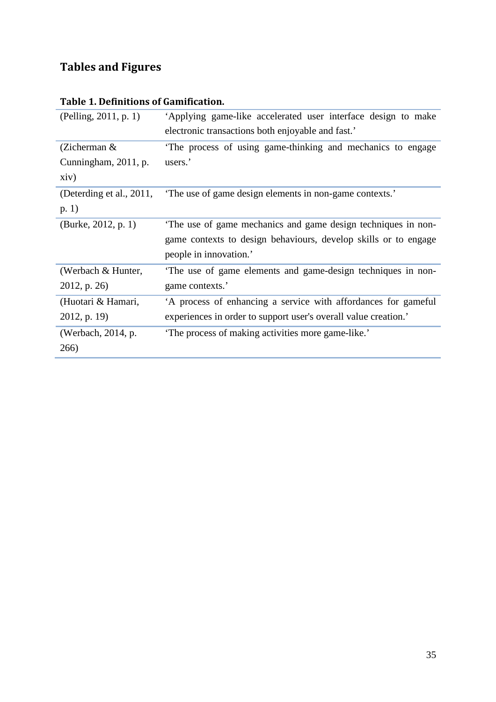# **Tables and Figures**

| (Pelling, 2011, p. 1)    | Applying game-like accelerated user interface design to make    |
|--------------------------|-----------------------------------------------------------------|
|                          | electronic transactions both enjoyable and fast.'               |
| (Zicherman $\&$          | The process of using game-thinking and mechanics to engage      |
| Cunningham, 2011, p.     | users.'                                                         |
| xiv)                     |                                                                 |
| (Deterding et al., 2011, | The use of game design elements in non-game contexts.'          |
| p. 1)                    |                                                                 |
| (Burke, 2012, p. 1)      | The use of game mechanics and game design techniques in non-    |
|                          | game contexts to design behaviours, develop skills or to engage |
|                          | people in innovation.'                                          |
| (Werbach & Hunter,       | The use of game elements and game-design techniques in non-     |
| 2012, p. 26)             | game contexts.'                                                 |
| (Huotari & Hamari,       | 'A process of enhancing a service with affordances for gameful  |
| $2012$ , p. 19)          | experiences in order to support user's overall value creation.' |
| (Werbach, 2014, p.       | The process of making activities more game-like.'               |
| 266)                     |                                                                 |

# **Table 1. Definitions of Gamification.**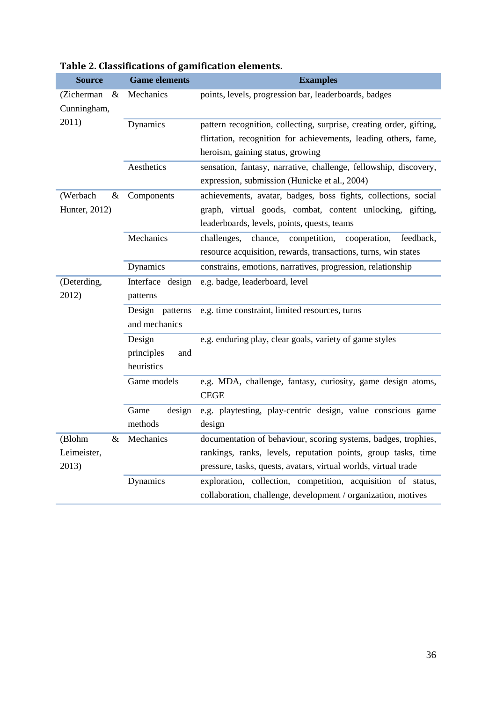| <b>Source</b>                  | <b>Game elements</b> | <b>Examples</b>                                                                                                               |
|--------------------------------|----------------------|-------------------------------------------------------------------------------------------------------------------------------|
| (Zicherman<br>&<br>Cunningham, | Mechanics            | points, levels, progression bar, leaderboards, badges                                                                         |
| 2011)                          | Dynamics             | pattern recognition, collecting, surprise, creating order, gifting,                                                           |
|                                |                      | flirtation, recognition for achievements, leading others, fame,                                                               |
|                                |                      | heroism, gaining status, growing                                                                                              |
|                                | Aesthetics           | sensation, fantasy, narrative, challenge, fellowship, discovery,                                                              |
|                                |                      | expression, submission (Hunicke et al., 2004)                                                                                 |
| (Werbach<br>&                  | Components           | achievements, avatar, badges, boss fights, collections, social                                                                |
| Hunter, 2012)                  |                      | graph, virtual goods, combat, content unlocking, gifting,                                                                     |
|                                |                      | leaderboards, levels, points, quests, teams                                                                                   |
|                                | Mechanics            | challenges,<br>chance,<br>competition,<br>cooperation,<br>feedback,                                                           |
|                                |                      | resource acquisition, rewards, transactions, turns, win states                                                                |
|                                | Dynamics             | constrains, emotions, narratives, progression, relationship                                                                   |
| (Deterding,                    | Interface design     | e.g. badge, leaderboard, level                                                                                                |
| 2012)                          | patterns             |                                                                                                                               |
|                                | Design patterns      | e.g. time constraint, limited resources, turns                                                                                |
|                                | and mechanics        |                                                                                                                               |
|                                | Design               | e.g. enduring play, clear goals, variety of game styles                                                                       |
|                                | principles<br>and    |                                                                                                                               |
|                                | heuristics           |                                                                                                                               |
|                                | Game models          | e.g. MDA, challenge, fantasy, curiosity, game design atoms,<br><b>CEGE</b>                                                    |
|                                | Game<br>design       | e.g. playtesting, play-centric design, value conscious game                                                                   |
|                                | methods              | design                                                                                                                        |
| (Blohm<br>&                    | Mechanics            | documentation of behaviour, scoring systems, badges, trophies,                                                                |
| Leimeister,                    |                      | rankings, ranks, levels, reputation points, group tasks, time                                                                 |
| 2013)                          |                      | pressure, tasks, quests, avatars, virtual worlds, virtual trade                                                               |
|                                | Dynamics             | exploration, collection, competition, acquisition of status,<br>collaboration, challenge, development / organization, motives |
|                                |                      |                                                                                                                               |

# **Table 2. Classifications of gamification elements.**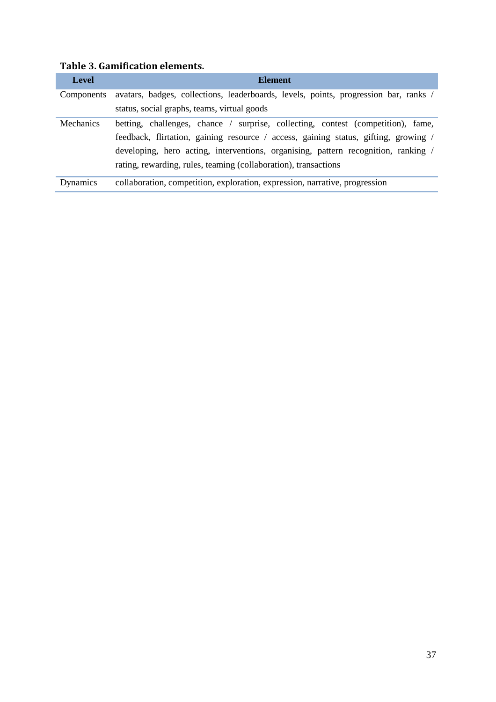| <b>Level</b>     | <b>Element</b>                                                                                                                                                                                                                                                                                                                   |
|------------------|----------------------------------------------------------------------------------------------------------------------------------------------------------------------------------------------------------------------------------------------------------------------------------------------------------------------------------|
| Components       | avatars, badges, collections, leaderboards, levels, points, progression bar, ranks /                                                                                                                                                                                                                                             |
|                  | status, social graphs, teams, virtual goods                                                                                                                                                                                                                                                                                      |
| <b>Mechanics</b> | betting, challenges, chance / surprise, collecting, contest (competition), fame,<br>feedback, flirtation, gaining resource / access, gaining status, gifting, growing /<br>developing, hero acting, interventions, organising, pattern recognition, ranking /<br>rating, rewarding, rules, teaming (collaboration), transactions |
| Dynamics         | collaboration, competition, exploration, expression, narrative, progression                                                                                                                                                                                                                                                      |

# **Table 3. Gamification elements.**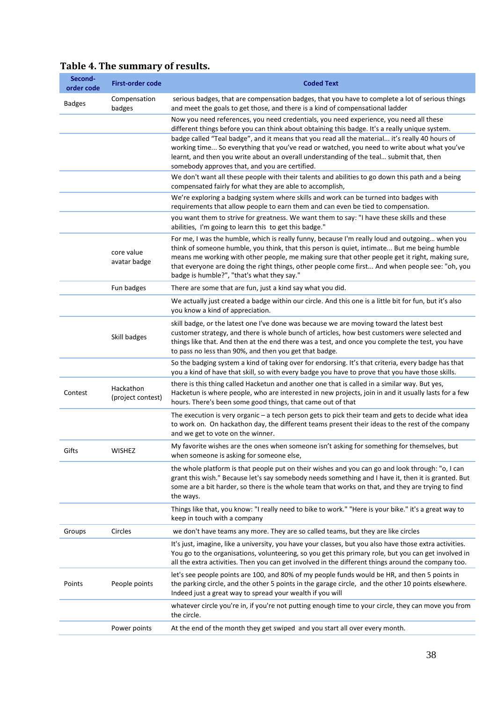| Second-<br>order code | <b>First-order code</b>        | <b>Coded Text</b>                                                                                                                                                                                                                                                                                                                                                                                                                                 |
|-----------------------|--------------------------------|---------------------------------------------------------------------------------------------------------------------------------------------------------------------------------------------------------------------------------------------------------------------------------------------------------------------------------------------------------------------------------------------------------------------------------------------------|
| <b>Badges</b>         | Compensation<br>badges         | serious badges, that are compensation badges, that you have to complete a lot of serious things<br>and meet the goals to get those, and there is a kind of compensational ladder                                                                                                                                                                                                                                                                  |
|                       |                                | Now you need references, you need credentials, you need experience, you need all these<br>different things before you can think about obtaining this badge. It's a really unique system.                                                                                                                                                                                                                                                          |
|                       |                                | badge called "Teal badge", and it means that you read all the material it's really 40 hours of<br>working time So everything that you've read or watched, you need to write about what you've<br>learnt, and then you write about an overall understanding of the teal submit that, then<br>somebody approves that, and you are certified.                                                                                                        |
|                       |                                | We don't want all these people with their talents and abilities to go down this path and a being<br>compensated fairly for what they are able to accomplish,                                                                                                                                                                                                                                                                                      |
|                       |                                | We're exploring a badging system where skills and work can be turned into badges with<br>requirements that allow people to earn them and can even be tied to compensation.                                                                                                                                                                                                                                                                        |
|                       |                                | you want them to strive for greatness. We want them to say: "I have these skills and these<br>abilities, I'm going to learn this to get this badge."                                                                                                                                                                                                                                                                                              |
|                       | core value<br>avatar badge     | For me, I was the humble, which is really funny, because I'm really loud and outgoing when you<br>think of someone humble, you think, that this person is quiet, intimate But me being humble<br>means me working with other people, me making sure that other people get it right, making sure,<br>that everyone are doing the right things, other people come first And when people see: "oh, you<br>badge is humble?", "that's what they say." |
|                       | Fun badges                     | There are some that are fun, just a kind say what you did.                                                                                                                                                                                                                                                                                                                                                                                        |
|                       |                                | We actually just created a badge within our circle. And this one is a little bit for fun, but it's also<br>you know a kind of appreciation.                                                                                                                                                                                                                                                                                                       |
|                       | Skill badges                   | skill badge, or the latest one I've done was because we are moving toward the latest best<br>customer strategy, and there is whole bunch of articles, how best customers were selected and<br>things like that. And then at the end there was a test, and once you complete the test, you have<br>to pass no less than 90%, and then you get that badge.                                                                                          |
|                       |                                | So the badging system a kind of taking over for endorsing. It's that criteria, every badge has that<br>you a kind of have that skill, so with every badge you have to prove that you have those skills.                                                                                                                                                                                                                                           |
| Contest               | Hackathon<br>(project contest) | there is this thing called Hacketun and another one that is called in a similar way. But yes,<br>Hacketun is where people, who are interested in new projects, join in and it usually lasts for a few<br>hours. There's been some good things, that came out of that                                                                                                                                                                              |
|                       |                                | The execution is very organic - a tech person gets to pick their team and gets to decide what idea<br>to work on. On hackathon day, the different teams present their ideas to the rest of the company<br>and we get to vote on the winner.                                                                                                                                                                                                       |
| Gifts                 | <b>WISHEZ</b>                  | My favorite wishes are the ones when someone isn't asking for something for themselves, but<br>when someone is asking for someone else,                                                                                                                                                                                                                                                                                                           |
|                       |                                | the whole platform is that people put on their wishes and you can go and look through: "o, I can<br>grant this wish." Because let's say somebody needs something and I have it, then it is granted. But<br>some are a bit harder, so there is the whole team that works on that, and they are trying to find<br>the ways.                                                                                                                         |
|                       |                                | Things like that, you know: "I really need to bike to work." "Here is your bike." it's a great way to<br>keep in touch with a company                                                                                                                                                                                                                                                                                                             |
| Groups                | Circles                        | we don't have teams any more. They are so called teams, but they are like circles                                                                                                                                                                                                                                                                                                                                                                 |
|                       |                                | It's just, imagine, like a university, you have your classes, but you also have those extra activities.<br>You go to the organisations, volunteering, so you get this primary role, but you can get involved in<br>all the extra activities. Then you can get involved in the different things around the company too.                                                                                                                            |
| Points                | People points                  | let's see people points are 100, and 80% of my people funds would be HR, and then 5 points in<br>the parking circle, and the other 5 points in the garage circle, and the other 10 points elsewhere.<br>Indeed just a great way to spread your wealth if you will                                                                                                                                                                                 |
|                       |                                | whatever circle you're in, if you're not putting enough time to your circle, they can move you from<br>the circle.                                                                                                                                                                                                                                                                                                                                |
|                       | Power points                   | At the end of the month they get swiped and you start all over every month.                                                                                                                                                                                                                                                                                                                                                                       |

# **Table 4. The summary of results.**